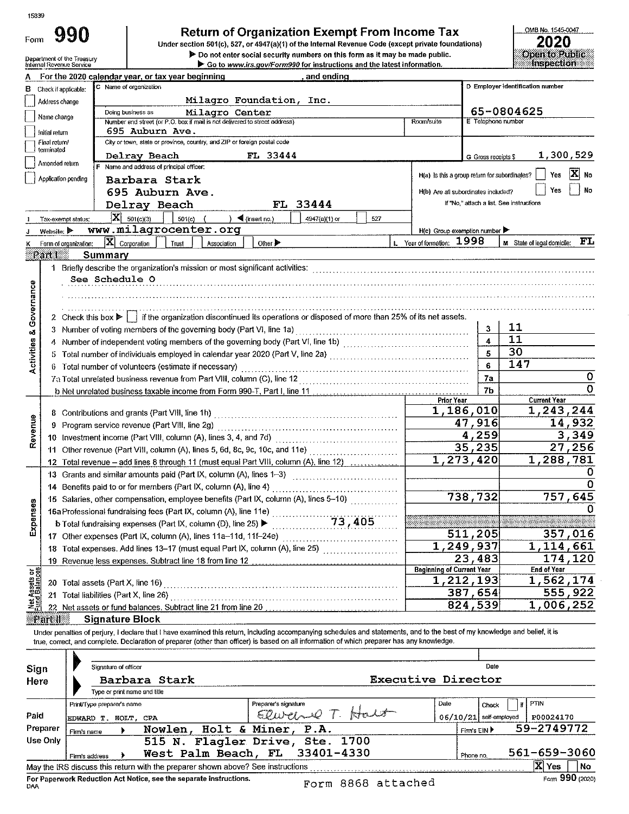Form 990

# Return of Organization Exempt From Income Tax<br>Under section 501(c), 527, or 4947(a)(1) of the Internal Revenue Code (except private foundations)

> Do not enter social security numbers on this form as it may be made public.

OMB No. 1545-0047 2020  $\overline{\text{open}}$  to  $\overline{\text{Pubnc}}$ 

|                                | Department of the Treasury<br>Internal Revenue Service | P Do not enter social security numbers on this form as it may be made public.<br>Go to www.irs.gov/Form990 for instructions and the latest information.                    |                     | <u>орен южерис</u><br><b>Inspection</b>     |
|--------------------------------|--------------------------------------------------------|----------------------------------------------------------------------------------------------------------------------------------------------------------------------------|---------------------|---------------------------------------------|
|                                |                                                        | For the 2020 calendar year, or tax year beginning<br>and ending                                                                                                            |                     |                                             |
| в                              | Check if applicable:                                   | C Name of organization                                                                                                                                                     |                     | D Employer identification number            |
|                                | Address change                                         | Milagro Foundation, Inc.                                                                                                                                                   |                     |                                             |
|                                |                                                        | Milagro Center<br>Doing business as                                                                                                                                        |                     | 65-0804625                                  |
|                                | Name change                                            | Number and street (or P.O. box if mail is not delivered to street address)<br>Room/suite                                                                                   | E Telephone number  |                                             |
|                                | Initial return                                         | 695 Auburn Ave.<br>City or town, state or province, country, and ZIP or foreign postal code                                                                                |                     |                                             |
|                                | Final return/<br>terminated                            |                                                                                                                                                                            |                     |                                             |
|                                | Amended return                                         | Delray Beach<br>FL 33444<br>F Name and address of principal officer:                                                                                                       | G Gross receipts \$ | 1,300,529                                   |
|                                | Application pending                                    | H(a) Is this a group return for subordinates?                                                                                                                              |                     | $ \mathbf{X} $ No<br>Yes                    |
|                                |                                                        | Barbara Stark                                                                                                                                                              |                     | No<br>Yes                                   |
|                                |                                                        | 695 Auburn Ave.<br>H(b) Are all subordinates included?                                                                                                                     |                     | If "No." attach a list. See instructions    |
|                                |                                                        | FL 33444<br>Delray Beach                                                                                                                                                   |                     |                                             |
|                                | Tax-exempt status;                                     | $ X $ 501(c)(3)<br>$501(c)$ (<br>$\rightarrow$ (insert no.)<br>4947(a)(1) or<br>527                                                                                        |                     |                                             |
|                                | Website: $\blacktriangleright$                         | www.milagrocenter.org<br>$H(c)$ Group exemption number                                                                                                                     |                     |                                             |
|                                | Form of organization:                                  | L Year of formation: 1998<br>$ \mathbf{X} $ Corporation<br>Other $\blacktriangleright$<br>Trust<br>Association                                                             |                     | $\mathbf{FL}$<br>M State of legal domicile: |
|                                | Part()<br>Summary                                      |                                                                                                                                                                            |                     |                                             |
|                                |                                                        |                                                                                                                                                                            |                     |                                             |
|                                |                                                        | See Schedule O                                                                                                                                                             |                     |                                             |
| Governance                     |                                                        |                                                                                                                                                                            |                     |                                             |
|                                |                                                        |                                                                                                                                                                            |                     |                                             |
|                                |                                                        | 2 Check this box $\blacktriangleright$   if the organization discontinued its operations or disposed of more than 25% of its net assets.                                   | 3.                  | 11                                          |
| œ                              |                                                        | 3 Number of voting members of the governing body (Part VI, line 1a) [11] [21] Number of voting members of the governing body (Part VI, line 1a) [11] $\ldots$              |                     | 11                                          |
|                                |                                                        |                                                                                                                                                                            |                     | 30                                          |
| Activities                     |                                                        |                                                                                                                                                                            | 6                   | 147                                         |
|                                |                                                        | 6 Total number of volunteers (estimate if necessary)                                                                                                                       | 7a                  | 0                                           |
|                                |                                                        |                                                                                                                                                                            | 7b                  | O                                           |
|                                |                                                        | Prior Year                                                                                                                                                                 |                     | <b>Current Year</b>                         |
|                                |                                                        | 1,186,010                                                                                                                                                                  |                     | 1,243,244                                   |
| Revenue                        | 9                                                      |                                                                                                                                                                            | 47,916              | 14,932                                      |
|                                |                                                        |                                                                                                                                                                            | 4,259               | 3,349                                       |
|                                |                                                        | 11 Other revenue (Part VIII, column (A), lines 5, 6d, 8c, 9c, 10c, and 11e)                                                                                                | 35,235              | 27,256                                      |
|                                |                                                        | $\overline{1.273}$ , 420<br>12 Total revenue – add lines 8 through 11 (must equal Part VIII, column (A), line 12)                                                          |                     | 1,288,781                                   |
|                                |                                                        | 13 Grants and similar amounts paid (Part IX, column (A), lines 1-3)                                                                                                        |                     | O                                           |
|                                |                                                        | 14 Benefits paid to or for members (Part IX, column (A), line 4)                                                                                                           |                     | 0                                           |
|                                |                                                        | 15 Salaries, other compensation, employee benefits (Part IX, column (A), lines 5-10)                                                                                       | 738,732             | 757,645                                     |
| nses                           |                                                        | 16a Professional fundraising fees (Part IX, column (A), line 11e)                                                                                                          |                     | 0                                           |
| Exper                          |                                                        | 73,405<br>b Total fundraising expenses (Part IX, column (D), line 25) ▶                                                                                                    |                     |                                             |
|                                |                                                        | 17 Other expenses (Part IX, column (A), lines 11a-11d, 11f-24e)                                                                                                            | 511,205             | 357,016                                     |
|                                |                                                        | 1,249,937<br>18 Total expenses. Add lines 13-17 (must equal Part IX, column (A), line 25) [[[[[[[[[[[[[[[[[[[[[[[[[[[[[[[[                                                 |                     | 1,114,661                                   |
|                                |                                                        |                                                                                                                                                                            | 23,483              | 174,120                                     |
|                                |                                                        | <b>Beginning of Current Year</b>                                                                                                                                           |                     | <b>End of Year</b>                          |
|                                |                                                        | 1,212,193                                                                                                                                                                  |                     | 1,562,174                                   |
| Net Assets or<br>Fund Balances |                                                        |                                                                                                                                                                            | 387,654             | 555,922                                     |
|                                |                                                        | 22 Net assets or fund balances. Subtract line 21 from line 20 [11] [11] Net assets of fund balances in the control of                                                      | 824,539             | 1,006,252                                   |
|                                | <u> Part II</u>                                        | <b>Signature Block</b>                                                                                                                                                     |                     |                                             |
|                                |                                                        | Under penalties of perjury, I declare that I have examined this return, including accompanying schedules and statements, and to the best of my knowledge and belief, it is |                     |                                             |
|                                |                                                        | true, correct, and complete. Declaration of preparer (other than officer) is based on all information of which preparer has any knowledge.                                 |                     |                                             |

| Sign<br>Here | Signature of officer<br>Type or print name and title | Barbara Stark                                                                   |                                                                   | <b>Executive Director</b> | Date                            |                               |
|--------------|------------------------------------------------------|---------------------------------------------------------------------------------|-------------------------------------------------------------------|---------------------------|---------------------------------|-------------------------------|
| Paid         | Print/Type preparer's name<br>EDWARD T. HOLT, CPA    |                                                                                 | Preparer's signature<br>Elwanne T. Halt                           | Date                      | Check<br>06/10/21 self-employed | <b>PTIN</b><br>开<br>P00024170 |
| Preparer     | Firm's name                                          | Nowlen, Holt & Miner, P.A.                                                      |                                                                   |                           | Firm's EIN ▶                    | 59-2749772                    |
| Use Only     | Firm's address                                       |                                                                                 | 515 N. Flagler Drive, Ste. 1700<br>West Palm Beach, FL 33401-4330 |                           | Phone no.                       | 561-659-3060                  |
|              |                                                      | May the IRS discuss this return with the preparer shown above? See instructions |                                                                   |                           |                                 | X Yes<br>l No                 |
| DAA          |                                                      | For Paperwork Reduction Act Notice, see the separate instructions.              | Form 8868 attached                                                |                           |                                 | Form 990 (2020)               |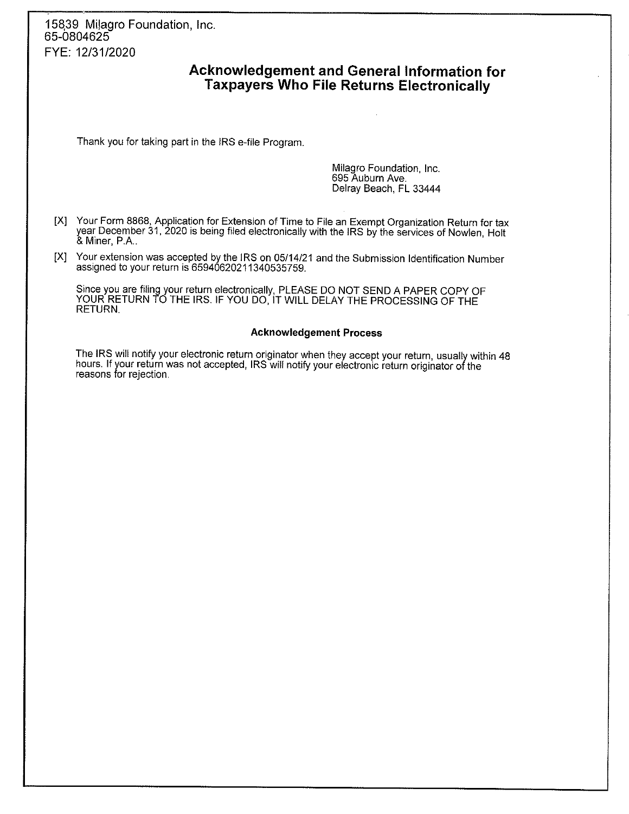15839 Milagro Foundation, Inc. 65-0804625 FYE: 12/31/2020

# Acknowledgement and General Information for **Taxpayers Who File Returns Electronically**

Thank you for taking part in the IRS e-file Program.

Milagro Foundation, Inc. 695 Auburn Ave. Delray Beach, FL 33444

- [X] Your Form 8868, Application for Extension of Time to File an Exempt Organization Return for tax year December 31, 2020 is being filed electronically with the IRS by the services of Nowlen, Holt & Miner, P.A.,
- [X] Your extension was accepted by the IRS on 05/14/21 and the Submission Identification Number assigned to your return is 65940620211340535759.

Since you are filing your return electronically, PLEASE DO NOT SEND A PAPER COPY OF YOUR RETURN TO THE IRS. IF YOU DO, IT WILL DELAY THE PROCESSING OF THE **RETURN.** 

#### **Acknowledgement Process**

The IRS will notify your electronic return originator when they accept your return, usually within 48 hours. If your return was not accepted, IRS will notify your electronic return originator of the reasons for rejection.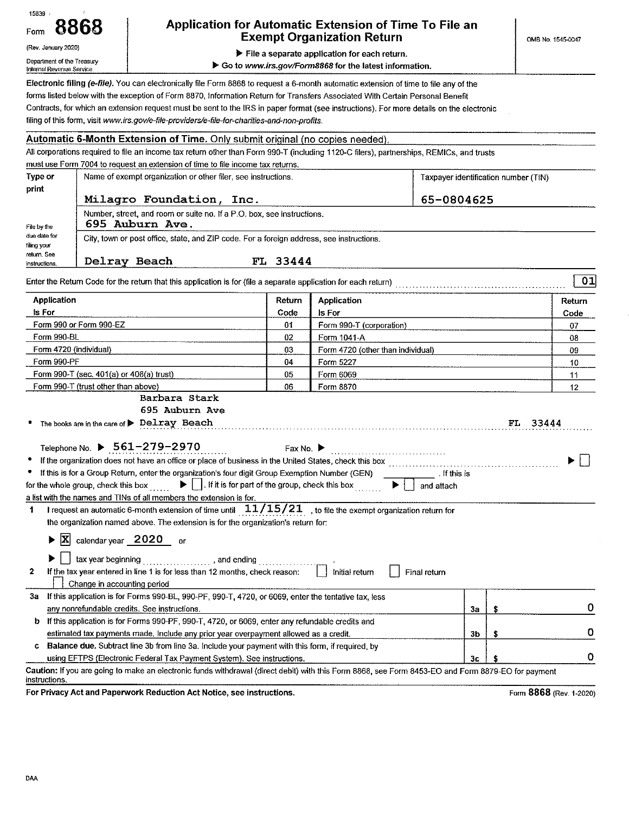| 15839<br>Application for Automatic Extension of Time To File an<br>Form<br><b>Exempt Organization Return</b><br>(Rev. January 2020)<br>File a separate application for each return.<br>Department of the Treasury |                                                                                 |                                                                                                                                                                                                                                                                                                                                                                                                                                                                                                                                                                          |                               |                                                        | OMB No. 1545-0047                    |     |                         |  |
|-------------------------------------------------------------------------------------------------------------------------------------------------------------------------------------------------------------------|---------------------------------------------------------------------------------|--------------------------------------------------------------------------------------------------------------------------------------------------------------------------------------------------------------------------------------------------------------------------------------------------------------------------------------------------------------------------------------------------------------------------------------------------------------------------------------------------------------------------------------------------------------------------|-------------------------------|--------------------------------------------------------|--------------------------------------|-----|-------------------------|--|
| Internal Revenue Service                                                                                                                                                                                          |                                                                                 |                                                                                                                                                                                                                                                                                                                                                                                                                                                                                                                                                                          |                               | Go to www.irs.gov/Form8868 for the latest information. |                                      |     |                         |  |
|                                                                                                                                                                                                                   |                                                                                 | Electronic filing (e-file). You can electronically file Form 8868 to request a 6-month automatic extension of time to file any of the<br>forms listed below with the exception of Form 8870, Information Return for Transfers Associated With Certain Personal Benefit<br>Contracts, for which an extension request must be sent to the IRS in paper format (see instructions). For more details on the electronic<br>filing of this form, visit www.irs.gov/e-file-providers/e-file-for-charities-and-non-profits.                                                      |                               |                                                        |                                      |     |                         |  |
|                                                                                                                                                                                                                   |                                                                                 | <b>Automatic 6-Month Extension of Time.</b> Only submit original (no copies needed)                                                                                                                                                                                                                                                                                                                                                                                                                                                                                      |                               |                                                        |                                      |     |                         |  |
|                                                                                                                                                                                                                   |                                                                                 | All corporations required to file an income tax return other than Form 990-T (including 1120-C filers), partnerships, REMICs, and trusts                                                                                                                                                                                                                                                                                                                                                                                                                                 |                               |                                                        |                                      |     |                         |  |
|                                                                                                                                                                                                                   |                                                                                 | must use Form 7004 to request an extension of time to file income tax returns.                                                                                                                                                                                                                                                                                                                                                                                                                                                                                           |                               |                                                        |                                      |     |                         |  |
| Type or                                                                                                                                                                                                           |                                                                                 | Name of exempt organization or other filer, see instructions.                                                                                                                                                                                                                                                                                                                                                                                                                                                                                                            |                               |                                                        | Taxpayer identification number (TIN) |     |                         |  |
| print                                                                                                                                                                                                             |                                                                                 |                                                                                                                                                                                                                                                                                                                                                                                                                                                                                                                                                                          |                               |                                                        |                                      |     |                         |  |
|                                                                                                                                                                                                                   |                                                                                 | Milagro Foundation, Inc.                                                                                                                                                                                                                                                                                                                                                                                                                                                                                                                                                 |                               |                                                        | 65-0804625                           |     |                         |  |
|                                                                                                                                                                                                                   |                                                                                 | Number, street, and room or suite no. If a P.O. box, see instructions.<br>695 Auburn Ave.                                                                                                                                                                                                                                                                                                                                                                                                                                                                                |                               |                                                        |                                      |     |                         |  |
| File by the<br>oue date for<br>filing your<br>return. See                                                                                                                                                         |                                                                                 | City, town or post office, state, and ZIP code. For a foreign address, see instructions.                                                                                                                                                                                                                                                                                                                                                                                                                                                                                 |                               |                                                        |                                      |     |                         |  |
| instructions.                                                                                                                                                                                                     | Delray Beach                                                                    | Enter the Return Code for the return that this application is for (file a separate application for each return)                                                                                                                                                                                                                                                                                                                                                                                                                                                          | FL 33444                      |                                                        |                                      |     | 01                      |  |
| <b>Application</b>                                                                                                                                                                                                |                                                                                 |                                                                                                                                                                                                                                                                                                                                                                                                                                                                                                                                                                          |                               |                                                        |                                      |     |                         |  |
|                                                                                                                                                                                                                   |                                                                                 |                                                                                                                                                                                                                                                                                                                                                                                                                                                                                                                                                                          | Return                        | Application                                            |                                      |     | Return                  |  |
| is For                                                                                                                                                                                                            |                                                                                 |                                                                                                                                                                                                                                                                                                                                                                                                                                                                                                                                                                          | Code                          | ls For                                                 |                                      |     | Code<br>07              |  |
|                                                                                                                                                                                                                   | Form 990 or Form 990-EZ                                                         |                                                                                                                                                                                                                                                                                                                                                                                                                                                                                                                                                                          |                               | 01<br>Form 990-T (corporation)                         |                                      |     |                         |  |
| Form 990-BL                                                                                                                                                                                                       |                                                                                 |                                                                                                                                                                                                                                                                                                                                                                                                                                                                                                                                                                          | 02                            | Form 1041-A                                            |                                      |     | 08                      |  |
| Form 4720 (individual)<br>Form 990-PF                                                                                                                                                                             |                                                                                 |                                                                                                                                                                                                                                                                                                                                                                                                                                                                                                                                                                          | 03                            | Form 4720 (other than individual)                      | 09                                   |     |                         |  |
|                                                                                                                                                                                                                   |                                                                                 |                                                                                                                                                                                                                                                                                                                                                                                                                                                                                                                                                                          | 04                            | Form 5227                                              |                                      |     | 10                      |  |
|                                                                                                                                                                                                                   | Form 990-T (sec. 401(a) or 408(a) trust)<br>Form 990-T (trust other than above) |                                                                                                                                                                                                                                                                                                                                                                                                                                                                                                                                                                          | 05<br>06                      | Form 6069<br>Form 8870                                 |                                      |     | 11                      |  |
|                                                                                                                                                                                                                   |                                                                                 | Barbara Stark                                                                                                                                                                                                                                                                                                                                                                                                                                                                                                                                                            |                               |                                                        |                                      |     | 12                      |  |
|                                                                                                                                                                                                                   |                                                                                 | 695 Auburn Ave                                                                                                                                                                                                                                                                                                                                                                                                                                                                                                                                                           |                               |                                                        |                                      |     |                         |  |
|                                                                                                                                                                                                                   |                                                                                 | The books are in the care of > Delray Beach                                                                                                                                                                                                                                                                                                                                                                                                                                                                                                                              |                               |                                                        |                                      | FL. | 33444                   |  |
| for the whole group, check this box<br>1                                                                                                                                                                          |                                                                                 | Telephone No. ▶ 561-279-2970<br>If the organization does not have an office or place of business in the United States, check this box<br>If this is for a Group Return, enter the organization's four digit Group Exemption Number (GEN)<br>If it is for part of the group, check this box<br>a list with the names and TINs of all members the extension is for.<br>I request an automatic 6-month extension of time until $11/15/21$ , to file the exempt organization return for<br>the organization named above. The extension is for the organization's return for: | Fax No. $\blacktriangleright$ |                                                        | . If this is<br>and attach           |     |                         |  |
|                                                                                                                                                                                                                   |                                                                                 | $ X $ calendar year 2020 or                                                                                                                                                                                                                                                                                                                                                                                                                                                                                                                                              |                               |                                                        |                                      |     |                         |  |
| 2                                                                                                                                                                                                                 | Change in accounting period                                                     | If the tax year entered in line 1 is for less than 12 months, check reason:                                                                                                                                                                                                                                                                                                                                                                                                                                                                                              |                               | Initial return                                         | Final return                         |     |                         |  |
| За                                                                                                                                                                                                                |                                                                                 | If this application is for Forms 990-BL, 990-PF, 990-T, 4720, or 6069, enter the tentative tax, less                                                                                                                                                                                                                                                                                                                                                                                                                                                                     |                               |                                                        |                                      |     |                         |  |
|                                                                                                                                                                                                                   |                                                                                 | any nonrefundable credits. See instructions.                                                                                                                                                                                                                                                                                                                                                                                                                                                                                                                             |                               |                                                        | 3a                                   | \$  | 0                       |  |
| b                                                                                                                                                                                                                 |                                                                                 | If this application is for Forms 990-PF, 990-T, 4720, or 6069, enter any refundable credits and                                                                                                                                                                                                                                                                                                                                                                                                                                                                          |                               |                                                        |                                      |     |                         |  |
|                                                                                                                                                                                                                   |                                                                                 | estimated tax payments made. Include any prior year overpayment allowed as a credit.                                                                                                                                                                                                                                                                                                                                                                                                                                                                                     |                               |                                                        | 3b                                   | \$  | 0                       |  |
|                                                                                                                                                                                                                   |                                                                                 | <b>Balance due.</b> Subtract line 3b from line 3a. Include your payment with this form, if required, by                                                                                                                                                                                                                                                                                                                                                                                                                                                                  |                               |                                                        |                                      |     |                         |  |
|                                                                                                                                                                                                                   |                                                                                 | using EFTPS (Electronic Federal Tax Payment System). See instructions.                                                                                                                                                                                                                                                                                                                                                                                                                                                                                                   |                               |                                                        | Зc                                   |     | 0                       |  |
|                                                                                                                                                                                                                   |                                                                                 | Caution: If you are going to make an electronic funds withdrawal (direct debit) with this Form 8868, see Form 8453-EO and Form 8879-EO for payment                                                                                                                                                                                                                                                                                                                                                                                                                       |                               |                                                        |                                      |     |                         |  |
| instructions.                                                                                                                                                                                                     |                                                                                 |                                                                                                                                                                                                                                                                                                                                                                                                                                                                                                                                                                          |                               |                                                        |                                      |     |                         |  |
|                                                                                                                                                                                                                   |                                                                                 | For Privacy Act and Paperwork Reduction Act Notice, see instructions.                                                                                                                                                                                                                                                                                                                                                                                                                                                                                                    |                               |                                                        |                                      |     | Form 8868 (Rev. 1-2020) |  |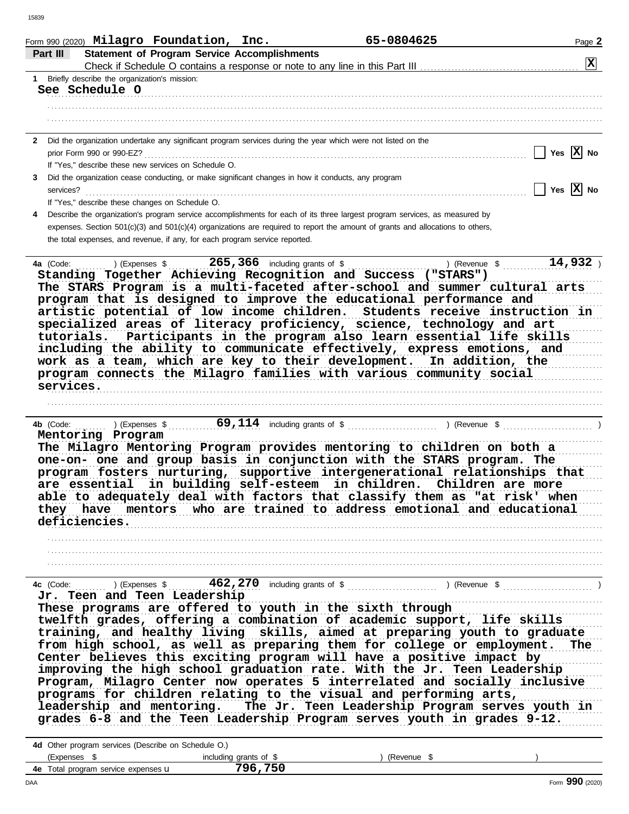| 15839     |                                                                                                                                                      |               |                |
|-----------|------------------------------------------------------------------------------------------------------------------------------------------------------|---------------|----------------|
| Part III  | Form 990 (2020) $\texttt{Milagro}$ Foundation, Inc.<br><b>Statement of Program Service Accomplishments</b>                                           | 65-0804625    | Page 2         |
|           |                                                                                                                                                      |               | $ \mathbf{x} $ |
|           | 1 Briefly describe the organization's mission:                                                                                                       |               |                |
|           | See Schedule O                                                                                                                                       |               |                |
|           |                                                                                                                                                      |               |                |
|           |                                                                                                                                                      |               |                |
|           | 2 Did the organization undertake any significant program services during the year which were not listed on the                                       |               |                |
|           | prior Form 990 or 990-EZ?<br>If "Yes," describe these new services on Schedule O.                                                                    |               | Yes $ X $ No   |
| 3         | Did the organization cease conducting, or make significant changes in how it conducts, any program                                                   |               |                |
|           | services?                                                                                                                                            |               | Yes $X$ No     |
|           | If "Yes," describe these changes on Schedule O.                                                                                                      |               |                |
| 4         | Describe the organization's program service accomplishments for each of its three largest program services, as measured by                           |               |                |
|           | expenses. Section 501(c)(3) and 501(c)(4) organizations are required to report the amount of grants and allocations to others,                       |               |                |
|           | the total expenses, and revenue, if any, for each program service reported.                                                                          |               |                |
| 4a (Code: | $265, 366$ including grants of \$<br>) (Expenses \$<br>Standing Together Achieving Recognition and Success ("STARS")                                 | ) (Revenue \$ | $14,932$ )     |
|           | The STARS Program is a multi-faceted after-school and summer cultural arts<br>program that is designed to improve the educational performance and    |               |                |
|           | artistic potential of low income children. Students receive instruction in                                                                           |               |                |
|           | specialized areas of literacy proficiency, science, technology and art<br>Participants in the program also learn essential life skills<br>tutorials. |               |                |
|           | including the ability to communicate effectively, express emotions, and                                                                              |               |                |
|           | work as a team, which are key to their development. In addition, the                                                                                 |               |                |
|           | program connects the Milagro families with various community social                                                                                  |               |                |
|           | services.                                                                                                                                            |               |                |
|           |                                                                                                                                                      |               |                |
| 4b (Code: | ) (Expenses $\frac{1}{2}$                                                                                                                            |               |                |
|           | Mentoring Program                                                                                                                                    |               |                |
|           | The Milagro Mentoring Program provides mentoring to children on both a                                                                               |               |                |
|           | one-on- one and group basis in conjunction with the STARS program. The<br>program fosters nurturing, supportive intergenerational relationships that |               |                |
|           | are essential in building self-esteem in children. Children are more                                                                                 |               |                |
|           | able to adequately deal with factors that classify them as "at risk' when<br>they have mentors who are trained to address emotional and educational  |               |                |
|           | deficiencies.                                                                                                                                        |               |                |
|           |                                                                                                                                                      |               |                |
|           | ,我们就是一个人的人,我们就是一个人的人,我们就是一个人的人,我们就是一个人的人,我们就是一个人的人,我们就是一个人的人,我们就是一个人的人,我们就是一个人的人                                                                     |               |                |
|           |                                                                                                                                                      |               |                |
|           |                                                                                                                                                      |               |                |
|           | Jr. Teen and Teen Leadership<br>These programs are offered to youth in the sixth through                                                             |               |                |
|           |                                                                                                                                                      |               |                |
|           | twelfth grades, offering a combination of academic support, life skills<br>training, and healthy living skills, aimed at preparing youth to graduate |               |                |
|           | from high school, as well as preparing them for college or employment. The<br>Center believes this exciting program will have a positive impact by   |               |                |
|           | improving the high school graduation rate. With the Jr. Teen Leadership                                                                              |               |                |
|           | Program, Milagro Center now operates 5 interrelated and socially inclusive                                                                           |               |                |
|           | programs for children relating to the visual and performing arts,                                                                                    |               |                |
|           | leadership and mentoring. The Jr. Teen Leadership Program serves youth in<br>grades 6-8 and the Teen Leadership Program serves youth in grades 9-12. |               |                |

| 4d Other program services (Describe on Schedule O.) |                        |          |  |  |  |
|-----------------------------------------------------|------------------------|----------|--|--|--|
| (Expenses                                           | including grants of \$ | (Revenue |  |  |  |
| <b>4e</b> Total program service expenses <b>u</b>   | 796,750                |          |  |  |  |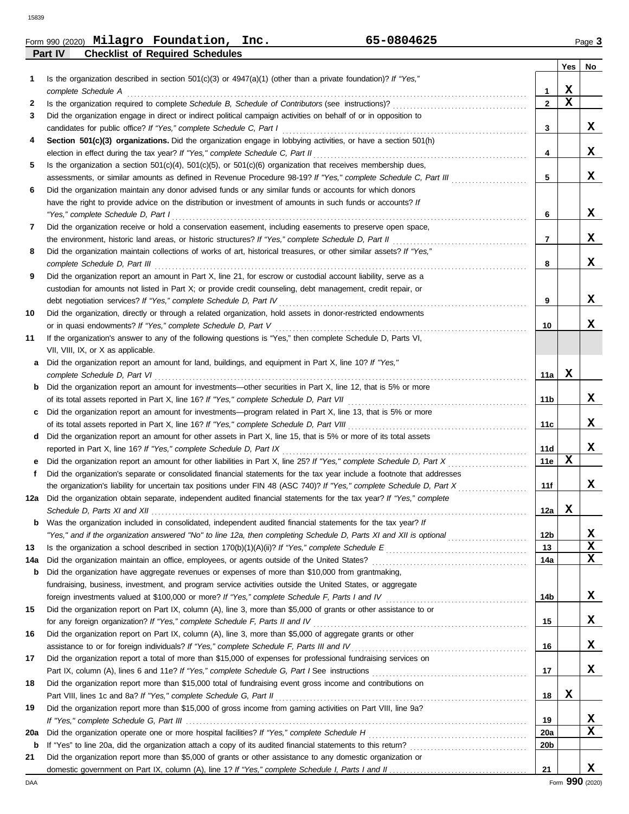15839

Г

|         | Form 990 (2020) $\texttt{Milagro}$ Foundation, | Inc. | 65-0804625 | Page 3 |
|---------|------------------------------------------------|------|------------|--------|
| Part IV | <b>Checklist of Required Schedules</b>         |      |            |        |

|     |                                                                                                                                                                                                                     |                 | Yes         | No |
|-----|---------------------------------------------------------------------------------------------------------------------------------------------------------------------------------------------------------------------|-----------------|-------------|----|
| 1   | Is the organization described in section $501(c)(3)$ or $4947(a)(1)$ (other than a private foundation)? If "Yes,"                                                                                                   |                 |             |    |
|     | complete Schedule A                                                                                                                                                                                                 | 1               | X           |    |
| 2   |                                                                                                                                                                                                                     | $\mathbf{2}$    | $\mathbf x$ |    |
| 3   | Did the organization engage in direct or indirect political campaign activities on behalf of or in opposition to                                                                                                    |                 |             |    |
|     | candidates for public office? If "Yes," complete Schedule C, Part I                                                                                                                                                 | 3               |             | x  |
| 4   | Section 501(c)(3) organizations. Did the organization engage in lobbying activities, or have a section 501(h)                                                                                                       |                 |             |    |
|     |                                                                                                                                                                                                                     | 4               |             | x  |
| 5   | Is the organization a section $501(c)(4)$ , $501(c)(5)$ , or $501(c)(6)$ organization that receives membership dues,                                                                                                |                 |             |    |
|     | assessments, or similar amounts as defined in Revenue Procedure 98-19? If "Yes," complete Schedule C, Part III                                                                                                      | 5               |             | x  |
| 6   | Did the organization maintain any donor advised funds or any similar funds or accounts for which donors                                                                                                             |                 |             |    |
|     | have the right to provide advice on the distribution or investment of amounts in such funds or accounts? If                                                                                                         |                 |             |    |
|     | "Yes," complete Schedule D, Part I                                                                                                                                                                                  | 6               |             | x  |
| 7   | Did the organization receive or hold a conservation easement, including easements to preserve open space,                                                                                                           |                 |             |    |
|     |                                                                                                                                                                                                                     | $\overline{7}$  |             | x  |
| 8   | Did the organization maintain collections of works of art, historical treasures, or other similar assets? If "Yes,"                                                                                                 |                 |             | x  |
|     |                                                                                                                                                                                                                     | 8               |             |    |
| 9   | Did the organization report an amount in Part X, line 21, for escrow or custodial account liability, serve as a                                                                                                     |                 |             |    |
|     | custodian for amounts not listed in Part X; or provide credit counseling, debt management, credit repair, or                                                                                                        | 9               |             | x  |
| 10  | debt negotiation services? If "Yes," complete Schedule D, Part IV [[[[[[[[[[[[[[[[[[[[[[[[]]]]]]]]]<br>Did the organization, directly or through a related organization, hold assets in donor-restricted endowments |                 |             |    |
|     | or in quasi endowments? If "Yes," complete Schedule D, Part V                                                                                                                                                       | 10              |             | x  |
| 11  | If the organization's answer to any of the following questions is "Yes," then complete Schedule D, Parts VI,                                                                                                        |                 |             |    |
|     | VII, VIII, IX, or X as applicable.                                                                                                                                                                                  |                 |             |    |
| a   | Did the organization report an amount for land, buildings, and equipment in Part X, line 10? If "Yes,"                                                                                                              |                 |             |    |
|     | complete Schedule D, Part VI                                                                                                                                                                                        | 11a             | х           |    |
| b   | Did the organization report an amount for investments-other securities in Part X, line 12, that is 5% or more                                                                                                       |                 |             |    |
|     |                                                                                                                                                                                                                     | 11b             |             | x  |
| c   | Did the organization report an amount for investments—program related in Part X, line 13, that is 5% or more                                                                                                        |                 |             |    |
|     |                                                                                                                                                                                                                     | 11c             |             | x  |
| d   | Did the organization report an amount for other assets in Part X, line 15, that is 5% or more of its total assets                                                                                                   |                 |             |    |
|     | reported in Part X, line 16? If "Yes," complete Schedule D, Part IX                                                                                                                                                 | 11d             |             | X  |
|     |                                                                                                                                                                                                                     | 11e             | х           |    |
| f   | Did the organization's separate or consolidated financial statements for the tax year include a footnote that addresses                                                                                             |                 |             |    |
|     | the organization's liability for uncertain tax positions under FIN 48 (ASC 740)? If "Yes," complete Schedule D, Part X                                                                                              | 11f             |             | x  |
| 12a | Did the organization obtain separate, independent audited financial statements for the tax year? If "Yes," complete                                                                                                 |                 |             |    |
|     |                                                                                                                                                                                                                     | 12a             | x           |    |
|     | Was the organization included in consolidated, independent audited financial statements for the tax year? If                                                                                                        |                 |             |    |
|     | "Yes," and if the organization answered "No" to line 12a, then completing Schedule D, Parts XI and XII is optional                                                                                                  | 12 <sub>b</sub> |             | X  |
| 13  |                                                                                                                                                                                                                     | 13              |             | X  |
| 14a |                                                                                                                                                                                                                     | 14a             |             | x  |
| b   | Did the organization have aggregate revenues or expenses of more than \$10,000 from grantmaking,                                                                                                                    |                 |             |    |
|     | fundraising, business, investment, and program service activities outside the United States, or aggregate                                                                                                           |                 |             |    |
|     | foreign investments valued at \$100,000 or more? If "Yes," complete Schedule F, Parts I and IV [[[[[[[[[[[[[[[                                                                                                      | 14b             |             | X  |
| 15  | Did the organization report on Part IX, column (A), line 3, more than \$5,000 of grants or other assistance to or                                                                                                   |                 |             |    |
|     | for any foreign organization? If "Yes," complete Schedule F, Parts II and IV                                                                                                                                        | 15              |             | X  |
| 16  | Did the organization report on Part IX, column (A), line 3, more than \$5,000 of aggregate grants or other                                                                                                          |                 |             |    |
|     |                                                                                                                                                                                                                     | 16              |             | X  |
| 17  | Did the organization report a total of more than \$15,000 of expenses for professional fundraising services on                                                                                                      |                 |             |    |
|     |                                                                                                                                                                                                                     | 17              |             | X  |
| 18  | Did the organization report more than \$15,000 total of fundraising event gross income and contributions on                                                                                                         | 18              | X           |    |
| 19  |                                                                                                                                                                                                                     |                 |             |    |
|     | Did the organization report more than \$15,000 of gross income from gaming activities on Part VIII, line 9a?                                                                                                        | 19              |             | X  |
| 20a |                                                                                                                                                                                                                     | 20a             |             | x  |
| b   |                                                                                                                                                                                                                     | 20 <sub>b</sub> |             |    |
| 21  | Did the organization report more than \$5,000 of grants or other assistance to any domestic organization or                                                                                                         |                 |             |    |
|     |                                                                                                                                                                                                                     | 21              |             | X  |
|     |                                                                                                                                                                                                                     |                 |             |    |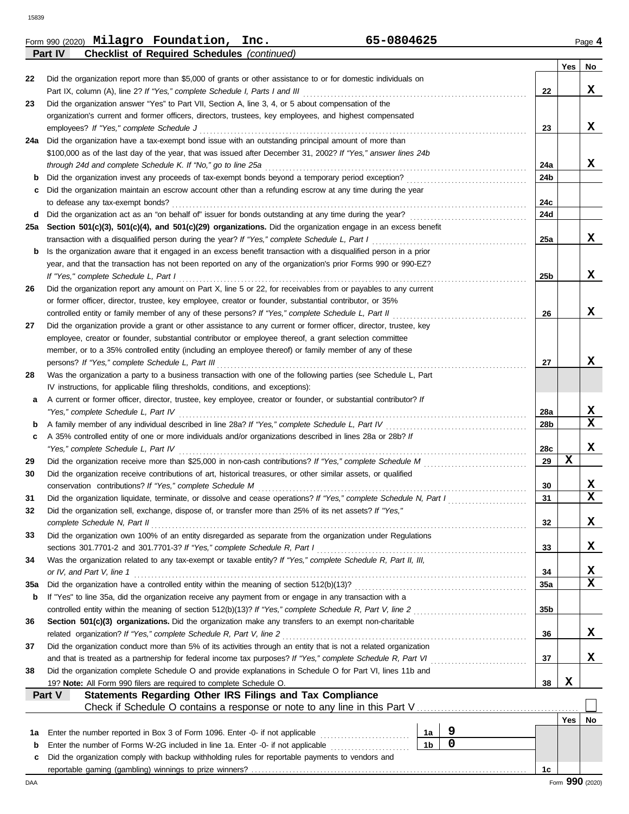|     | 65-0804625<br>Form 990 (2020) Milagro Foundation, Inc.                                                             |                |             |                 |     | Page 4                  |
|-----|--------------------------------------------------------------------------------------------------------------------|----------------|-------------|-----------------|-----|-------------------------|
|     | <b>Checklist of Required Schedules (continued)</b><br>Part IV                                                      |                |             |                 |     |                         |
|     |                                                                                                                    |                |             |                 | Yes | No                      |
| 22  | Did the organization report more than \$5,000 of grants or other assistance to or for domestic individuals on      |                |             |                 |     |                         |
|     | Part IX, column (A), line 2? If "Yes," complete Schedule I, Parts I and III                                        |                |             | 22              |     | X                       |
| 23  | Did the organization answer "Yes" to Part VII, Section A, line 3, 4, or 5 about compensation of the                |                |             |                 |     |                         |
|     | organization's current and former officers, directors, trustees, key employees, and highest compensated            |                |             |                 |     |                         |
|     | employees? If "Yes," complete Schedule J                                                                           |                |             | 23              |     | X                       |
|     | 24a Did the organization have a tax-exempt bond issue with an outstanding principal amount of more than            |                |             |                 |     |                         |
|     | \$100,000 as of the last day of the year, that was issued after December 31, 2002? If "Yes," answer lines 24b      |                |             |                 |     |                         |
|     | through 24d and complete Schedule K. If "No," go to line 25a                                                       |                |             | 24a             |     | x                       |
| b   | Did the organization invest any proceeds of tax-exempt bonds beyond a temporary period exception?                  |                |             | 24b             |     |                         |
| c   | Did the organization maintain an escrow account other than a refunding escrow at any time during the year          |                |             |                 |     |                         |
|     | to defease any tax-exempt bonds?                                                                                   |                |             | 24c             |     |                         |
| d   | Did the organization act as an "on behalf of" issuer for bonds outstanding at any time during the year?            |                |             | 24d             |     |                         |
| 25а | Section 501(c)(3), 501(c)(4), and 501(c)(29) organizations. Did the organization engage in an excess benefit       |                |             |                 |     |                         |
|     | transaction with a disqualified person during the year? If "Yes," complete Schedule L, Part I                      |                |             | 25a             |     | x                       |
| b   | Is the organization aware that it engaged in an excess benefit transaction with a disqualified person in a prior   |                |             |                 |     |                         |
|     | year, and that the transaction has not been reported on any of the organization's prior Forms 990 or 990-EZ?       |                |             |                 |     |                         |
|     | If "Yes," complete Schedule L, Part I                                                                              |                |             | 25b             |     | X                       |
| 26  | Did the organization report any amount on Part X, line 5 or 22, for receivables from or payables to any current    |                |             |                 |     |                         |
|     | or former officer, director, trustee, key employee, creator or founder, substantial contributor, or 35%            |                |             |                 |     |                         |
|     | controlled entity or family member of any of these persons? If "Yes," complete Schedule L, Part II                 |                |             | 26              |     | X                       |
| 27  | Did the organization provide a grant or other assistance to any current or former officer, director, trustee, key  |                |             |                 |     |                         |
|     | employee, creator or founder, substantial contributor or employee thereof, a grant selection committee             |                |             |                 |     |                         |
|     | member, or to a 35% controlled entity (including an employee thereof) or family member of any of these             |                |             |                 |     |                         |
|     | persons? If "Yes," complete Schedule L, Part III                                                                   |                |             | 27              |     | x                       |
| 28  | Was the organization a party to a business transaction with one of the following parties (see Schedule L, Part     |                |             |                 |     |                         |
|     | IV instructions, for applicable filing thresholds, conditions, and exceptions):                                    |                |             |                 |     |                         |
| a   | A current or former officer, director, trustee, key employee, creator or founder, or substantial contributor? If   |                |             |                 |     |                         |
|     | "Yes," complete Schedule L, Part IV                                                                                |                |             | 28a             |     | X                       |
| b   | A family member of any individual described in line 28a? If "Yes," complete Schedule L, Part IV                    |                |             | 28b             |     | X                       |
| c   | A 35% controlled entity of one or more individuals and/or organizations described in lines 28a or 28b? If          |                |             |                 |     |                         |
|     | "Yes," complete Schedule L, Part IV                                                                                |                |             | 28c             |     | X                       |
| 29  | Did the organization receive more than \$25,000 in non-cash contributions? If "Yes," complete Schedule M           |                |             | 29              | X   |                         |
| 30  | Did the organization receive contributions of art, historical treasures, or other similar assets, or qualified     |                |             |                 |     |                         |
|     | conservation contributions? If "Yes," complete Schedule M                                                          |                |             | 30              |     | X                       |
| 31  | Did the organization liquidate, terminate, or dissolve and cease operations? If "Yes," complete Schedule N, Part I |                |             | 31              |     | $\overline{\mathbf{x}}$ |
| 32  | Did the organization sell, exchange, dispose of, or transfer more than 25% of its net assets? If "Yes,"            |                |             |                 |     |                         |
|     | complete Schedule N, Part II                                                                                       |                |             | 32              |     | X                       |
| 33  | Did the organization own 100% of an entity disregarded as separate from the organization under Regulations         |                |             |                 |     |                         |
|     | sections 301.7701-2 and 301.7701-3? If "Yes," complete Schedule R, Part I                                          |                |             | 33              |     | X                       |
| 34  | Was the organization related to any tax-exempt or taxable entity? If "Yes," complete Schedule R, Part II, III,     |                |             |                 |     |                         |
|     | or IV, and Part V, line 1                                                                                          |                |             | 34              |     | X                       |
| 35a | Did the organization have a controlled entity within the meaning of section 512(b)(13)?                            |                |             | 35a             |     | X                       |
| b   | If "Yes" to line 35a, did the organization receive any payment from or engage in any transaction with a            |                |             |                 |     |                         |
|     | controlled entity within the meaning of section 512(b)(13)? If "Yes," complete Schedule R, Part V, line 2          |                |             | 35 <sub>b</sub> |     |                         |
| 36  | Section 501(c)(3) organizations. Did the organization make any transfers to an exempt non-charitable               |                |             |                 |     |                         |
|     | related organization? If "Yes," complete Schedule R, Part V, line 2                                                |                |             | 36              |     | X                       |
| 37  | Did the organization conduct more than 5% of its activities through an entity that is not a related organization   |                |             |                 |     |                         |
|     | and that is treated as a partnership for federal income tax purposes? If "Yes," complete Schedule R, Part VI       |                |             | 37              |     | X                       |
| 38  | Did the organization complete Schedule O and provide explanations in Schedule O for Part VI, lines 11b and         |                |             |                 |     |                         |
|     | 19? Note: All Form 990 filers are required to complete Schedule O.                                                 |                |             | 38              | X   |                         |
|     | Statements Regarding Other IRS Filings and Tax Compliance<br>Part V                                                |                |             |                 |     |                         |
|     | Check if Schedule O contains a response or note to any line in this Part V                                         |                |             |                 |     |                         |
|     |                                                                                                                    |                |             |                 | Yes | No                      |
| 1a  | Enter the number reported in Box 3 of Form 1096. Enter -0- if not applicable<br>.                                  | 1a             | 9           |                 |     |                         |
| b   | Enter the number of Forms W-2G included in line 1a. Enter -0- if not applicable                                    | 1 <sub>b</sub> | $\mathbf 0$ |                 |     |                         |

Did the organization comply with backup withholding rules for reportable payments to vendors and

**c**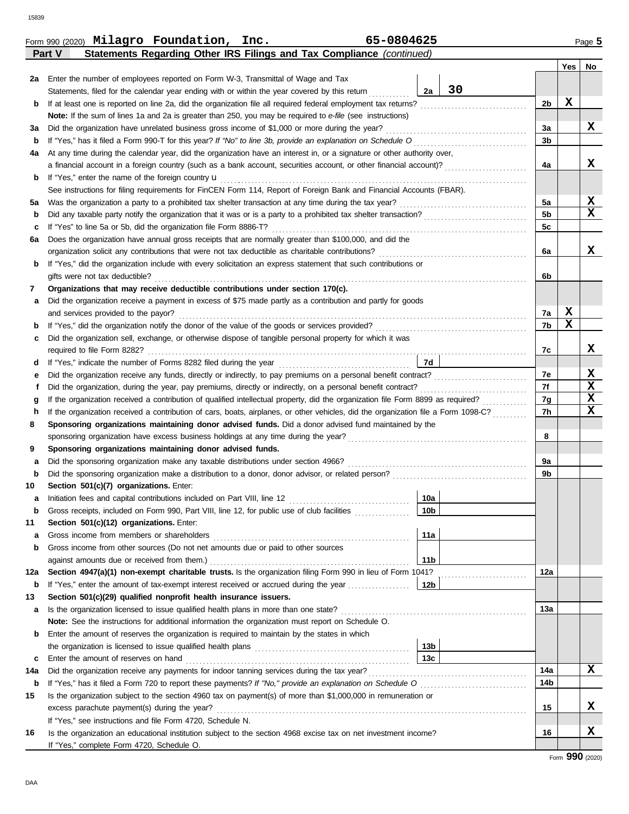|     |                                                                                                                                    |                 |    |                | Yes         | No               |  |
|-----|------------------------------------------------------------------------------------------------------------------------------------|-----------------|----|----------------|-------------|------------------|--|
| 2a  | Enter the number of employees reported on Form W-3, Transmittal of Wage and Tax                                                    |                 |    |                |             |                  |  |
|     | Statements, filed for the calendar year ending with or within the year covered by this return                                      | 2a              | 30 |                |             |                  |  |
| b   |                                                                                                                                    |                 |    | 2 <sub>b</sub> | $\mathbf x$ |                  |  |
|     | Note: If the sum of lines 1a and 2a is greater than 250, you may be required to e-file (see instructions)                          |                 |    |                |             |                  |  |
| За  |                                                                                                                                    |                 |    | За             |             | X                |  |
| b   |                                                                                                                                    |                 |    | 3 <sub>b</sub> |             |                  |  |
| 4a  | At any time during the calendar year, did the organization have an interest in, or a signature or other authority over,            |                 |    |                |             |                  |  |
|     | a financial account in a foreign country (such as a bank account, securities account, or other financial account)?                 |                 |    | 4a             |             | x                |  |
| b   | If "Yes," enter the name of the foreign country <b>u</b>                                                                           |                 |    |                |             |                  |  |
|     | See instructions for filing requirements for FinCEN Form 114, Report of Foreign Bank and Financial Accounts (FBAR).                |                 |    |                |             |                  |  |
| 5a  |                                                                                                                                    |                 |    | 5a             |             | X                |  |
| b   |                                                                                                                                    |                 |    | 5 <sub>b</sub> |             | $\mathbf x$      |  |
| c   |                                                                                                                                    |                 |    | 5c             |             |                  |  |
| 6a  | Does the organization have annual gross receipts that are normally greater than \$100,000, and did the                             |                 |    |                |             |                  |  |
|     |                                                                                                                                    |                 |    | 6a             |             | X                |  |
| b   | If "Yes," did the organization include with every solicitation an express statement that such contributions or                     |                 |    |                |             |                  |  |
|     | gifts were not tax deductible?                                                                                                     |                 |    | 6b             |             |                  |  |
| 7   | Organizations that may receive deductible contributions under section 170(c).                                                      |                 |    |                |             |                  |  |
| а   | Did the organization receive a payment in excess of \$75 made partly as a contribution and partly for goods                        |                 |    |                |             |                  |  |
|     | and services provided to the payor?                                                                                                |                 |    | 7a             | $\mathbf x$ |                  |  |
| b   |                                                                                                                                    |                 |    | 7b             | $\mathbf x$ |                  |  |
| c   | Did the organization sell, exchange, or otherwise dispose of tangible personal property for which it was                           |                 |    |                |             |                  |  |
|     |                                                                                                                                    |                 |    | 7c             |             | X                |  |
| d   |                                                                                                                                    | 7d              |    |                |             |                  |  |
| е   |                                                                                                                                    |                 |    | 7e             |             | X<br>$\mathbf x$ |  |
| f   |                                                                                                                                    |                 |    |                |             |                  |  |
| g   |                                                                                                                                    |                 |    |                |             |                  |  |
| h   | If the organization received a contribution of cars, boats, airplanes, or other vehicles, did the organization file a Form 1098-C? |                 |    |                |             |                  |  |
| 8   | Sponsoring organizations maintaining donor advised funds. Did a donor advised fund maintained by the                               |                 |    |                |             |                  |  |
|     |                                                                                                                                    |                 |    | 8              |             |                  |  |
| 9   | Sponsoring organizations maintaining donor advised funds.                                                                          |                 |    |                |             |                  |  |
| а   | Did the sponsoring organization make any taxable distributions under section 4966?                                                 |                 |    | 9a             |             |                  |  |
| b   |                                                                                                                                    |                 |    | 9b             |             |                  |  |
| 10  | Section 501(c)(7) organizations. Enter:                                                                                            |                 |    |                |             |                  |  |
| а   |                                                                                                                                    | 10a             |    |                |             |                  |  |
| b   | Gross receipts, included on Form 990, Part VIII, line 12, for public use of club facilities                                        | 10 <sub>b</sub> |    |                |             |                  |  |
| 11  | Section 501(c)(12) organizations. Enter:                                                                                           |                 |    |                |             |                  |  |
| а   | Gross income from members or shareholders                                                                                          | 11a             |    |                |             |                  |  |
| b   | Gross income from other sources (Do not net amounts due or paid to other sources                                                   |                 |    |                |             |                  |  |
|     | against amounts due or received from them.)                                                                                        | 11 <sub>b</sub> |    |                |             |                  |  |
| 12a | Section 4947(a)(1) non-exempt charitable trusts. Is the organization filing Form 990 in lieu of Form 1041?                         |                 |    | 12a            |             |                  |  |
| b   |                                                                                                                                    |                 |    |                |             |                  |  |
| 13  | Section 501(c)(29) qualified nonprofit health insurance issuers.                                                                   |                 |    |                |             |                  |  |
| а   |                                                                                                                                    |                 |    | 13a            |             |                  |  |
|     | Note: See the instructions for additional information the organization must report on Schedule O.                                  |                 |    |                |             |                  |  |
| b   | Enter the amount of reserves the organization is required to maintain by the states in which                                       |                 |    |                |             |                  |  |
|     |                                                                                                                                    | 13b             |    |                |             |                  |  |
| c   | Enter the amount of reserves on hand                                                                                               | 13 <sub>c</sub> |    |                |             |                  |  |
| 14a |                                                                                                                                    |                 |    | 14a            |             | X                |  |
| b   |                                                                                                                                    |                 |    | 14b            |             |                  |  |
| 15  | Is the organization subject to the section 4960 tax on payment(s) of more than \$1,000,000 in remuneration or                      |                 |    |                |             |                  |  |
|     |                                                                                                                                    |                 |    | 15             |             | X                |  |
|     | If "Yes," see instructions and file Form 4720, Schedule N.                                                                         |                 |    |                |             |                  |  |
| 16  | Is the organization an educational institution subject to the section 4968 excise tax on net investment income?                    |                 |    | 16             |             | X                |  |
|     | If "Yes," complete Form 4720, Schedule O.                                                                                          |                 |    |                |             |                  |  |

**Part V Statements Regarding Other IRS Filings and Tax Compliance** *(continued)* Form 990 (2020) Page **5 Milagro Foundation, Inc. 65-0804625**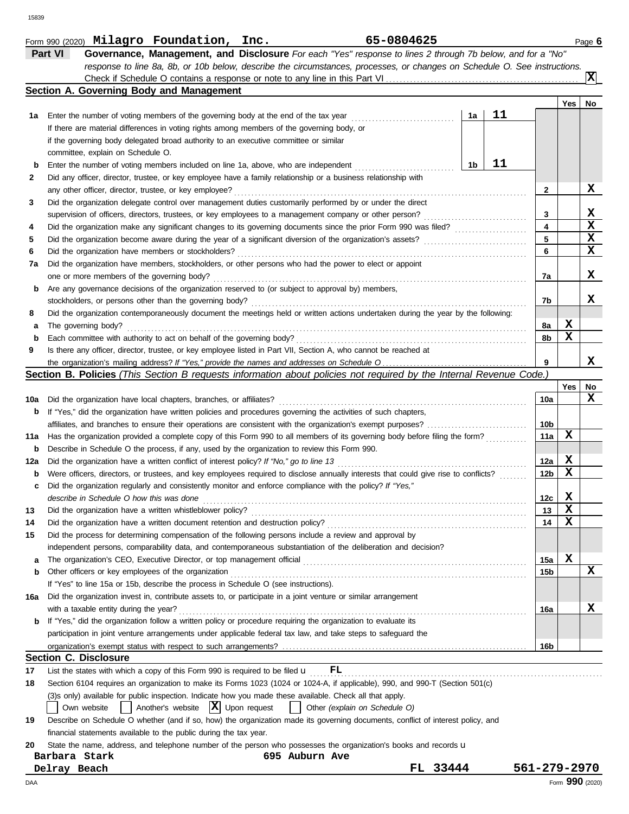|     | response to line 8a, 8b, or 10b below, describe the circumstances, processes, or changes on Schedule O. See instructions.           |    |    |                 |                 |     |
|-----|-------------------------------------------------------------------------------------------------------------------------------------|----|----|-----------------|-----------------|-----|
|     |                                                                                                                                     |    |    |                 |                 | ΙXΙ |
|     | Section A. Governing Body and Management                                                                                            |    |    |                 |                 |     |
|     |                                                                                                                                     |    |    |                 | Yes             | No  |
| 1а  | Enter the number of voting members of the governing body at the end of the tax year                                                 | 1a | 11 |                 |                 |     |
|     | If there are material differences in voting rights among members of the governing body, or                                          |    |    |                 |                 |     |
|     | if the governing body delegated broad authority to an executive committee or similar                                                |    |    |                 |                 |     |
|     | committee, explain on Schedule O.                                                                                                   |    |    |                 |                 |     |
| b   | Enter the number of voting members included on line 1a, above, who are independent                                                  | 1b | 11 |                 |                 |     |
| 2   | Did any officer, director, trustee, or key employee have a family relationship or a business relationship with                      |    |    |                 |                 |     |
|     | any other officer, director, trustee, or key employee?                                                                              |    |    | 2               |                 | x   |
| 3   | Did the organization delegate control over management duties customarily performed by or under the direct                           |    |    |                 |                 |     |
|     | supervision of officers, directors, trustees, or key employees to a management company or other person?                             |    |    | 3               |                 | X   |
| 4   |                                                                                                                                     |    |    | 4               |                 | X   |
| 5   |                                                                                                                                     |    |    | 5               |                 | x   |
| 6   | Did the organization have members or stockholders?                                                                                  |    |    | 6               |                 | x   |
| 7a  | Did the organization have members, stockholders, or other persons who had the power to elect or appoint                             |    |    |                 |                 |     |
|     | one or more members of the governing body?                                                                                          |    |    | 7a              |                 | x   |
| b   | Are any governance decisions of the organization reserved to (or subject to approval by) members,                                   |    |    |                 |                 |     |
|     | stockholders, or persons other than the governing body?                                                                             |    |    | 7b              |                 | x   |
| 8   | Did the organization contemporaneously document the meetings held or written actions undertaken during the year by the following:   |    |    |                 |                 |     |
| а   | The governing body?                                                                                                                 |    |    | 8a              | X               |     |
| b   | Each committee with authority to act on behalf of the governing body?                                                               |    |    | 8b              | x               |     |
| 9   | Is there any officer, director, trustee, or key employee listed in Part VII, Section A, who cannot be reached at                    |    |    |                 |                 |     |
|     |                                                                                                                                     |    |    | 9               |                 | x   |
|     | Section B. Policies (This Section B requests information about policies not required by the Internal Revenue Code.)                 |    |    |                 |                 |     |
|     |                                                                                                                                     |    |    |                 | Yes             | No  |
| 10a | Did the organization have local chapters, branches, or affiliates?                                                                  |    |    | 10a             |                 | x   |
| b   | If "Yes," did the organization have written policies and procedures governing the activities of such chapters,                      |    |    |                 |                 |     |
|     |                                                                                                                                     |    |    | 10b             |                 |     |
| 11a | Has the organization provided a complete copy of this Form 990 to all members of its governing body before filing the form?         |    |    | 11a             | x               |     |
| b   | Describe in Schedule O the process, if any, used by the organization to review this Form 990.                                       |    |    |                 |                 |     |
| 12a | Did the organization have a written conflict of interest policy? If "No," go to line 13                                             |    |    | 12a             | X               |     |
| b   | Were officers, directors, or trustees, and key employees required to disclose annually interests that could give rise to conflicts? |    |    | 12 <sub>b</sub> | х               |     |
| c   | Did the organization regularly and consistently monitor and enforce compliance with the policy? If "Yes,"                           |    |    |                 |                 |     |
|     | describe in Schedule O how this was done                                                                                            |    |    | 12c             | X               |     |
| 13  | Did the organization have a written whistleblower policy?                                                                           |    |    | 13              | X               |     |
|     | Did the organization have a written document retention and destruction policy?                                                      |    |    | 14              | X               |     |
| 15  | Did the process for determining compensation of the following persons include a review and approval by                              |    |    |                 |                 |     |
|     | independent persons, comparability data, and contemporaneous substantiation of the deliberation and decision?                       |    |    |                 |                 |     |
| а   |                                                                                                                                     |    |    | 15a             | X               |     |
| b   | Other officers or key employees of the organization                                                                                 |    |    | 15b             |                 | x   |
|     | If "Yes" to line 15a or 15b, describe the process in Schedule O (see instructions).                                                 |    |    |                 |                 |     |
| 16a | Did the organization invest in, contribute assets to, or participate in a joint venture or similar arrangement                      |    |    |                 |                 |     |
|     | with a taxable entity during the year?                                                                                              |    |    | 16a             |                 | x   |
| b   | If "Yes," did the organization follow a written policy or procedure requiring the organization to evaluate its                      |    |    |                 |                 |     |
|     | participation in joint venture arrangements under applicable federal tax law, and take steps to safeguard the                       |    |    |                 |                 |     |
|     |                                                                                                                                     |    |    | 16b             |                 |     |
|     | <b>Section C. Disclosure</b>                                                                                                        |    |    |                 |                 |     |
| 17  | List the states with which a copy of this Form 990 is required to be filed $\mathbf{u}$ FL                                          |    |    |                 |                 |     |
| 18  | Section 6104 requires an organization to make its Forms 1023 (1024 or 1024-A, if applicable), 990, and 990-T (Section 501(c)        |    |    |                 |                 |     |
|     | (3)s only) available for public inspection. Indicate how you made these available. Check all that apply.                            |    |    |                 |                 |     |
|     | Another's website $ \mathbf{X} $ Upon request<br>Own website<br>Other (explain on Schedule O)                                       |    |    |                 |                 |     |
| 19  | Describe on Schedule O whether (and if so, how) the organization made its governing documents, conflict of interest policy, and     |    |    |                 |                 |     |
|     | financial statements available to the public during the tax year.                                                                   |    |    |                 |                 |     |
| 20  | State the name, address, and telephone number of the person who possesses the organization's books and records u                    |    |    |                 |                 |     |
|     | Barbara Stark<br>695 Auburn Ave                                                                                                     |    |    |                 |                 |     |
|     | FL 33444<br>Delray Beach                                                                                                            |    |    | 561-279-2970    |                 |     |
| DAA |                                                                                                                                     |    |    |                 | Form 990 (2020) |     |

**Part VI Governance, Management, and Disclosure** *For each "Yes" response to lines 2 through 7b below, and for a "No"*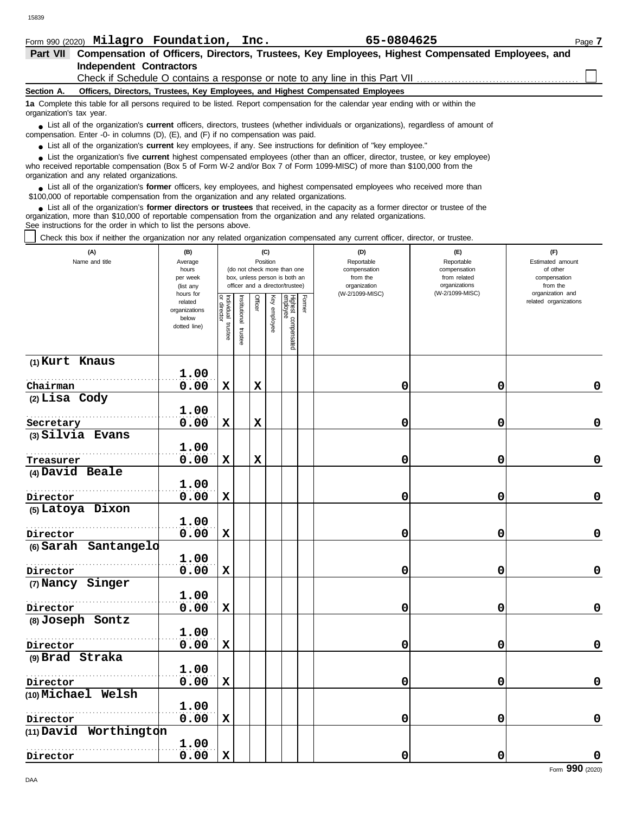|  |  |  | Form 990 (2020) Milagro Foundation, Inc. |  | 65-0804625 |  |
|--|--|--|------------------------------------------|--|------------|--|
|--|--|--|------------------------------------------|--|------------|--|

| Form 990 (2020) Milagro Foundation, Inc.                                                                                                                                                                                                                                                                                      |                                                               |                                        |                         |          |              |                                                                                                 |        | 65-0804625                                                                       |                                                                                       | Page 7                                                                              |
|-------------------------------------------------------------------------------------------------------------------------------------------------------------------------------------------------------------------------------------------------------------------------------------------------------------------------------|---------------------------------------------------------------|----------------------------------------|-------------------------|----------|--------------|-------------------------------------------------------------------------------------------------|--------|----------------------------------------------------------------------------------|---------------------------------------------------------------------------------------|-------------------------------------------------------------------------------------|
| Part VII Compensation of Officers, Directors, Trustees, Key Employees, Highest Compensated Employees, and                                                                                                                                                                                                                     |                                                               |                                        |                         |          |              |                                                                                                 |        |                                                                                  |                                                                                       |                                                                                     |
| <b>Independent Contractors</b>                                                                                                                                                                                                                                                                                                |                                                               |                                        |                         |          |              |                                                                                                 |        |                                                                                  |                                                                                       |                                                                                     |
|                                                                                                                                                                                                                                                                                                                               |                                                               |                                        |                         |          |              |                                                                                                 |        | Check if Schedule O contains a response or note to any line in this Part VII.    |                                                                                       |                                                                                     |
| Section A.                                                                                                                                                                                                                                                                                                                    |                                                               |                                        |                         |          |              |                                                                                                 |        | Officers, Directors, Trustees, Key Employees, and Highest Compensated Employees  |                                                                                       |                                                                                     |
| 1a Complete this table for all persons required to be listed. Report compensation for the calendar year ending with or within the<br>organization's tax year.                                                                                                                                                                 |                                                               |                                        |                         |          |              |                                                                                                 |        |                                                                                  |                                                                                       |                                                                                     |
| • List all of the organization's <b>current</b> officers, directors, trustees (whether individuals or organizations), regardless of amount of<br>compensation. Enter -0- in columns (D), (E), and (F) if no compensation was paid.                                                                                            |                                                               |                                        |                         |          |              |                                                                                                 |        |                                                                                  |                                                                                       |                                                                                     |
| • List all of the organization's current key employees, if any. See instructions for definition of "key employee."                                                                                                                                                                                                            |                                                               |                                        |                         |          |              |                                                                                                 |        |                                                                                  |                                                                                       |                                                                                     |
| • List the organization's five current highest compensated employees (other than an officer, director, trustee, or key employee)<br>who received reportable compensation (Box 5 of Form W-2 and/or Box 7 of Form 1099-MISC) of more than \$100,000 from the<br>organization and any related organizations.                    |                                                               |                                        |                         |          |              |                                                                                                 |        |                                                                                  |                                                                                       |                                                                                     |
| List all of the organization's former officers, key employees, and highest compensated employees who received more than<br>\$100,000 of reportable compensation from the organization and any related organizations.                                                                                                          |                                                               |                                        |                         |          |              |                                                                                                 |        |                                                                                  |                                                                                       |                                                                                     |
| • List all of the organization's former directors or trustees that received, in the capacity as a former director or trustee of the<br>organization, more than \$10,000 of reportable compensation from the organization and any related organizations.<br>See instructions for the order in which to list the persons above. |                                                               |                                        |                         |          |              |                                                                                                 |        |                                                                                  |                                                                                       |                                                                                     |
| Check this box if neither the organization nor any related organization compensated any current officer, director, or trustee.                                                                                                                                                                                                |                                                               |                                        |                         |          |              |                                                                                                 |        |                                                                                  |                                                                                       |                                                                                     |
| (A)<br>Name and title                                                                                                                                                                                                                                                                                                         | (B)<br>Average<br>hours<br>per week<br>(list any<br>hours for |                                        |                         | Position | (C)          | (do not check more than one<br>box, unless person is both an<br>officer and a director/trustee) |        | (D)<br>Reportable<br>compensation<br>from the<br>organization<br>(W-2/1099-MISC) | (E)<br>Reportable<br>compensation<br>from related<br>organizations<br>(W-2/1099-MISC) | (F)<br>Estimated amount<br>of other<br>compensation<br>from the<br>organization and |
|                                                                                                                                                                                                                                                                                                                               | related<br>organizations<br>below<br>dotted line)             | ₫<br>Individual<br>director<br>trustee | nstitutional<br>trustee | Officer  | Key employee | Highest compensated<br>employee                                                                 | Former |                                                                                  |                                                                                       | related organizations                                                               |
| (1) Kurt Knaus                                                                                                                                                                                                                                                                                                                |                                                               |                                        |                         |          |              |                                                                                                 |        |                                                                                  |                                                                                       |                                                                                     |
|                                                                                                                                                                                                                                                                                                                               | 1.00                                                          |                                        |                         |          |              |                                                                                                 |        |                                                                                  |                                                                                       |                                                                                     |
| Chairman                                                                                                                                                                                                                                                                                                                      | 0.00                                                          | X                                      |                         | X        |              |                                                                                                 |        | 0                                                                                | 0                                                                                     | 0                                                                                   |
| $(2)$ Lisa Cody                                                                                                                                                                                                                                                                                                               | 1.00                                                          |                                        |                         |          |              |                                                                                                 |        |                                                                                  |                                                                                       |                                                                                     |
| Secretary                                                                                                                                                                                                                                                                                                                     | 0.00                                                          | $\mathbf x$                            |                         | X        |              |                                                                                                 |        | 0                                                                                | 0                                                                                     | 0                                                                                   |
| (3) Silvia Evans                                                                                                                                                                                                                                                                                                              |                                                               |                                        |                         |          |              |                                                                                                 |        |                                                                                  |                                                                                       |                                                                                     |
|                                                                                                                                                                                                                                                                                                                               | 1.00                                                          |                                        |                         |          |              |                                                                                                 |        |                                                                                  |                                                                                       |                                                                                     |
| Treasurer                                                                                                                                                                                                                                                                                                                     | 0.00                                                          | X                                      |                         | x        |              |                                                                                                 |        | 0                                                                                | 0                                                                                     | 0                                                                                   |
| (4) David Beale                                                                                                                                                                                                                                                                                                               |                                                               |                                        |                         |          |              |                                                                                                 |        |                                                                                  |                                                                                       |                                                                                     |
|                                                                                                                                                                                                                                                                                                                               | 1.00                                                          |                                        |                         |          |              |                                                                                                 |        |                                                                                  |                                                                                       |                                                                                     |
| Director                                                                                                                                                                                                                                                                                                                      | 0.00                                                          | $\mathbf x$                            |                         |          |              |                                                                                                 |        | 0                                                                                | 0                                                                                     | 0                                                                                   |
| (5) Latoya Dixon                                                                                                                                                                                                                                                                                                              |                                                               |                                        |                         |          |              |                                                                                                 |        |                                                                                  |                                                                                       |                                                                                     |
| Director                                                                                                                                                                                                                                                                                                                      | 1.00<br>0.00                                                  | $\mathbf x$                            |                         |          |              |                                                                                                 |        | 0                                                                                | 0                                                                                     | 0                                                                                   |

**0.00 X 0 0 0**

**0.00 X 0 0 0**

| $1 - 1 - 1 - 1 - 1$    |      |   |  |    |   |          |
|------------------------|------|---|--|----|---|----------|
|                        | 1.00 |   |  |    |   |          |
| Director               | 0.00 | X |  | O  | 0 | 0        |
| (8) Joseph Sontz       |      |   |  |    |   |          |
|                        | 1.00 |   |  |    |   |          |
| Director               | 0.00 | X |  | 0  |   | 0        |
| (9) Brad Straka        |      |   |  |    |   |          |
|                        | 1.00 |   |  |    |   |          |
| Director               | 0.00 | x |  | 0  |   | 0        |
| (10) Michael Welsh     |      |   |  |    |   |          |
|                        | 1.00 |   |  |    |   |          |
| Director               | 0.00 | X |  | 0  | 0 | 0        |
| (11) David Worthington |      |   |  |    |   |          |
|                        | 1.00 |   |  |    |   |          |
| Director               | 0.00 | x |  | 01 | 0 |          |
|                        |      |   |  |    |   | $\cdots$ |

**1.00**

**(6) Sarah Santangelo**

. . . . . . . . . . . . . . . . . . . . . . . . . . . . . . . . . . . . . . . . . . . . . . . . . . . . . . . **Director**

**(7) Nancy Singer**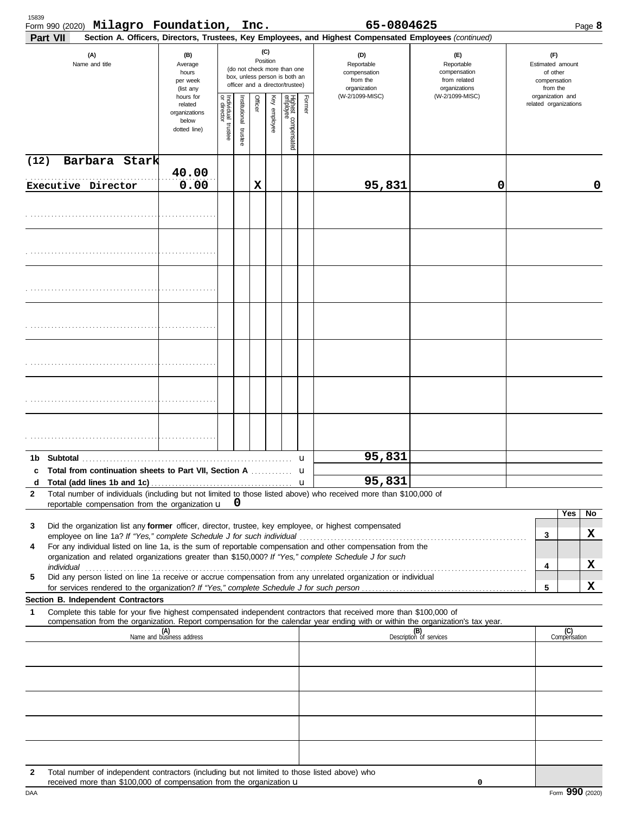| 15839<br>Part VII | Form 990 (2020) Milagro Foundation, Inc.                                                                                                                              |                                                                |                                   |                      |         |                 |                                                                                                 |        | 65-0804625<br>Section A. Officers, Directors, Trustees, Key Employees, and Highest Compensated Employees (continued)                                                                                                                                                                                                                            |                                                                    |  |                                                                 |                     | Page 8 |
|-------------------|-----------------------------------------------------------------------------------------------------------------------------------------------------------------------|----------------------------------------------------------------|-----------------------------------|----------------------|---------|-----------------|-------------------------------------------------------------------------------------------------|--------|-------------------------------------------------------------------------------------------------------------------------------------------------------------------------------------------------------------------------------------------------------------------------------------------------------------------------------------------------|--------------------------------------------------------------------|--|-----------------------------------------------------------------|---------------------|--------|
|                   | (A)<br>Name and title                                                                                                                                                 | (B)<br>Average<br>hours<br>per week<br>(list any               |                                   |                      |         | (C)<br>Position | (do not check more than one<br>box, unless person is both an<br>officer and a director/trustee) |        | (D)<br>Reportable<br>compensation<br>from the<br>organization                                                                                                                                                                                                                                                                                   | (E)<br>Reportable<br>compensation<br>from related<br>organizations |  | (F)<br>Estimated amount<br>of other<br>compensation<br>from the |                     |        |
|                   |                                                                                                                                                                       | hours for<br>related<br>organizations<br>below<br>dotted line) | Individual trustee<br>or director | nstitutional trustee | Officer | Key employee    | Highest compensated<br>employee                                                                 | Former | (W-2/1099-MISC)                                                                                                                                                                                                                                                                                                                                 | (W-2/1099-MISC)                                                    |  | organization and<br>related organizations                       |                     |        |
| (12)              | Barbara Stark                                                                                                                                                         |                                                                |                                   |                      |         |                 |                                                                                                 |        |                                                                                                                                                                                                                                                                                                                                                 |                                                                    |  |                                                                 |                     |        |
|                   | Executive Director                                                                                                                                                    | 40.00<br>0.00                                                  |                                   |                      | X       |                 |                                                                                                 |        | 95,831                                                                                                                                                                                                                                                                                                                                          | 0                                                                  |  |                                                                 |                     | 0      |
|                   |                                                                                                                                                                       |                                                                |                                   |                      |         |                 |                                                                                                 |        |                                                                                                                                                                                                                                                                                                                                                 |                                                                    |  |                                                                 |                     |        |
|                   |                                                                                                                                                                       |                                                                |                                   |                      |         |                 |                                                                                                 |        |                                                                                                                                                                                                                                                                                                                                                 |                                                                    |  |                                                                 |                     |        |
|                   |                                                                                                                                                                       |                                                                |                                   |                      |         |                 |                                                                                                 |        |                                                                                                                                                                                                                                                                                                                                                 |                                                                    |  |                                                                 |                     |        |
|                   |                                                                                                                                                                       |                                                                |                                   |                      |         |                 |                                                                                                 |        |                                                                                                                                                                                                                                                                                                                                                 |                                                                    |  |                                                                 |                     |        |
|                   |                                                                                                                                                                       |                                                                |                                   |                      |         |                 |                                                                                                 |        |                                                                                                                                                                                                                                                                                                                                                 |                                                                    |  |                                                                 |                     |        |
|                   |                                                                                                                                                                       |                                                                |                                   |                      |         |                 |                                                                                                 |        |                                                                                                                                                                                                                                                                                                                                                 |                                                                    |  |                                                                 |                     |        |
|                   |                                                                                                                                                                       |                                                                |                                   |                      |         |                 |                                                                                                 |        |                                                                                                                                                                                                                                                                                                                                                 |                                                                    |  |                                                                 |                     |        |
|                   |                                                                                                                                                                       |                                                                |                                   |                      |         |                 |                                                                                                 | u      | 95,831                                                                                                                                                                                                                                                                                                                                          |                                                                    |  |                                                                 |                     |        |
|                   | c Total from continuation sheets to Part VII, Section A                                                                                                               |                                                                |                                   |                      |         |                 |                                                                                                 | u      |                                                                                                                                                                                                                                                                                                                                                 |                                                                    |  |                                                                 |                     |        |
| d<br>2            |                                                                                                                                                                       |                                                                |                                   |                      |         |                 |                                                                                                 |        | 95,831<br>Total number of individuals (including but not limited to those listed above) who received more than \$100,000 of                                                                                                                                                                                                                     |                                                                    |  |                                                                 |                     |        |
|                   | reportable compensation from the organization $\mathbf{u}$ 0                                                                                                          |                                                                |                                   |                      |         |                 |                                                                                                 |        |                                                                                                                                                                                                                                                                                                                                                 |                                                                    |  |                                                                 |                     |        |
| 3                 |                                                                                                                                                                       |                                                                |                                   |                      |         |                 |                                                                                                 |        | Did the organization list any former officer, director, trustee, key employee, or highest compensated                                                                                                                                                                                                                                           |                                                                    |  |                                                                 | Yes                 | No     |
|                   |                                                                                                                                                                       |                                                                |                                   |                      |         |                 |                                                                                                 |        |                                                                                                                                                                                                                                                                                                                                                 |                                                                    |  | 3                                                               |                     | X      |
| 4                 |                                                                                                                                                                       |                                                                |                                   |                      |         |                 |                                                                                                 |        | For any individual listed on line 1a, is the sum of reportable compensation and other compensation from the<br>organization and related organizations greater than \$150,000? If "Yes," complete Schedule J for such                                                                                                                            |                                                                    |  |                                                                 |                     |        |
| 5                 |                                                                                                                                                                       |                                                                |                                   |                      |         |                 |                                                                                                 |        | individual with a construction of the construction of the construction of the construction of the construction of the construction of the construction of the construction of the construction of the construction of the cons<br>Did any person listed on line 1a receive or accrue compensation from any unrelated organization or individual |                                                                    |  | 4                                                               |                     | X      |
|                   |                                                                                                                                                                       |                                                                |                                   |                      |         |                 |                                                                                                 |        |                                                                                                                                                                                                                                                                                                                                                 |                                                                    |  | 5                                                               |                     | X      |
| $\mathbf 1$       | Section B. Independent Contractors                                                                                                                                    |                                                                |                                   |                      |         |                 |                                                                                                 |        | Complete this table for your five highest compensated independent contractors that received more than \$100,000 of                                                                                                                                                                                                                              |                                                                    |  |                                                                 |                     |        |
|                   |                                                                                                                                                                       |                                                                |                                   |                      |         |                 |                                                                                                 |        | compensation from the organization. Report compensation for the calendar year ending with or within the organization's tax year.                                                                                                                                                                                                                |                                                                    |  |                                                                 |                     |        |
|                   |                                                                                                                                                                       | (A)<br>Name and business address                               |                                   |                      |         |                 |                                                                                                 |        |                                                                                                                                                                                                                                                                                                                                                 | (B)<br>Description of services                                     |  |                                                                 | (C)<br>Compensation |        |
|                   |                                                                                                                                                                       |                                                                |                                   |                      |         |                 |                                                                                                 |        |                                                                                                                                                                                                                                                                                                                                                 |                                                                    |  |                                                                 |                     |        |
|                   |                                                                                                                                                                       |                                                                |                                   |                      |         |                 |                                                                                                 |        |                                                                                                                                                                                                                                                                                                                                                 |                                                                    |  |                                                                 |                     |        |
|                   |                                                                                                                                                                       |                                                                |                                   |                      |         |                 |                                                                                                 |        |                                                                                                                                                                                                                                                                                                                                                 |                                                                    |  |                                                                 |                     |        |
| $\overline{2}$    | Total number of independent contractors (including but not limited to those listed above) who<br>received more than \$100,000 of compensation from the organization u |                                                                |                                   |                      |         |                 |                                                                                                 |        |                                                                                                                                                                                                                                                                                                                                                 | 0                                                                  |  |                                                                 |                     |        |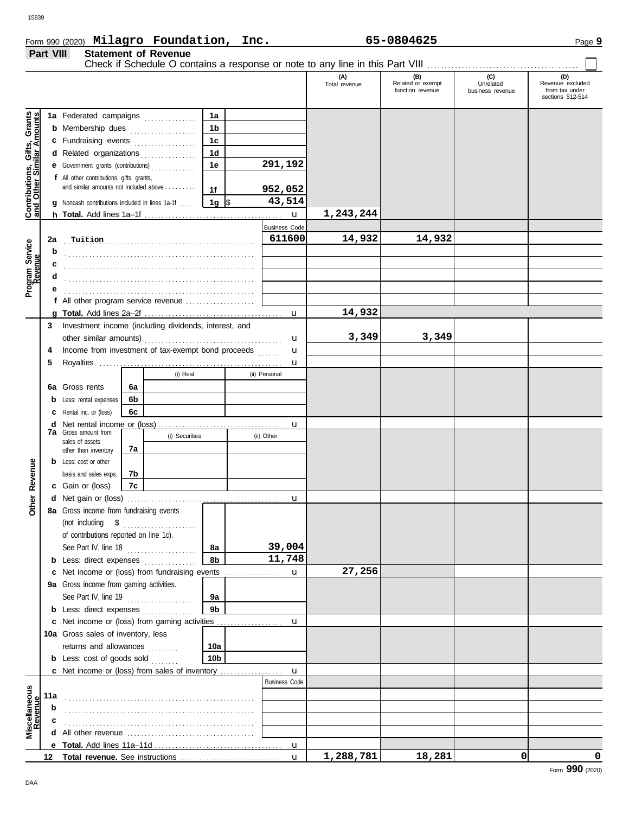**Part VIII Statement of Revenue**

# Form 990 (2020) Page **9 Milagro Foundation, Inc. 65-0804625**

|                                                                  |     |                                                                                                                     |    |                                                     |                 |  |                      | (A)<br>Total revenue | (B)<br>Related or exempt | (C)<br>Unrelated | (D)<br>Revenue excluded |
|------------------------------------------------------------------|-----|---------------------------------------------------------------------------------------------------------------------|----|-----------------------------------------------------|-----------------|--|----------------------|----------------------|--------------------------|------------------|-------------------------|
|                                                                  |     |                                                                                                                     |    |                                                     |                 |  |                      |                      | function revenue         | business revenue | from tax under          |
|                                                                  |     |                                                                                                                     |    |                                                     |                 |  |                      |                      |                          |                  | sections 512-514        |
|                                                                  |     | 1a Federated campaigns                                                                                              |    | <u> 1986 - Johann Stoff, Amerikaansk kanton en </u> | 1a              |  |                      |                      |                          |                  |                         |
|                                                                  |     | <b>b</b> Membership dues                                                                                            |    | . <b>.</b> .                                        | 1 <sub>b</sub>  |  |                      |                      |                          |                  |                         |
|                                                                  |     | c Fundraising events                                                                                                |    |                                                     | 1 <sub>c</sub>  |  |                      |                      |                          |                  |                         |
|                                                                  |     | d Related organizations                                                                                             |    |                                                     | 1 <sub>d</sub>  |  |                      |                      |                          |                  |                         |
|                                                                  |     | <b>e</b> Government grants (contributions)                                                                          |    |                                                     | 1e              |  | 291,192              |                      |                          |                  |                         |
|                                                                  |     | f All other contributions, gifts, grants,                                                                           |    |                                                     |                 |  |                      |                      |                          |                  |                         |
|                                                                  |     | and similar amounts not included above                                                                              |    |                                                     | 1f              |  | 952,052              |                      |                          |                  |                         |
|                                                                  |     | Noncash contributions included in lines 1a-1f                                                                       |    |                                                     | 1a   \$         |  | 43,514               |                      |                          |                  |                         |
| <b>Contributions, Gifts, Grants</b><br>and Other Similar Amounts |     |                                                                                                                     |    |                                                     |                 |  | $\mathbf u$          | 1,243,244            |                          |                  |                         |
|                                                                  |     |                                                                                                                     |    |                                                     |                 |  | <b>Business Code</b> |                      |                          |                  |                         |
|                                                                  | 2a  | Tuition                                                                                                             |    |                                                     |                 |  | 611600               | 14,932               | 14,932                   |                  |                         |
| Program Service<br>Revenue                                       | b   |                                                                                                                     |    |                                                     |                 |  |                      |                      |                          |                  |                         |
|                                                                  |     |                                                                                                                     |    |                                                     |                 |  |                      |                      |                          |                  |                         |
|                                                                  |     |                                                                                                                     |    |                                                     |                 |  |                      |                      |                          |                  |                         |
|                                                                  |     |                                                                                                                     |    |                                                     |                 |  |                      |                      |                          |                  |                         |
|                                                                  |     | f All other program service revenue $\ldots$ , $\ldots$ , $\ldots$                                                  |    |                                                     |                 |  |                      |                      |                          |                  |                         |
|                                                                  |     |                                                                                                                     |    |                                                     |                 |  | u                    | 14,932               |                          |                  |                         |
|                                                                  | 3   | Investment income (including dividends, interest, and                                                               |    |                                                     |                 |  |                      |                      |                          |                  |                         |
|                                                                  |     | other similar amounts)                                                                                              |    |                                                     |                 |  | u                    | 3,349                | 3,349                    |                  |                         |
|                                                                  | 4   | Income from investment of tax-exempt bond proceeds                                                                  |    |                                                     |                 |  | u                    |                      |                          |                  |                         |
|                                                                  | 5   |                                                                                                                     |    |                                                     |                 |  | u                    |                      |                          |                  |                         |
|                                                                  |     |                                                                                                                     |    | (i) Real                                            |                 |  | (ii) Personal        |                      |                          |                  |                         |
|                                                                  | 6a  | Gross rents                                                                                                         | 6а |                                                     |                 |  |                      |                      |                          |                  |                         |
|                                                                  |     | Less: rental expenses                                                                                               | 6b |                                                     |                 |  |                      |                      |                          |                  |                         |
|                                                                  |     | Rental inc. or (loss)                                                                                               | 6c |                                                     |                 |  |                      |                      |                          |                  |                         |
|                                                                  | d   |                                                                                                                     |    |                                                     |                 |  | u                    |                      |                          |                  |                         |
|                                                                  |     | <b>7a</b> Gross amount from<br>(i) Securities                                                                       |    |                                                     |                 |  | (ii) Other           |                      |                          |                  |                         |
|                                                                  |     | sales of assets<br>7а<br>other than inventory                                                                       |    |                                                     |                 |  |                      |                      |                          |                  |                         |
|                                                                  |     | <b>b</b> Less: cost or other                                                                                        |    |                                                     |                 |  |                      |                      |                          |                  |                         |
| Revenue                                                          |     | basis and sales exps.                                                                                               | 7b |                                                     |                 |  |                      |                      |                          |                  |                         |
|                                                                  |     | <b>c</b> Gain or (loss)                                                                                             | 7c |                                                     |                 |  |                      |                      |                          |                  |                         |
|                                                                  |     |                                                                                                                     |    |                                                     |                 |  | u                    |                      |                          |                  |                         |
| Other                                                            |     | 8a Gross income from fundraising events                                                                             |    |                                                     |                 |  |                      |                      |                          |                  |                         |
|                                                                  |     | $\begin{minipage}[c]{0.9\linewidth} (not including \quad $${\$}\quad \  \  \, \ldots {\color{red}1} \end{minipage}$ |    |                                                     |                 |  |                      |                      |                          |                  |                         |
|                                                                  |     | of contributions reported on line 1c).                                                                              |    |                                                     |                 |  |                      |                      |                          |                  |                         |
|                                                                  |     | See Part IV, line 18                                                                                                |    |                                                     | 8а              |  | 39,004               |                      |                          |                  |                         |
|                                                                  |     | <b>b</b> Less: direct expenses                                                                                      |    |                                                     | 8b              |  | 11,748               |                      |                          |                  |                         |
|                                                                  |     | c Net income or (loss) from fundraising events                                                                      |    |                                                     |                 |  | $\mathbf{u}$         | 27,256               |                          |                  |                         |
|                                                                  |     | 9a Gross income from gaming activities.                                                                             |    |                                                     |                 |  |                      |                      |                          |                  |                         |
|                                                                  |     | See Part IV, line 19                                                                                                |    |                                                     | 9а              |  |                      |                      |                          |                  |                         |
|                                                                  |     | <b>b</b> Less: direct expenses                                                                                      |    |                                                     | 9 <sub>b</sub>  |  |                      |                      |                          |                  |                         |
|                                                                  |     |                                                                                                                     |    |                                                     |                 |  |                      |                      |                          |                  |                         |
|                                                                  |     | 10a Gross sales of inventory, less                                                                                  |    |                                                     |                 |  |                      |                      |                          |                  |                         |
|                                                                  |     | returns and allowances                                                                                              |    |                                                     | 10a             |  |                      |                      |                          |                  |                         |
|                                                                  |     | <b>b</b> Less: cost of goods sold                                                                                   |    |                                                     | 10 <sub>b</sub> |  |                      |                      |                          |                  |                         |
|                                                                  |     |                                                                                                                     |    |                                                     |                 |  |                      |                      |                          |                  |                         |
|                                                                  |     |                                                                                                                     |    |                                                     |                 |  | <b>Business Code</b> |                      |                          |                  |                         |
| Miscellaneous<br>Revenue                                         | 11a |                                                                                                                     |    |                                                     |                 |  |                      |                      |                          |                  |                         |
|                                                                  | b   |                                                                                                                     |    |                                                     |                 |  |                      |                      |                          |                  |                         |
|                                                                  |     |                                                                                                                     |    |                                                     |                 |  |                      |                      |                          |                  |                         |
|                                                                  |     | <b>d</b> All other revenue $\ldots, \ldots, \ldots, \ldots, \ldots, \ldots, \ldots, \ldots, \ldots, \ldots$         |    |                                                     |                 |  |                      |                      |                          |                  |                         |
|                                                                  |     |                                                                                                                     |    |                                                     |                 |  |                      |                      |                          |                  |                         |
|                                                                  | 12  |                                                                                                                     |    |                                                     |                 |  |                      | 1,288,781            | 18,281                   | 0                | 0                       |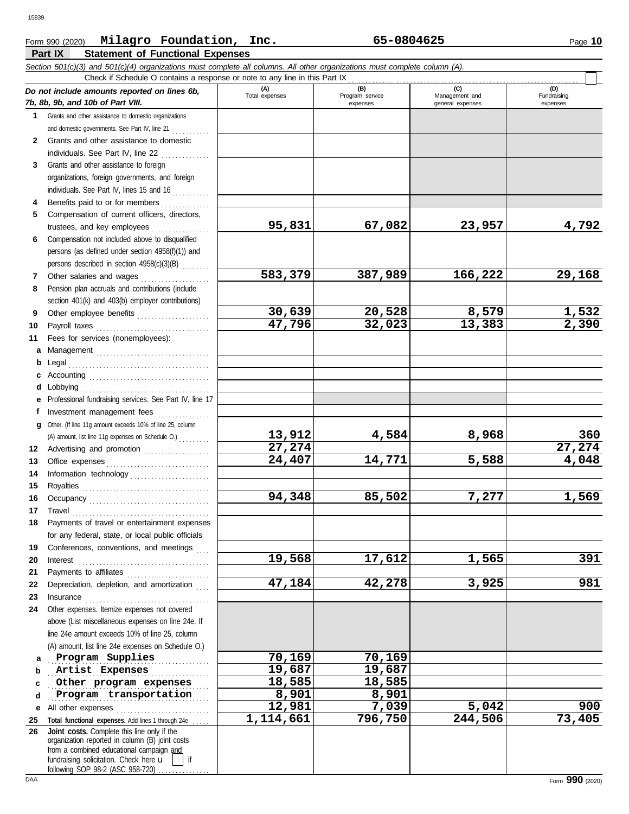#### **Part IX Statement of Functional Expenses** Form 990 (2020) Page **10 Milagro Foundation, Inc. 65-0804625** *Section 501(c)(3) and 501(c)(4) organizations must complete all columns. All other organizations must complete column (A). Do not include amounts reported on lines 6b, 7b, 8b, 9b, and 10b of Part VIII.* **1 2 3** Grants and other assistance to domestic organizations and domestic governments. See Part IV, line 21 . . . . . . . . . . . Grants and other assistance to domestic individuals. See Part IV, line  $22$  .............. Grants and other assistance to foreign **(A) (B) (C) (D)** Total expenses Program service Management and expenses general expenses (D)<br>Fundraising expenses Check if Schedule O contains a response or note to any line in this Part IX

|    | and domestic governments. See Part IV, line 21 $\ldots$                                                                                                                                                                         |           |         |         |                    |
|----|---------------------------------------------------------------------------------------------------------------------------------------------------------------------------------------------------------------------------------|-----------|---------|---------|--------------------|
| 2  | Grants and other assistance to domestic                                                                                                                                                                                         |           |         |         |                    |
|    | individuals. See Part IV, line 22                                                                                                                                                                                               |           |         |         |                    |
| 3  | Grants and other assistance to foreign                                                                                                                                                                                          |           |         |         |                    |
|    | organizations, foreign governments, and foreign                                                                                                                                                                                 |           |         |         |                    |
|    | individuals. See Part IV, lines 15 and 16                                                                                                                                                                                       |           |         |         |                    |
| 4  | Benefits paid to or for members                                                                                                                                                                                                 |           |         |         |                    |
| 5  | Compensation of current officers, directors,                                                                                                                                                                                    |           |         |         |                    |
|    | trustees, and key employees                                                                                                                                                                                                     | 95,831    | 67,082  | 23,957  | 4,792              |
| 6  | Compensation not included above to disqualified                                                                                                                                                                                 |           |         |         |                    |
|    | persons (as defined under section 4958(f)(1)) and                                                                                                                                                                               |           |         |         |                    |
|    | persons described in section 4958(c)(3)(B)                                                                                                                                                                                      |           |         |         |                    |
| 7  | Other salaries and wages                                                                                                                                                                                                        | 583,379   | 387,989 | 166,222 | 29,168             |
| 8  | Pension plan accruals and contributions (include                                                                                                                                                                                |           |         |         |                    |
|    | section 401(k) and 403(b) employer contributions)                                                                                                                                                                               |           |         |         |                    |
| 9  | Other employee benefits                                                                                                                                                                                                         | 30,639    | 20,528  | 8,579   |                    |
| 10 |                                                                                                                                                                                                                                 | 47,796    | 32,023  | 13,383  | 1,532<br>2,390     |
| 11 | Fees for services (nonemployees):                                                                                                                                                                                               |           |         |         |                    |
|    | a Management                                                                                                                                                                                                                    |           |         |         |                    |
|    | <b>b</b> Legal                                                                                                                                                                                                                  |           |         |         |                    |
|    |                                                                                                                                                                                                                                 |           |         |         |                    |
|    | <b>d</b> Lobbying                                                                                                                                                                                                               |           |         |         |                    |
|    | e Professional fundraising services. See Part IV, line 17                                                                                                                                                                       |           |         |         |                    |
| f  | Investment management fees                                                                                                                                                                                                      |           |         |         |                    |
|    | g Other. (If line 11g amount exceeds 10% of line 25, column                                                                                                                                                                     |           |         |         |                    |
|    |                                                                                                                                                                                                                                 | 13,912    | 4,584   | 8,968   | 360                |
|    | 12 Advertising and promotion                                                                                                                                                                                                    | 27,274    |         |         | 27,274             |
| 13 |                                                                                                                                                                                                                                 | 24,407    | 14,771  | 5,588   | $\overline{4,048}$ |
| 14 |                                                                                                                                                                                                                                 |           |         |         |                    |
| 15 |                                                                                                                                                                                                                                 |           |         |         |                    |
| 16 |                                                                                                                                                                                                                                 | 94,348    | 85,502  | 7,277   | 1,569              |
| 17 | Travel                                                                                                                                                                                                                          |           |         |         |                    |
| 18 | Payments of travel or entertainment expenses                                                                                                                                                                                    |           |         |         |                    |
|    | for any federal, state, or local public officials                                                                                                                                                                               |           |         |         |                    |
| 19 | Conferences, conventions, and meetings                                                                                                                                                                                          |           |         |         |                    |
| 20 | $Interest$                                                                                                                                                                                                                      | 19,568    | 17,612  | 1,565   | 391                |
| 21 | Payments to affiliates                                                                                                                                                                                                          |           |         |         |                    |
|    | 22 Depreciation, depletion, and amortization                                                                                                                                                                                    | 47,184    | 42,278  | 3,925   | 981                |
| 23 | Insurance                                                                                                                                                                                                                       |           |         |         |                    |
| 24 | Other expenses. Itemize expenses not covered                                                                                                                                                                                    |           |         |         |                    |
|    | above (List miscellaneous expenses on line 24e. If                                                                                                                                                                              |           |         |         |                    |
|    | line 24e amount exceeds 10% of line 25, column                                                                                                                                                                                  |           |         |         |                    |
|    | (A) amount, list line 24e expenses on Schedule O.)                                                                                                                                                                              |           |         |         |                    |
| a  | Program Supplies                                                                                                                                                                                                                | 70,169    | 70,169  |         |                    |
| b  | Artist Expenses                                                                                                                                                                                                                 | 19,687    | 19,687  |         |                    |
| c  | Other program expenses                                                                                                                                                                                                          | 18,585    | 18,585  |         |                    |
| d  | Program transportation                                                                                                                                                                                                          | 8,901     | 8,901   |         |                    |
| е  | All other expenses                                                                                                                                                                                                              | 12,981    | 7,039   | 5,042   | 900                |
| 25 | Total functional expenses. Add lines 1 through 24e                                                                                                                                                                              | 1,114,661 | 796,750 | 244,506 | 73,405             |
| 26 | Joint costs. Complete this line only if the<br>organization reported in column (B) joint costs<br>from a combined educational campaign and<br>fundraising solicitation. Check here u<br>if<br>following SOP 98-2 (ASC 958-720). |           |         |         |                    |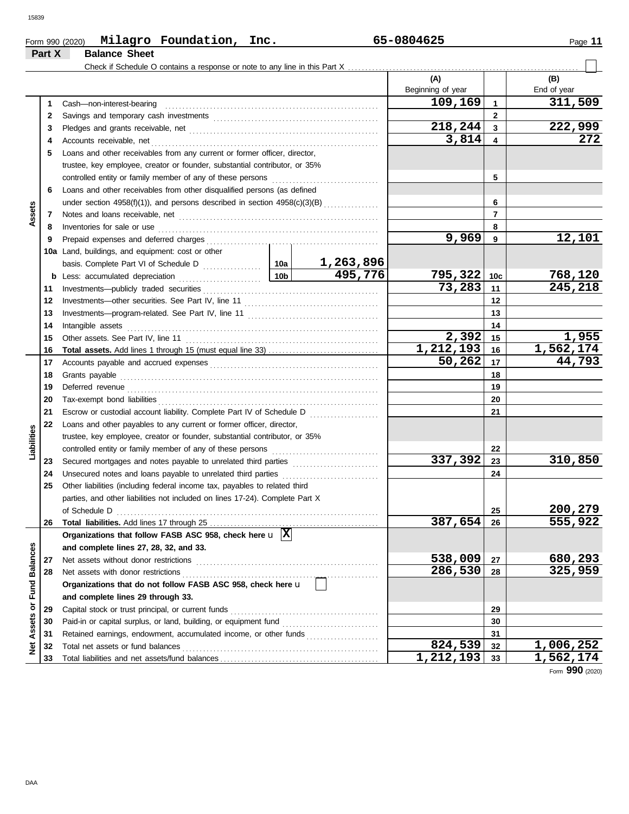|                      | Part X | Milagro Foundation, Inc.<br>Form 990 (2020)<br><b>Balance Sheet</b>            |                 |           | 65-0804625        |                 | Page 11          |
|----------------------|--------|--------------------------------------------------------------------------------|-----------------|-----------|-------------------|-----------------|------------------|
|                      |        |                                                                                |                 |           |                   |                 |                  |
|                      |        |                                                                                |                 |           | (A)               |                 | (B)              |
|                      |        |                                                                                |                 |           | Beginning of year |                 | End of year      |
|                      | 1.     | Cash-non-interest-bearing                                                      |                 |           | 109,169           | $\mathbf{1}$    | 311,509          |
|                      | 2      |                                                                                |                 |           |                   | $\overline{2}$  |                  |
|                      | 3      |                                                                                |                 |           | 218,244           | 3               | 222,999          |
|                      | 4      | Accounts receivable, net                                                       |                 |           | 3,814             | 4               | 272              |
|                      | 5      | Loans and other receivables from any current or former officer, director,      |                 |           |                   |                 |                  |
|                      |        | trustee, key employee, creator or founder, substantial contributor, or 35%     |                 |           |                   |                 |                  |
|                      |        | controlled entity or family member of any of these persons                     |                 |           |                   | 5               |                  |
|                      | 6      | Loans and other receivables from other disqualified persons (as defined        |                 |           |                   |                 |                  |
|                      |        | under section $4958(f)(1)$ ), and persons described in section $4958(c)(3)(B)$ |                 |           |                   | 6               |                  |
| Assets               | 7      |                                                                                |                 |           |                   | $\overline{7}$  |                  |
|                      | 8      | Inventories for sale or use                                                    |                 |           |                   | 8               |                  |
|                      | 9      | Prepaid expenses and deferred charges                                          |                 |           | 9,969             | 9               | 12,101           |
|                      |        | 10a Land, buildings, and equipment: cost or other                              |                 |           |                   |                 |                  |
|                      |        |                                                                                |                 | 1,263,896 |                   |                 |                  |
|                      |        |                                                                                | 10 <sub>b</sub> | 495,776   | 795,322           | 10 <sub>c</sub> | 768,120          |
|                      | 11     | Investments-publicly traded securities                                         |                 |           | 73,283            | 11              | 245,218          |
|                      | 12     |                                                                                |                 |           |                   | 12              |                  |
|                      | 13     |                                                                                |                 |           |                   | 13              |                  |
|                      | 14     | Intangible assets                                                              |                 |           |                   | 14              |                  |
|                      | 15     | Other assets. See Part IV, line 11                                             |                 |           | 2,392             | 15              | 1,955            |
|                      | 16     |                                                                                |                 |           | 1,212,193         | 16              | 1,562,174        |
|                      | 17     |                                                                                |                 |           | 50,262            | 17              | 44,793           |
|                      | 18     | Grants payable                                                                 |                 |           |                   | 18              |                  |
|                      | 19     |                                                                                |                 |           |                   | 19              |                  |
|                      | 20     | Tax-exempt bond liabilities                                                    |                 |           |                   | 20              |                  |
|                      | 21     | Escrow or custodial account liability. Complete Part IV of Schedule D          |                 | .         |                   | 21              |                  |
|                      | 22     | Loans and other payables to any current or former officer, director,           |                 |           |                   |                 |                  |
| Liabilities          |        | trustee, key employee, creator or founder, substantial contributor, or 35%     |                 |           |                   |                 |                  |
|                      |        | controlled entity or family member of any of these persons                     |                 |           |                   | 22              |                  |
|                      | 23     |                                                                                |                 |           | 337,392           | 23              | 310,850          |
|                      | 24     | Unsecured notes and loans payable to unrelated third parties                   |                 |           |                   | 24              |                  |
|                      | 25     | Other liabilities (including federal income tax, payables to related third     |                 |           |                   |                 |                  |
|                      |        | parties, and other liabilities not included on lines 17-24). Complete Part X   |                 |           |                   |                 |                  |
|                      |        | of Schedule D                                                                  |                 |           |                   | 25              | 200,279          |
|                      | 26     |                                                                                |                 |           | 387,654           | 26              | 555,922          |
|                      |        | Organizations that follow FASB ASC 958, check here $\mathbf{u}$  X             |                 |           |                   |                 |                  |
| <b>Fund Balances</b> |        | and complete lines 27, 28, 32, and 33.                                         |                 |           |                   |                 |                  |
|                      | 27     | Net assets without donor restrictions                                          |                 |           | 538,009           | 27              | 680,293          |
|                      | 28     | Net assets with donor restrictions                                             |                 |           | 286,530           | 28              | 325,959          |
|                      |        | Organizations that do not follow FASB ASC 958, check here u                    |                 |           |                   |                 |                  |
|                      |        | and complete lines 29 through 33.                                              |                 |           |                   |                 |                  |
|                      | 29     | Capital stock or trust principal, or current funds                             |                 |           |                   | 29              |                  |
| Assets or            | 30     |                                                                                |                 |           |                   | 30              |                  |
|                      | 31     | Retained earnings, endowment, accumulated income, or other funds               |                 |           |                   | 31              |                  |
| ğ                    | 32     |                                                                                |                 |           | 824,539           | 32              | <u>1,006,252</u> |
|                      |        |                                                                                |                 |           |                   |                 |                  |

Form **990** (2020)

**824,539 1,006,252**

**1,212,193 1,562,174**

Total liabilities and net assets/fund balances ...

DAA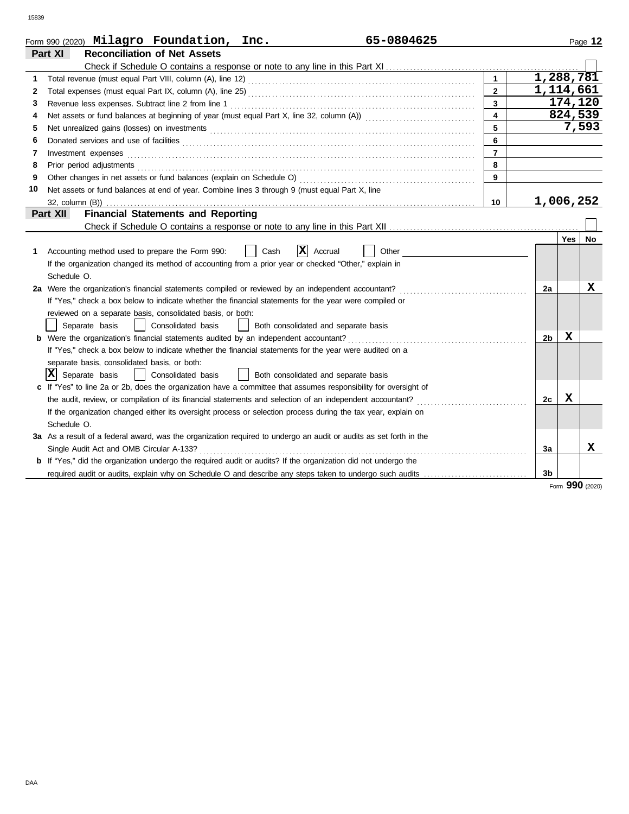|    | 65-0804625<br>Form 990 (2020) Milagro Foundation, Inc.                                                                                                                                                                         |                         |                |     | Page 12   |
|----|--------------------------------------------------------------------------------------------------------------------------------------------------------------------------------------------------------------------------------|-------------------------|----------------|-----|-----------|
|    | Part XI<br><b>Reconciliation of Net Assets</b>                                                                                                                                                                                 |                         |                |     |           |
|    |                                                                                                                                                                                                                                |                         |                |     |           |
| 1  |                                                                                                                                                                                                                                | $\mathbf{1}$            | 1,288,781      |     |           |
| 2  |                                                                                                                                                                                                                                | $\overline{2}$          | 1,114,661      |     |           |
| 3  |                                                                                                                                                                                                                                | $\overline{\mathbf{3}}$ |                |     | 174,120   |
| 4  |                                                                                                                                                                                                                                | $\overline{\mathbf{4}}$ |                |     | 824,539   |
| 5  |                                                                                                                                                                                                                                | 5                       |                |     | 7,593     |
| 6  | Donated services and use of facilities <b>constants and interview of a constant of the services</b> and use of facilities                                                                                                      | 6                       |                |     |           |
| 7  | Investment expenses <b>contract and the expenses</b>                                                                                                                                                                           | $\overline{7}$          |                |     |           |
| 8  | Prior period adjustments [11, 12] and the contract of the contract of the contract of the contract of the contract of the contract of the contract of the contract of the contract of the contract of the contract of the cont | 8                       |                |     |           |
| 9  |                                                                                                                                                                                                                                | 9                       |                |     |           |
| 10 | Net assets or fund balances at end of year. Combine lines 3 through 9 (must equal Part X, line                                                                                                                                 |                         |                |     |           |
|    |                                                                                                                                                                                                                                | 10                      | 1,006,252      |     |           |
|    | Part XII<br><b>Financial Statements and Reporting</b>                                                                                                                                                                          |                         |                |     |           |
|    |                                                                                                                                                                                                                                |                         |                |     |           |
|    |                                                                                                                                                                                                                                |                         |                | Yes | <b>No</b> |
| 1. | IXI<br>Accounting method used to prepare the Form 990:<br>Cash<br>Accrual<br>Other                                                                                                                                             |                         |                |     |           |
|    | If the organization changed its method of accounting from a prior year or checked "Other," explain in                                                                                                                          |                         |                |     |           |
|    | Schedule O.                                                                                                                                                                                                                    |                         |                |     |           |
|    | 2a Were the organization's financial statements compiled or reviewed by an independent accountant?                                                                                                                             |                         | 2a             |     | x         |
|    | If "Yes," check a box below to indicate whether the financial statements for the year were compiled or                                                                                                                         |                         |                |     |           |
|    | reviewed on a separate basis, consolidated basis, or both:                                                                                                                                                                     |                         |                |     |           |
|    | Consolidated basis<br>Separate basis<br>Both consolidated and separate basis                                                                                                                                                   |                         |                |     |           |
|    | <b>b</b> Were the organization's financial statements audited by an independent accountant?                                                                                                                                    |                         | 2 <sub>b</sub> | х   |           |
|    | If "Yes," check a box below to indicate whether the financial statements for the year were audited on a                                                                                                                        |                         |                |     |           |
|    | separate basis, consolidated basis, or both:                                                                                                                                                                                   |                         |                |     |           |
|    | x <br>Separate basis<br>Consolidated basis<br>Both consolidated and separate basis                                                                                                                                             |                         |                |     |           |
|    | c If "Yes" to line 2a or 2b, does the organization have a committee that assumes responsibility for oversight of                                                                                                               |                         |                |     |           |
|    |                                                                                                                                                                                                                                |                         | 2c             | x   |           |
|    | If the organization changed either its oversight process or selection process during the tax year, explain on                                                                                                                  |                         |                |     |           |
|    | Schedule O.                                                                                                                                                                                                                    |                         |                |     |           |
|    | 3a As a result of a federal award, was the organization required to undergo an audit or audits as set forth in the                                                                                                             |                         |                |     |           |
|    | Single Audit Act and OMB Circular A-133?                                                                                                                                                                                       |                         | За             |     | x         |
|    | <b>b</b> If "Yes," did the organization undergo the required audit or audits? If the organization did not undergo the                                                                                                          |                         |                |     |           |
|    | required audit or audits, explain why on Schedule O and describe any steps taken to undergo such audits                                                                                                                        |                         | 3b             |     |           |

Form **990** (2020)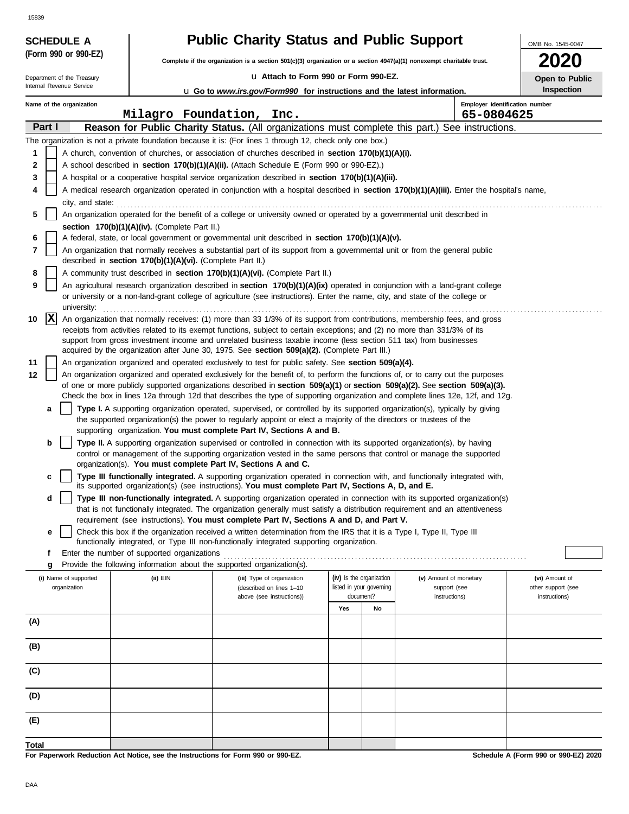|       | <b>Public Charity Status and Public Support</b><br><b>SCHEDULE A</b><br>OMB No. 1545-0047<br>(Form 990 or 990-EZ)                                                                                                  |  |                                                            |                                                                                                                                                                                                                                                     |     |                                                      |                                              |                                      |  |  |  |  |
|-------|--------------------------------------------------------------------------------------------------------------------------------------------------------------------------------------------------------------------|--|------------------------------------------------------------|-----------------------------------------------------------------------------------------------------------------------------------------------------------------------------------------------------------------------------------------------------|-----|------------------------------------------------------|----------------------------------------------|--------------------------------------|--|--|--|--|
|       |                                                                                                                                                                                                                    |  |                                                            | Complete if the organization is a section 501(c)(3) organization or a section $4947(a)(1)$ nonexempt charitable trust.                                                                                                                              |     |                                                      |                                              |                                      |  |  |  |  |
|       | Department of the Treasury                                                                                                                                                                                         |  |                                                            | u Attach to Form 990 or Form 990-EZ.                                                                                                                                                                                                                |     |                                                      |                                              | Open to Public                       |  |  |  |  |
|       | Internal Revenue Service                                                                                                                                                                                           |  |                                                            | <b>u</b> Go to <i>www.irs.gov/Form990</i> for instructions and the latest information.                                                                                                                                                              |     |                                                      |                                              | <b>Inspection</b>                    |  |  |  |  |
|       | Name of the organization                                                                                                                                                                                           |  |                                                            | Milagro Foundation, Inc.                                                                                                                                                                                                                            |     |                                                      | Employer identification number<br>65-0804625 |                                      |  |  |  |  |
|       | Part I                                                                                                                                                                                                             |  |                                                            | Reason for Public Charity Status. (All organizations must complete this part.) See instructions.                                                                                                                                                    |     |                                                      |                                              |                                      |  |  |  |  |
|       |                                                                                                                                                                                                                    |  |                                                            | The organization is not a private foundation because it is: (For lines 1 through 12, check only one box.)                                                                                                                                           |     |                                                      |                                              |                                      |  |  |  |  |
| 1     |                                                                                                                                                                                                                    |  |                                                            | A church, convention of churches, or association of churches described in section 170(b)(1)(A)(i).                                                                                                                                                  |     |                                                      |                                              |                                      |  |  |  |  |
| 2     |                                                                                                                                                                                                                    |  |                                                            | A school described in section 170(b)(1)(A)(ii). (Attach Schedule E (Form 990 or 990-EZ).)                                                                                                                                                           |     |                                                      |                                              |                                      |  |  |  |  |
| 3     |                                                                                                                                                                                                                    |  |                                                            | A hospital or a cooperative hospital service organization described in section 170(b)(1)(A)(iii).                                                                                                                                                   |     |                                                      |                                              |                                      |  |  |  |  |
| 4     |                                                                                                                                                                                                                    |  |                                                            | A medical research organization operated in conjunction with a hospital described in section 170(b)(1)(A)(iii). Enter the hospital's name,                                                                                                          |     |                                                      |                                              |                                      |  |  |  |  |
|       | city, and state:                                                                                                                                                                                                   |  |                                                            |                                                                                                                                                                                                                                                     |     |                                                      |                                              |                                      |  |  |  |  |
| 5     |                                                                                                                                                                                                                    |  | section 170(b)(1)(A)(iv). (Complete Part II.)              | An organization operated for the benefit of a college or university owned or operated by a governmental unit described in                                                                                                                           |     |                                                      |                                              |                                      |  |  |  |  |
| 6     |                                                                                                                                                                                                                    |  |                                                            | A federal, state, or local government or governmental unit described in section 170(b)(1)(A)(v).                                                                                                                                                    |     |                                                      |                                              |                                      |  |  |  |  |
| 7     |                                                                                                                                                                                                                    |  |                                                            | An organization that normally receives a substantial part of its support from a governmental unit or from the general public                                                                                                                        |     |                                                      |                                              |                                      |  |  |  |  |
|       |                                                                                                                                                                                                                    |  | described in section 170(b)(1)(A)(vi). (Complete Part II.) |                                                                                                                                                                                                                                                     |     |                                                      |                                              |                                      |  |  |  |  |
| 8     |                                                                                                                                                                                                                    |  |                                                            | A community trust described in section 170(b)(1)(A)(vi). (Complete Part II.)                                                                                                                                                                        |     |                                                      |                                              |                                      |  |  |  |  |
| 9     |                                                                                                                                                                                                                    |  |                                                            | An agricultural research organization described in section 170(b)(1)(A)(ix) operated in conjunction with a land-grant college                                                                                                                       |     |                                                      |                                              |                                      |  |  |  |  |
|       | or university or a non-land-grant college of agriculture (see instructions). Enter the name, city, and state of the college or<br>university:                                                                      |  |                                                            |                                                                                                                                                                                                                                                     |     |                                                      |                                              |                                      |  |  |  |  |
| 10    | X<br>An organization that normally receives: (1) more than 33 1/3% of its support from contributions, membership fees, and gross                                                                                   |  |                                                            |                                                                                                                                                                                                                                                     |     |                                                      |                                              |                                      |  |  |  |  |
|       | receipts from activities related to its exempt functions, subject to certain exceptions; and (2) no more than 331/3% of its                                                                                        |  |                                                            |                                                                                                                                                                                                                                                     |     |                                                      |                                              |                                      |  |  |  |  |
|       | support from gross investment income and unrelated business taxable income (less section 511 tax) from businesses<br>acquired by the organization after June 30, 1975. See section 509(a)(2). (Complete Part III.) |  |                                                            |                                                                                                                                                                                                                                                     |     |                                                      |                                              |                                      |  |  |  |  |
| 11    | An organization organized and operated exclusively to test for public safety. See section 509(a)(4).                                                                                                               |  |                                                            |                                                                                                                                                                                                                                                     |     |                                                      |                                              |                                      |  |  |  |  |
| 12    | An organization organized and operated exclusively for the benefit of, to perform the functions of, or to carry out the purposes                                                                                   |  |                                                            |                                                                                                                                                                                                                                                     |     |                                                      |                                              |                                      |  |  |  |  |
|       |                                                                                                                                                                                                                    |  |                                                            | of one or more publicly supported organizations described in section $509(a)(1)$ or section $509(a)(2)$ . See section $509(a)(3)$ .                                                                                                                 |     |                                                      |                                              |                                      |  |  |  |  |
|       |                                                                                                                                                                                                                    |  |                                                            | Check the box in lines 12a through 12d that describes the type of supporting organization and complete lines 12e, 12f, and 12g.                                                                                                                     |     |                                                      |                                              |                                      |  |  |  |  |
|       | a                                                                                                                                                                                                                  |  |                                                            | Type I. A supporting organization operated, supervised, or controlled by its supported organization(s), typically by giving<br>the supported organization(s) the power to regularly appoint or elect a majority of the directors or trustees of the |     |                                                      |                                              |                                      |  |  |  |  |
|       |                                                                                                                                                                                                                    |  |                                                            | supporting organization. You must complete Part IV, Sections A and B.                                                                                                                                                                               |     |                                                      |                                              |                                      |  |  |  |  |
|       | b                                                                                                                                                                                                                  |  |                                                            | Type II. A supporting organization supervised or controlled in connection with its supported organization(s), by having                                                                                                                             |     |                                                      |                                              |                                      |  |  |  |  |
|       |                                                                                                                                                                                                                    |  |                                                            | control or management of the supporting organization vested in the same persons that control or manage the supported                                                                                                                                |     |                                                      |                                              |                                      |  |  |  |  |
|       | c                                                                                                                                                                                                                  |  |                                                            | organization(s). You must complete Part IV, Sections A and C.<br>Type III functionally integrated. A supporting organization operated in connection with, and functionally integrated with,                                                         |     |                                                      |                                              |                                      |  |  |  |  |
|       |                                                                                                                                                                                                                    |  |                                                            | its supported organization(s) (see instructions). You must complete Part IV, Sections A, D, and E.                                                                                                                                                  |     |                                                      |                                              |                                      |  |  |  |  |
|       | d                                                                                                                                                                                                                  |  |                                                            | Type III non-functionally integrated. A supporting organization operated in connection with its supported organization(s)                                                                                                                           |     |                                                      |                                              |                                      |  |  |  |  |
|       |                                                                                                                                                                                                                    |  |                                                            | that is not functionally integrated. The organization generally must satisfy a distribution requirement and an attentiveness<br>requirement (see instructions). You must complete Part IV, Sections A and D, and Part V.                            |     |                                                      |                                              |                                      |  |  |  |  |
|       | е                                                                                                                                                                                                                  |  |                                                            | Check this box if the organization received a written determination from the IRS that it is a Type I, Type II, Type III                                                                                                                             |     |                                                      |                                              |                                      |  |  |  |  |
|       |                                                                                                                                                                                                                    |  |                                                            | functionally integrated, or Type III non-functionally integrated supporting organization.                                                                                                                                                           |     |                                                      |                                              |                                      |  |  |  |  |
|       | f                                                                                                                                                                                                                  |  | Enter the number of supported organizations                |                                                                                                                                                                                                                                                     |     |                                                      |                                              |                                      |  |  |  |  |
|       | g                                                                                                                                                                                                                  |  |                                                            | Provide the following information about the supported organization(s).                                                                                                                                                                              |     |                                                      |                                              |                                      |  |  |  |  |
|       | (i) Name of supported<br>organization                                                                                                                                                                              |  | (ii) EIN                                                   | (iii) Type of organization<br>(described on lines 1-10                                                                                                                                                                                              |     | (iv) Is the organization<br>listed in your governing | (v) Amount of monetary<br>support (see       | (vi) Amount of<br>other support (see |  |  |  |  |
|       |                                                                                                                                                                                                                    |  |                                                            | above (see instructions))                                                                                                                                                                                                                           |     | document?                                            | instructions)                                | instructions)                        |  |  |  |  |
|       |                                                                                                                                                                                                                    |  |                                                            |                                                                                                                                                                                                                                                     | Yes | No                                                   |                                              |                                      |  |  |  |  |
| (A)   |                                                                                                                                                                                                                    |  |                                                            |                                                                                                                                                                                                                                                     |     |                                                      |                                              |                                      |  |  |  |  |
|       |                                                                                                                                                                                                                    |  |                                                            |                                                                                                                                                                                                                                                     |     |                                                      |                                              |                                      |  |  |  |  |
| (B)   |                                                                                                                                                                                                                    |  |                                                            |                                                                                                                                                                                                                                                     |     |                                                      |                                              |                                      |  |  |  |  |
| (C)   |                                                                                                                                                                                                                    |  |                                                            |                                                                                                                                                                                                                                                     |     |                                                      |                                              |                                      |  |  |  |  |
|       |                                                                                                                                                                                                                    |  |                                                            |                                                                                                                                                                                                                                                     |     |                                                      |                                              |                                      |  |  |  |  |
| (D)   |                                                                                                                                                                                                                    |  |                                                            |                                                                                                                                                                                                                                                     |     |                                                      |                                              |                                      |  |  |  |  |
|       |                                                                                                                                                                                                                    |  |                                                            |                                                                                                                                                                                                                                                     |     |                                                      |                                              |                                      |  |  |  |  |
| (E)   |                                                                                                                                                                                                                    |  |                                                            |                                                                                                                                                                                                                                                     |     |                                                      |                                              |                                      |  |  |  |  |
| Total |                                                                                                                                                                                                                    |  |                                                            |                                                                                                                                                                                                                                                     |     |                                                      |                                              |                                      |  |  |  |  |

**For Paperwork Reduction Act Notice, see the Instructions for Form 990 or 990-EZ.**

**Schedule A (Form 990 or 990-EZ) 2020**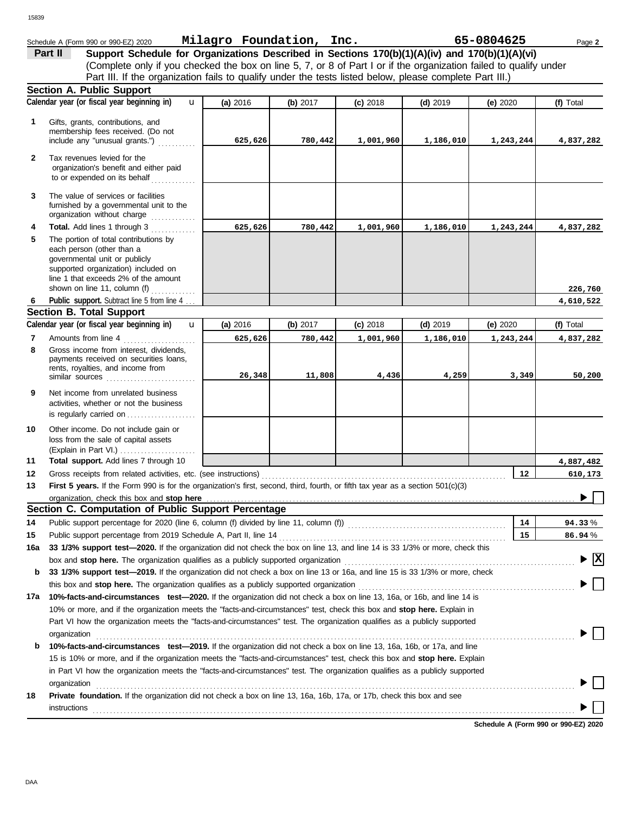|              | Schedule A (Form 990 or 990-EZ) 2020                                                                                                                                                                                          | Milagro Foundation, Inc. |          |            |            | 65-0804625 | Page 2    |
|--------------|-------------------------------------------------------------------------------------------------------------------------------------------------------------------------------------------------------------------------------|--------------------------|----------|------------|------------|------------|-----------|
|              | Support Schedule for Organizations Described in Sections 170(b)(1)(A)(iv) and 170(b)(1)(A)(vi)<br>Part II                                                                                                                     |                          |          |            |            |            |           |
|              | (Complete only if you checked the box on line 5, 7, or 8 of Part I or if the organization failed to qualify under                                                                                                             |                          |          |            |            |            |           |
|              | Part III. If the organization fails to qualify under the tests listed below, please complete Part III.)                                                                                                                       |                          |          |            |            |            |           |
|              | <b>Section A. Public Support</b>                                                                                                                                                                                              |                          |          |            |            |            |           |
|              | Calendar year (or fiscal year beginning in)<br>$\mathbf{u}$                                                                                                                                                                   | (a) 2016                 | (b) 2017 | $(c)$ 2018 | $(d)$ 2019 | (e) $2020$ | (f) Total |
|              | Gifts, grants, contributions, and                                                                                                                                                                                             |                          |          |            |            |            |           |
| 1            | membership fees received. (Do not                                                                                                                                                                                             |                          |          |            |            |            |           |
|              | include any "unusual grants.")                                                                                                                                                                                                | 625,626                  | 780,442  | 1,001,960  | 1,186,010  | 1,243,244  | 4,837,282 |
| $\mathbf{2}$ | Tax revenues levied for the                                                                                                                                                                                                   |                          |          |            |            |            |           |
|              | organization's benefit and either paid                                                                                                                                                                                        |                          |          |            |            |            |           |
|              | to or expended on its behalf                                                                                                                                                                                                  |                          |          |            |            |            |           |
| 3            | The value of services or facilities                                                                                                                                                                                           |                          |          |            |            |            |           |
|              | furnished by a governmental unit to the                                                                                                                                                                                       |                          |          |            |            |            |           |
|              | organization without charge                                                                                                                                                                                                   |                          |          |            |            |            |           |
| 4            | Total. Add lines 1 through 3                                                                                                                                                                                                  | 625,626                  | 780,442  | 1,001,960  | 1,186,010  | 1,243,244  | 4,837,282 |
| 5            | The portion of total contributions by                                                                                                                                                                                         |                          |          |            |            |            |           |
|              | each person (other than a<br>governmental unit or publicly                                                                                                                                                                    |                          |          |            |            |            |           |
|              | supported organization) included on                                                                                                                                                                                           |                          |          |            |            |            |           |
|              | line 1 that exceeds 2% of the amount                                                                                                                                                                                          |                          |          |            |            |            |           |
|              | shown on line 11, column $(f)$                                                                                                                                                                                                |                          |          |            |            |            | 226,760   |
| 6            | Public support. Subtract line 5 from line 4                                                                                                                                                                                   |                          |          |            |            |            | 4,610,522 |
|              | <b>Section B. Total Support</b>                                                                                                                                                                                               |                          |          |            |            |            |           |
|              | Calendar year (or fiscal year beginning in)<br>$\mathbf{u}$                                                                                                                                                                   | (a) 2016                 | (b) 2017 | $(c)$ 2018 | $(d)$ 2019 | (e) $2020$ | (f) Total |
| 7            | Amounts from line 4                                                                                                                                                                                                           | 625,626                  | 780,442  | 1,001,960  | 1,186,010  | 1,243,244  | 4,837,282 |
| 8            | Gross income from interest, dividends,<br>payments received on securities loans,                                                                                                                                              |                          |          |            |            |            |           |
|              | rents, royalties, and income from                                                                                                                                                                                             |                          |          |            |            |            |           |
|              | similar sources                                                                                                                                                                                                               | 26,348                   | 11,808   | 4,436      | 4,259      | 3,349      | 50,200    |
| 9            | Net income from unrelated business                                                                                                                                                                                            |                          |          |            |            |            |           |
|              | activities, whether or not the business                                                                                                                                                                                       |                          |          |            |            |            |           |
|              | is regularly carried on                                                                                                                                                                                                       |                          |          |            |            |            |           |
| 10           | Other income. Do not include gain or                                                                                                                                                                                          |                          |          |            |            |            |           |
|              | loss from the sale of capital assets                                                                                                                                                                                          |                          |          |            |            |            |           |
|              |                                                                                                                                                                                                                               |                          |          |            |            |            |           |
| 11           | Total support. Add lines 7 through 10                                                                                                                                                                                         |                          |          |            |            |            | 4,887,482 |
| 12           |                                                                                                                                                                                                                               |                          |          |            |            | 12         | 610,173   |
| 13           | First 5 years. If the Form 990 is for the organization's first, second, third, fourth, or fifth tax year as a section 501(c)(3)                                                                                               |                          |          |            |            |            |           |
|              | organization, check this box and stop here<br>Section C. Computation of Public Support Percentage                                                                                                                             |                          |          |            |            |            |           |
| 14           | Public support percentage for 2020 (line 6, column (f) divided by line 11, column (f)) [[[[[[[[[[[[[[[[[[[[[[                                                                                                                 |                          |          |            |            | 14         | 94.33%    |
| 15           | Public support percentage from 2019 Schedule A, Part II, line 14                                                                                                                                                              |                          |          |            |            | 15         | $86.94\%$ |
| 16a          | 33 1/3% support test-2020. If the organization did not check the box on line 13, and line 14 is 33 1/3% or more, check this                                                                                                   |                          |          |            |            |            |           |
|              |                                                                                                                                                                                                                               |                          |          |            |            |            | <u> x</u> |
| b            | 33 1/3% support test-2019. If the organization did not check a box on line 13 or 16a, and line 15 is 33 1/3% or more, check                                                                                                   |                          |          |            |            |            |           |
|              | this box and stop here. The organization qualifies as a publicly supported organization [11] content content content content content of the content of the state of the content of the content of the state or content of the |                          |          |            |            |            |           |
| 17a          | 10%-facts-and-circumstances test-2020. If the organization did not check a box on line 13, 16a, or 16b, and line 14 is                                                                                                        |                          |          |            |            |            |           |
|              | 10% or more, and if the organization meets the "facts-and-circumstances" test, check this box and stop here. Explain in                                                                                                       |                          |          |            |            |            |           |
|              | Part VI how the organization meets the "facts-and-circumstances" test. The organization qualifies as a publicly supported                                                                                                     |                          |          |            |            |            |           |
|              | organization                                                                                                                                                                                                                  |                          |          |            |            |            |           |
| b            | 10%-facts-and-circumstances test-2019. If the organization did not check a box on line 13, 16a, 16b, or 17a, and line                                                                                                         |                          |          |            |            |            |           |
|              | 15 is 10% or more, and if the organization meets the "facts-and-circumstances" test, check this box and stop here. Explain                                                                                                    |                          |          |            |            |            |           |
|              | in Part VI how the organization meets the "facts-and-circumstances" test. The organization qualifies as a publicly supported                                                                                                  |                          |          |            |            |            |           |

**18 Private foundation.** If the organization did not check a box on line 13, 16a, 16b, 17a, or 17b, check this box and see organization . . . . . . . . . . . . . . . . . . . . . . . . . . . . . . . . . . . . . . . . . . . . . . . . . . . . . . . . . . . . . . . . . . . . . . . . . . . . . . . . . . . . . . . . . . . . . . . . . . . . . . . . . . . . . . . . . . . . . . . . . . . . . . . . . . . . . . . . . . . instructions<br>
<sub>contr</sub>ettions<br>
and the contract of the contract of the contract of the contract of the contract of the contract of the contract of the contract of the contract of the contract of the contract of the contract

**Schedule A (Form 990 or 990-EZ) 2020**

 $\blacktriangleright \Box$ 

 $\blacktriangleright \Box$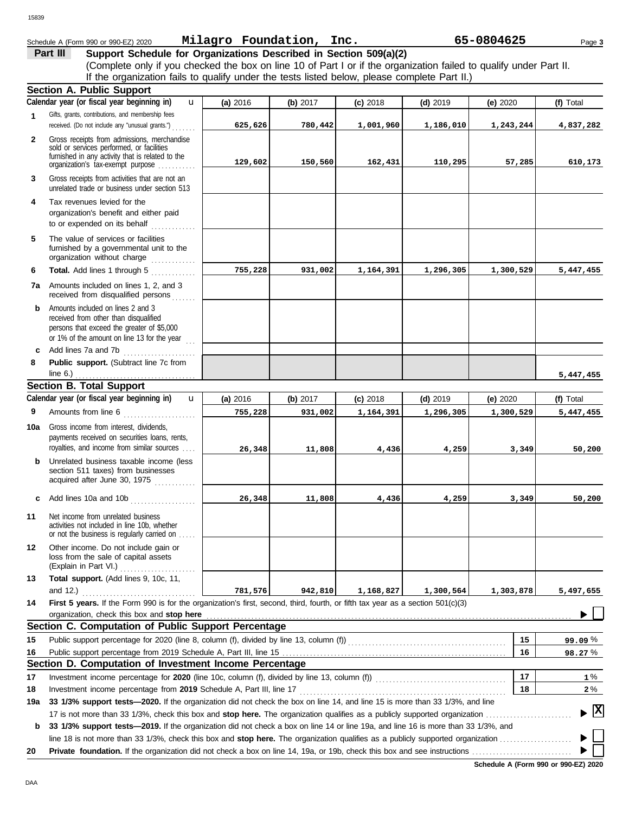|              | If the organization fails to qualify under the tests listed below, please complete Part II.)                                      |          |          |            |            |                                      |                                    |
|--------------|-----------------------------------------------------------------------------------------------------------------------------------|----------|----------|------------|------------|--------------------------------------|------------------------------------|
|              | <b>Section A. Public Support</b>                                                                                                  |          |          |            |            |                                      |                                    |
|              | Calendar year (or fiscal year beginning in)<br>$\mathbf{u}$                                                                       | (a) 2016 | (b) 2017 | $(c)$ 2018 | $(d)$ 2019 | (e) 2020                             | (f) Total                          |
| 1            | Gifts, grants, contributions, and membership fees                                                                                 |          |          |            |            |                                      |                                    |
|              | received. (Do not include any "unusual grants.")                                                                                  | 625,626  | 780,442  | 1,001,960  | 1,186,010  | 1,243,244                            | 4,837,282                          |
| $\mathbf{2}$ | Gross receipts from admissions, merchandise                                                                                       |          |          |            |            |                                      |                                    |
|              | sold or services performed, or facilities<br>furnished in any activity that is related to the                                     |          |          |            |            |                                      |                                    |
|              | organization's tax-exempt purpose                                                                                                 | 129,602  | 150,560  | 162,431    | 110,295    | 57,285                               | 610,173                            |
| 3            | Gross receipts from activities that are not an<br>unrelated trade or business under section 513                                   |          |          |            |            |                                      |                                    |
| 4            | Tax revenues levied for the                                                                                                       |          |          |            |            |                                      |                                    |
|              | organization's benefit and either paid<br>to or expended on its behalf<br><u>.</u>                                                |          |          |            |            |                                      |                                    |
| 5            | The value of services or facilities                                                                                               |          |          |            |            |                                      |                                    |
|              | furnished by a governmental unit to the<br>organization without charge                                                            |          |          |            |            |                                      |                                    |
| 6            | Total. Add lines 1 through 5                                                                                                      | 755,228  | 931,002  | 1,164,391  | 1,296,305  | 1,300,529                            | 5,447,455                          |
|              | 7a Amounts included on lines 1, 2, and 3<br>received from disqualified persons                                                    |          |          |            |            |                                      |                                    |
| b            | Amounts included on lines 2 and 3                                                                                                 |          |          |            |            |                                      |                                    |
|              | received from other than disqualified                                                                                             |          |          |            |            |                                      |                                    |
|              | persons that exceed the greater of \$5,000                                                                                        |          |          |            |            |                                      |                                    |
|              | or 1% of the amount on line 13 for the year $\ldots$<br>Add lines 7a and 7b                                                       |          |          |            |            |                                      |                                    |
| c<br>8       | Public support. (Subtract line 7c from                                                                                            |          |          |            |            |                                      |                                    |
|              | line $6.$ )                                                                                                                       |          |          |            |            |                                      | 5,447,455                          |
|              | <b>Section B. Total Support</b>                                                                                                   |          |          |            |            |                                      |                                    |
|              | Calendar year (or fiscal year beginning in)<br>$\mathbf{u}$                                                                       | (a) 2016 | (b) 2017 | $(c)$ 2018 | $(d)$ 2019 | (e) $2020$                           | (f) Total                          |
| 9            | Amounts from line 6                                                                                                               | 755,228  | 931,002  | 1,164,391  | 1,296,305  | 1,300,529                            | 5,447,455                          |
|              | Gross income from interest, dividends,                                                                                            |          |          |            |            |                                      |                                    |
| 10a          | payments received on securities loans, rents,                                                                                     |          |          |            |            |                                      |                                    |
|              | royalties, and income from similar sources                                                                                        | 26,348   | 11,808   | 4,436      | 4,259      | 3,349                                | 50,200                             |
| b            | Unrelated business taxable income (less                                                                                           |          |          |            |            |                                      |                                    |
|              | section 511 taxes) from businesses                                                                                                |          |          |            |            |                                      |                                    |
|              | acquired after June 30, 1975                                                                                                      |          |          |            |            |                                      |                                    |
| c            | Add lines 10a and 10b                                                                                                             | 26,348   | 11,808   | 4,436      | 4,259      | 3,349                                | 50,200                             |
| 11           | Net income from unrelated business                                                                                                |          |          |            |            |                                      |                                    |
|              | activities not included in line 10b, whether<br>or not the business is regularly carried on                                       |          |          |            |            |                                      |                                    |
| 12           | Other income. Do not include gain or<br>loss from the sale of capital assets                                                      |          |          |            |            |                                      |                                    |
|              | (Explain in Part VI.)                                                                                                             |          |          |            |            |                                      |                                    |
| 13           | Total support. (Add lines 9, 10c, 11,                                                                                             |          |          |            |            |                                      |                                    |
|              | and 12.)                                                                                                                          | 781,576  | 942,810  | 1,168,827  | 1,300,564  | 1,303,878                            | 5,497,655                          |
| 14           | First 5 years. If the Form 990 is for the organization's first, second, third, fourth, or fifth tax year as a section 501(c)(3)   |          |          |            |            |                                      |                                    |
|              | organization, check this box and stop here                                                                                        |          |          |            |            |                                      |                                    |
|              | Section C. Computation of Public Support Percentage                                                                               |          |          |            |            |                                      |                                    |
| 15           |                                                                                                                                   |          |          |            |            | 15                                   | 99.09%                             |
| 16           |                                                                                                                                   |          |          |            |            | 16                                   | 98.27%                             |
|              | Section D. Computation of Investment Income Percentage                                                                            |          |          |            |            |                                      |                                    |
| 17           |                                                                                                                                   |          |          |            |            | 17                                   | 1%                                 |
| 18           | Investment income percentage from 2019 Schedule A, Part III, line 17                                                              |          |          |            |            | 18                                   | $2\%$                              |
| 19a          | 33 1/3% support tests-2020. If the organization did not check the box on line 14, and line 15 is more than 33 1/3%, and line      |          |          |            |            |                                      | $\blacktriangleright$ $\mathbf{X}$ |
|              |                                                                                                                                   |          |          |            |            |                                      |                                    |
| b            | 33 1/3% support tests-2019. If the organization did not check a box on line 14 or line 19a, and line 16 is more than 33 1/3%, and |          |          |            |            |                                      |                                    |
|              |                                                                                                                                   |          |          |            |            |                                      |                                    |
| 20           |                                                                                                                                   |          |          |            |            | Schedule A (Form 990 or 990-F7) 2020 |                                    |

**Schedule A (Form 990 or 990-EZ) 2020**

15839

**Part III Support Schedule for Organizations Described in Section 509(a)(2)** Schedule A (Form 990 or 990-EZ) 2020 Page **3 Milagro Foundation, Inc. 65-0804625**

(Complete only if you checked the box on line 10 of Part I or if the organization failed to qualify under Part II.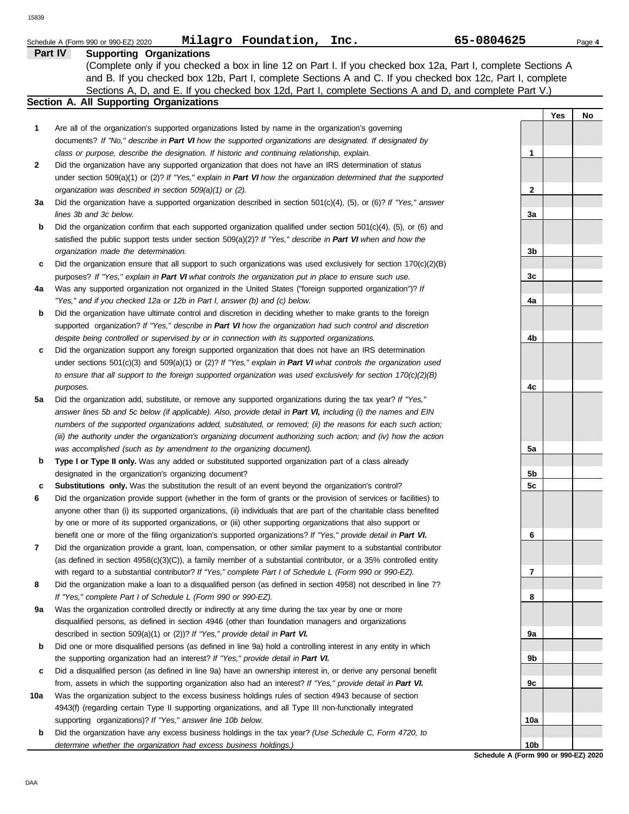|     | Milagro Foundation, Inc.<br>Schedule A (Form 990 or 990-EZ) 2020                                                                                                                                                                   | 65-0804625        |                | Page 4 |
|-----|------------------------------------------------------------------------------------------------------------------------------------------------------------------------------------------------------------------------------------|-------------------|----------------|--------|
|     | <b>Supporting Organizations</b><br>Part IV                                                                                                                                                                                         |                   |                |        |
|     | (Complete only if you checked a box in line 12 on Part I. If you checked box 12a, Part I, complete Sections A                                                                                                                      |                   |                |        |
|     | and B. If you checked box 12b, Part I, complete Sections A and C. If you checked box 12c, Part I, complete                                                                                                                         |                   |                |        |
|     | Sections A, D, and E. If you checked box 12d, Part I, complete Sections A and D, and complete Part V.)                                                                                                                             |                   |                |        |
|     | Section A. All Supporting Organizations                                                                                                                                                                                            |                   |                |        |
|     |                                                                                                                                                                                                                                    |                   | <b>Yes</b>     | No     |
| 1   | Are all of the organization's supported organizations listed by name in the organization's governing                                                                                                                               |                   |                |        |
|     | documents? If "No," describe in Part VI how the supported organizations are designated. If designated by<br>class or purpose, describe the designation. If historic and continuing relationship, explain.                          | 1                 |                |        |
| 2   | Did the organization have any supported organization that does not have an IRS determination of status                                                                                                                             |                   |                |        |
|     | under section 509(a)(1) or (2)? If "Yes," explain in Part VI how the organization determined that the supported                                                                                                                    |                   |                |        |
|     | organization was described in section 509(a)(1) or (2).                                                                                                                                                                            | $\mathbf{2}$      |                |        |
| За  | Did the organization have a supported organization described in section 501(c)(4), (5), or (6)? If "Yes," answer                                                                                                                   |                   |                |        |
|     | lines 3b and 3c below.                                                                                                                                                                                                             | 3a                |                |        |
| b   | Did the organization confirm that each supported organization qualified under section $501(c)(4)$ , (5), or (6) and                                                                                                                |                   |                |        |
|     | satisfied the public support tests under section $509(a)(2)?$ If "Yes," describe in Part VI when and how the                                                                                                                       |                   |                |        |
|     | organization made the determination.                                                                                                                                                                                               | 3b                |                |        |
| c   | Did the organization ensure that all support to such organizations was used exclusively for section $170(c)(2)(B)$                                                                                                                 |                   |                |        |
|     | purposes? If "Yes," explain in Part VI what controls the organization put in place to ensure such use.                                                                                                                             | 3c                |                |        |
| 4a  | Was any supported organization not organized in the United States ("foreign supported organization")? If                                                                                                                           |                   |                |        |
|     | "Yes," and if you checked 12a or 12b in Part I, answer (b) and (c) below.                                                                                                                                                          | 4a                |                |        |
| b   | Did the organization have ultimate control and discretion in deciding whether to make grants to the foreign                                                                                                                        |                   |                |        |
|     | supported organization? If "Yes," describe in Part VI how the organization had such control and discretion                                                                                                                         |                   |                |        |
|     | despite being controlled or supervised by or in connection with its supported organizations.                                                                                                                                       | 4b                |                |        |
| c   | Did the organization support any foreign supported organization that does not have an IRS determination                                                                                                                            |                   |                |        |
|     | under sections $501(c)(3)$ and $509(a)(1)$ or (2)? If "Yes," explain in Part VI what controls the organization used                                                                                                                |                   |                |        |
|     | to ensure that all support to the foreign supported organization was used exclusively for section $170(c)(2)(B)$                                                                                                                   |                   |                |        |
|     | purposes.                                                                                                                                                                                                                          | 4c                |                |        |
| 5a  | Did the organization add, substitute, or remove any supported organizations during the tax year? If "Yes,"                                                                                                                         |                   |                |        |
|     | answer lines 5b and 5c below (if applicable). Also, provide detail in Part VI, including (i) the names and EIN                                                                                                                     |                   |                |        |
|     | numbers of the supported organizations added, substituted, or removed; (ii) the reasons for each such action;<br>(iii) the authority under the organization's organizing document authorizing such action; and (iv) how the action |                   |                |        |
|     | was accomplished (such as by amendment to the organizing document).                                                                                                                                                                | 5a                |                |        |
| b   | Type I or Type II only. Was any added or substituted supported organization part of a class already                                                                                                                                |                   |                |        |
|     | designated in the organization's organizing document?                                                                                                                                                                              | 5b                |                |        |
| c   | <b>Substitutions only.</b> Was the substitution the result of an event beyond the organization's control?                                                                                                                          | 5 <sub>c</sub>    |                |        |
| 6   | Did the organization provide support (whether in the form of grants or the provision of services or facilities) to                                                                                                                 |                   |                |        |
|     | anyone other than (i) its supported organizations, (ii) individuals that are part of the charitable class benefited                                                                                                                |                   |                |        |
|     | by one or more of its supported organizations, or (iii) other supporting organizations that also support or                                                                                                                        |                   |                |        |
|     | benefit one or more of the filing organization's supported organizations? If "Yes," provide detail in Part VI.                                                                                                                     | 6                 |                |        |
| 7   | Did the organization provide a grant, loan, compensation, or other similar payment to a substantial contributor                                                                                                                    |                   |                |        |
|     | (as defined in section 4958(c)(3)(C)), a family member of a substantial contributor, or a 35% controlled entity                                                                                                                    |                   |                |        |
|     | with regard to a substantial contributor? If "Yes," complete Part I of Schedule L (Form 990 or 990-EZ).                                                                                                                            | 7                 |                |        |
| 8   | Did the organization make a loan to a disqualified person (as defined in section 4958) not described in line 7?                                                                                                                    |                   |                |        |
|     | If "Yes," complete Part I of Schedule L (Form 990 or 990-EZ).                                                                                                                                                                      | 8                 |                |        |
| 9a  | Was the organization controlled directly or indirectly at any time during the tax year by one or more                                                                                                                              |                   |                |        |
|     | disqualified persons, as defined in section 4946 (other than foundation managers and organizations                                                                                                                                 |                   |                |        |
|     | described in section 509(a)(1) or (2))? If "Yes," provide detail in Part VI.                                                                                                                                                       | 9а                |                |        |
| b   | Did one or more disqualified persons (as defined in line 9a) hold a controlling interest in any entity in which                                                                                                                    |                   |                |        |
|     | the supporting organization had an interest? If "Yes," provide detail in Part VI.                                                                                                                                                  | 9b                |                |        |
| c   | Did a disqualified person (as defined in line 9a) have an ownership interest in, or derive any personal benefit                                                                                                                    |                   |                |        |
| 10a | from, assets in which the supporting organization also had an interest? If "Yes," provide detail in Part VI.<br>Was the organization subject to the excess business holdings rules of section 4943 because of section              | 9с                |                |        |
|     | 4943(f) (regarding certain Type II supporting organizations, and all Type III non-functionally integrated                                                                                                                          |                   |                |        |
|     | supporting organizations)? If "Yes," answer line 10b below.                                                                                                                                                                        | 10a               |                |        |
| b   | Did the organization have any excess business holdings in the tax year? (Use Schedule C, Form 4720, to                                                                                                                             |                   |                |        |
|     | determine whether the organization had excess business holdings.)                                                                                                                                                                  | 10b               |                |        |
|     |                                                                                                                                                                                                                                    | $\Delta$ $\Gamma$ | $000 - 000 FZ$ |        |

**Schedule A (Form 990 or 990-EZ) 2020**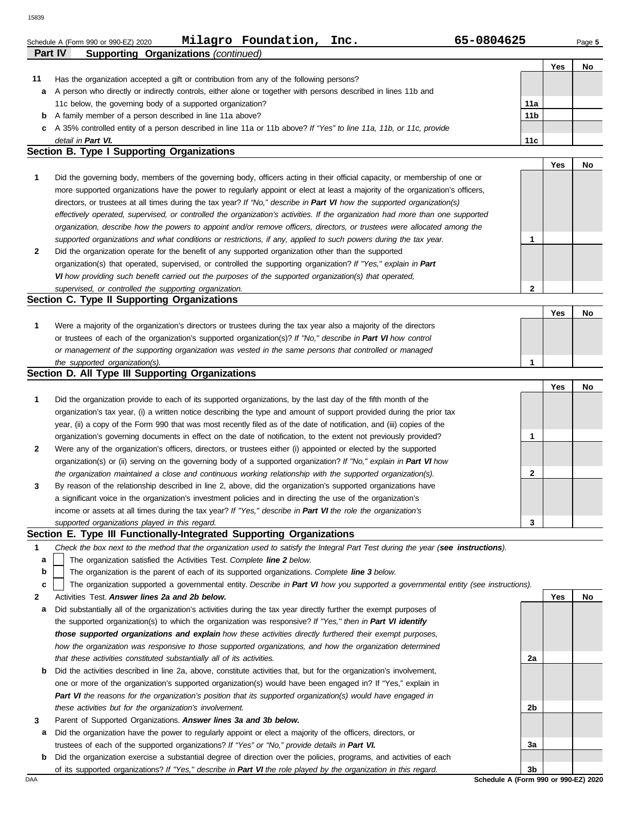|    | Milagro Foundation,<br>65-0804625<br>Inc.                                                                                                                                                                 |                 |            |        |
|----|-----------------------------------------------------------------------------------------------------------------------------------------------------------------------------------------------------------|-----------------|------------|--------|
|    | Schedule A (Form 990 or 990-EZ) 2020<br>Part IV<br><b>Supporting Organizations (continued)</b>                                                                                                            |                 |            | Page 5 |
|    |                                                                                                                                                                                                           |                 | Yes        | No     |
| 11 | Has the organization accepted a gift or contribution from any of the following persons?                                                                                                                   |                 |            |        |
| а  | A person who directly or indirectly controls, either alone or together with persons described in lines 11b and                                                                                            |                 |            |        |
|    | 11c below, the governing body of a supported organization?                                                                                                                                                | 11a             |            |        |
| b  | A family member of a person described in line 11a above?                                                                                                                                                  | 11 <sub>b</sub> |            |        |
|    | A 35% controlled entity of a person described in line 11a or 11b above? If "Yes" to line 11a, 11b, or 11c, provide                                                                                        |                 |            |        |
|    | detail in Part VI.                                                                                                                                                                                        | 11c             |            |        |
|    | Section B. Type I Supporting Organizations                                                                                                                                                                |                 |            |        |
|    |                                                                                                                                                                                                           |                 | Yes        | No     |
| 1  | Did the governing body, members of the governing body, officers acting in their official capacity, or membership of one or                                                                                |                 |            |        |
|    | more supported organizations have the power to regularly appoint or elect at least a majority of the organization's officers,                                                                             |                 |            |        |
|    | directors, or trustees at all times during the tax year? If "No," describe in Part VI how the supported organization(s)                                                                                   |                 |            |        |
|    | effectively operated, supervised, or controlled the organization's activities. If the organization had more than one supported                                                                            |                 |            |        |
|    | organization, describe how the powers to appoint and/or remove officers, directors, or trustees were allocated among the                                                                                  |                 |            |        |
|    | supported organizations and what conditions or restrictions, if any, applied to such powers during the tax year.                                                                                          | 1               |            |        |
| 2  | Did the organization operate for the benefit of any supported organization other than the supported                                                                                                       |                 |            |        |
|    | organization(s) that operated, supervised, or controlled the supporting organization? If "Yes," explain in Part                                                                                           |                 |            |        |
|    | VI how providing such benefit carried out the purposes of the supported organization(s) that operated,                                                                                                    |                 |            |        |
|    | supervised, or controlled the supporting organization.                                                                                                                                                    | $\mathbf{2}$    |            |        |
|    | Section C. Type II Supporting Organizations                                                                                                                                                               |                 |            |        |
|    |                                                                                                                                                                                                           |                 | <b>Yes</b> | No     |
| 1  | Were a majority of the organization's directors or trustees during the tax year also a majority of the directors                                                                                          |                 |            |        |
|    | or trustees of each of the organization's supported organization(s)? If "No," describe in Part VI how control                                                                                             |                 |            |        |
|    | or management of the supporting organization was vested in the same persons that controlled or managed                                                                                                    |                 |            |        |
|    | the supported organization(s).                                                                                                                                                                            | 1               |            |        |
|    | Section D. All Type III Supporting Organizations                                                                                                                                                          |                 |            |        |
|    |                                                                                                                                                                                                           |                 |            |        |
|    |                                                                                                                                                                                                           |                 | <b>Yes</b> | No     |
| 1  | Did the organization provide to each of its supported organizations, by the last day of the fifth month of the                                                                                            |                 |            |        |
|    | organization's tax year, (i) a written notice describing the type and amount of support provided during the prior tax                                                                                     |                 |            |        |
|    | year, (ii) a copy of the Form 990 that was most recently filed as of the date of notification, and (iii) copies of the                                                                                    |                 |            |        |
|    | organization's governing documents in effect on the date of notification, to the extent not previously provided?                                                                                          | 1               |            |        |
| 2  | Were any of the organization's officers, directors, or trustees either (i) appointed or elected by the supported                                                                                          |                 |            |        |
|    | organization(s) or (ii) serving on the governing body of a supported organization? If "No," explain in Part VI how                                                                                        |                 |            |        |
|    | the organization maintained a close and continuous working relationship with the supported organization(s).                                                                                               | 2               |            |        |
| 3  | By reason of the relationship described in line 2, above, did the organization's supported organizations have                                                                                             |                 |            |        |
|    | a significant voice in the organization's investment policies and in directing the use of the organization's                                                                                              |                 |            |        |
|    | income or assets at all times during the tax year? If "Yes," describe in Part VI the role the organization's                                                                                              |                 |            |        |
|    | supported organizations played in this regard.                                                                                                                                                            | 3               |            |        |
| 1  | Section E. Type III Functionally-Integrated Supporting Organizations<br>Check the box next to the method that the organization used to satisfy the Integral Part Test during the year (see instructions). |                 |            |        |

The organization is the parent of each of its supported organizations. *Complete line 3 below.* **b**

The organization supported a governmental entity. *Describe in Part VI how you supported a governmental entity (see instructions).* **c**

- **2** Activities Test. *Answer lines 2a and 2b below.*
- **a** Did substantially all of the organization's activities during the tax year directly further the exempt purposes of the supported organization(s) to which the organization was responsive? *If "Yes," then in Part VI identify those supported organizations and explain how these activities directly furthered their exempt purposes, how the organization was responsive to those supported organizations, and how the organization determined that these activities constituted substantially all of its activities.*
- **b** Did the activities described in line 2a, above, constitute activities that, but for the organization's involvement, one or more of the organization's supported organization(s) would have been engaged in? If "Yes," explain in *Part VI the reasons for the organization's position that its supported organization(s) would have engaged in these activities but for the organization's involvement.*
- **3** Parent of Supported Organizations. *Answer lines 3a and 3b below.*
- **a** Did the organization have the power to regularly appoint or elect a majority of the officers, directors, or trustees of each of the supported organizations? *If "Yes" or "No," provide details in Part VI.*
- **b** Did the organization exercise a substantial degree of direction over the policies, programs, and activities of each of its supported organizations? *If "Yes," describe in Part VI the role played by the organization in this regard.*

DAA **Schedule A (Form 990 or 990-EZ) 2020 3b**

**2a**

**2b**

**3a**

**Yes No**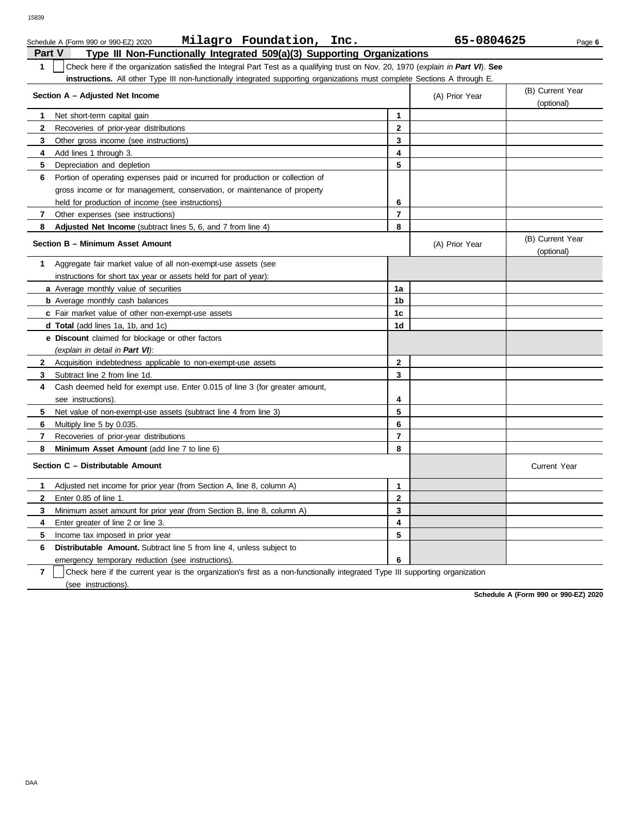|              | Milagro Foundation, Inc.<br>Schedule A (Form 990 or 990-EZ) 2020                                                                 |                | 65-0804625     | Page 6                         |
|--------------|----------------------------------------------------------------------------------------------------------------------------------|----------------|----------------|--------------------------------|
| Part V       | Type III Non-Functionally Integrated 509(a)(3) Supporting Organizations                                                          |                |                |                                |
| 1            | Check here if the organization satisfied the Integral Part Test as a qualifying trust on Nov. 20, 1970 (explain in Part VI). See |                |                |                                |
|              | instructions. All other Type III non-functionally integrated supporting organizations must complete Sections A through E.        |                |                |                                |
|              | Section A - Adjusted Net Income                                                                                                  |                | (A) Prior Year | (B) Current Year<br>(optional) |
|              | Net short-term capital gain                                                                                                      | 1              |                |                                |
| 2            | Recoveries of prior-year distributions                                                                                           | 2              |                |                                |
| 3            | Other gross income (see instructions)                                                                                            | 3              |                |                                |
| 4            | Add lines 1 through 3.                                                                                                           | 4              |                |                                |
| 5            | Depreciation and depletion                                                                                                       | 5              |                |                                |
| 6            | Portion of operating expenses paid or incurred for production or collection of                                                   |                |                |                                |
|              | gross income or for management, conservation, or maintenance of property                                                         |                |                |                                |
|              | held for production of income (see instructions)                                                                                 | 6              |                |                                |
| $\mathbf{7}$ | Other expenses (see instructions)                                                                                                | $\overline{7}$ |                |                                |
| 8            | Adjusted Net Income (subtract lines 5, 6, and 7 from line 4)                                                                     | 8              |                |                                |
|              | Section B - Minimum Asset Amount                                                                                                 |                | (A) Prior Year | (B) Current Year<br>(optional) |
| 1            | Aggregate fair market value of all non-exempt-use assets (see                                                                    |                |                |                                |
|              | instructions for short tax year or assets held for part of year):                                                                |                |                |                                |
|              | a Average monthly value of securities                                                                                            | 1a             |                |                                |
|              | <b>b</b> Average monthly cash balances                                                                                           | 1 <sub>b</sub> |                |                                |
|              | c Fair market value of other non-exempt-use assets                                                                               | 1 <sub>c</sub> |                |                                |
|              | <b>d Total</b> (add lines 1a, 1b, and 1c)                                                                                        | 1d             |                |                                |
|              | <b>e</b> Discount claimed for blockage or other factors                                                                          |                |                |                                |
|              | (explain in detail in Part VI):                                                                                                  |                |                |                                |
| 2            | Acquisition indebtedness applicable to non-exempt-use assets                                                                     | 2              |                |                                |
| 3            | Subtract line 2 from line 1d.                                                                                                    | 3              |                |                                |
| 4            | Cash deemed held for exempt use. Enter 0.015 of line 3 (for greater amount,                                                      |                |                |                                |
|              | see instructions).                                                                                                               | 4              |                |                                |
| 5.           | Net value of non-exempt-use assets (subtract line 4 from line 3)                                                                 | 5              |                |                                |
| 6            | Multiply line 5 by 0.035.                                                                                                        | 6              |                |                                |
| 7            | Recoveries of prior-year distributions                                                                                           | $\overline{7}$ |                |                                |
| 8            | Minimum Asset Amount (add line 7 to line 6)                                                                                      | 8              |                |                                |
|              | Section C - Distributable Amount                                                                                                 |                |                | <b>Current Year</b>            |

**Distributable Amount.** Subtract line 5 from line 4, unless subject to emergency temporary reduction (see instructions). Check here if the current year is the organization's first as a non-functionally integrated Type III supporting organization **6**

**3 2 1**

**5 4**

**Schedule A (Form 990 or 990-EZ) 2020**

**7**

**6**

**4 3**

**5** Income tax imposed in prior year

(see instructions).

Enter greater of line 2 or line 3.

**1** Adjusted net income for prior year (from Section A, line 8, column A)

Minimum asset amount for prior year (from Section B, line 8, column A)

**2** Enter 0.85 of line 1.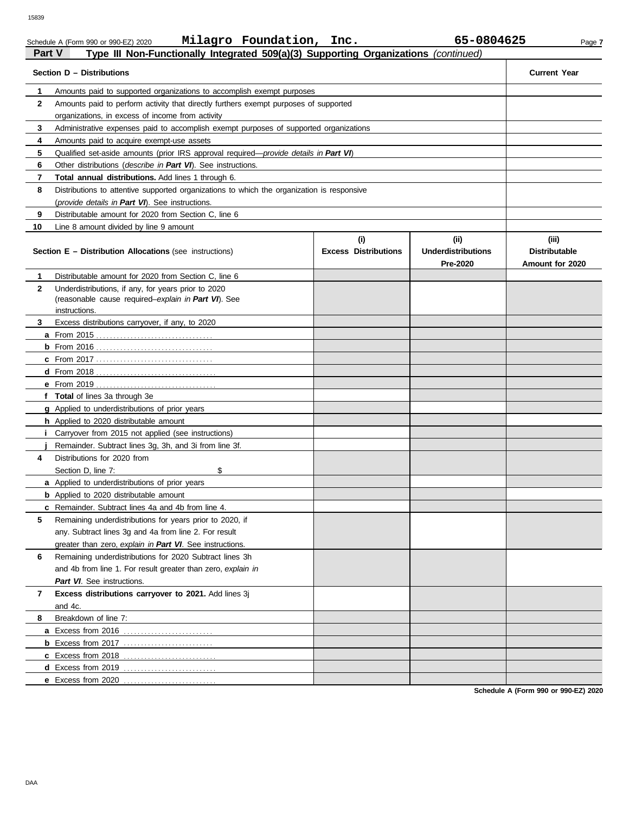| Part V       | Type III Non-Functionally Integrated 509(a)(3) Supporting Organizations (continued)           |                             |                           |                      |
|--------------|-----------------------------------------------------------------------------------------------|-----------------------------|---------------------------|----------------------|
|              | Section D - Distributions                                                                     |                             |                           | <b>Current Year</b>  |
| 1            | Amounts paid to supported organizations to accomplish exempt purposes                         |                             |                           |                      |
| $\mathbf{2}$ | Amounts paid to perform activity that directly furthers exempt purposes of supported          |                             |                           |                      |
|              | organizations, in excess of income from activity                                              |                             |                           |                      |
| 3            | Administrative expenses paid to accomplish exempt purposes of supported organizations         |                             |                           |                      |
| 4            | Amounts paid to acquire exempt-use assets                                                     |                             |                           |                      |
| 5            | Qualified set-aside amounts (prior IRS approval required— <i>provide details in Part VI</i> ) |                             |                           |                      |
| 6            | Other distributions ( <i>describe in Part VI</i> ). See instructions.                         |                             |                           |                      |
| 7            | Total annual distributions. Add lines 1 through 6.                                            |                             |                           |                      |
| 8            | Distributions to attentive supported organizations to which the organization is responsive    |                             |                           |                      |
|              | (provide details in Part VI). See instructions.                                               |                             |                           |                      |
| 9            | Distributable amount for 2020 from Section C, line 6                                          |                             |                           |                      |
| 10           | Line 8 amount divided by line 9 amount                                                        |                             |                           |                      |
|              |                                                                                               | (i)                         | (iii)                     | (iii)                |
|              | <b>Section E - Distribution Allocations (see instructions)</b>                                | <b>Excess Distributions</b> | <b>Underdistributions</b> | <b>Distributable</b> |
|              |                                                                                               |                             | Pre-2020                  | Amount for 2020      |
| 1            | Distributable amount for 2020 from Section C, line 6                                          |                             |                           |                      |
| $\mathbf{2}$ | Underdistributions, if any, for years prior to 2020                                           |                             |                           |                      |
|              | (reasonable cause required-explain in Part VI). See                                           |                             |                           |                      |
|              | instructions.                                                                                 |                             |                           |                      |
| 3            | Excess distributions carryover, if any, to 2020                                               |                             |                           |                      |
|              |                                                                                               |                             |                           |                      |
|              |                                                                                               |                             |                           |                      |
|              |                                                                                               |                             |                           |                      |
|              |                                                                                               |                             |                           |                      |
|              |                                                                                               |                             |                           |                      |
|              | f Total of lines 3a through 3e                                                                |                             |                           |                      |
|              | <b>g</b> Applied to underdistributions of prior years                                         |                             |                           |                      |
|              | <b>h</b> Applied to 2020 distributable amount                                                 |                             |                           |                      |
|              | Carryover from 2015 not applied (see instructions)                                            |                             |                           |                      |
|              | Remainder. Subtract lines 3g, 3h, and 3i from line 3f.                                        |                             |                           |                      |
| 4            | Distributions for 2020 from                                                                   |                             |                           |                      |
|              | \$<br>Section D, line 7:                                                                      |                             |                           |                      |
|              | <b>a</b> Applied to underdistributions of prior years                                         |                             |                           |                      |
|              | <b>b</b> Applied to 2020 distributable amount                                                 |                             |                           |                      |
|              | <b>c</b> Remainder. Subtract lines 4a and 4b from line 4.                                     |                             |                           |                      |
| 5            | Remaining underdistributions for years prior to 2020, if                                      |                             |                           |                      |
|              | any. Subtract lines 3g and 4a from line 2. For result                                         |                             |                           |                      |
|              | greater than zero, explain in Part VI. See instructions.                                      |                             |                           |                      |
| 6            | Remaining underdistributions for 2020 Subtract lines 3h                                       |                             |                           |                      |
|              | and 4b from line 1. For result greater than zero, explain in                                  |                             |                           |                      |
|              | Part VI. See instructions.                                                                    |                             |                           |                      |
| 7            | Excess distributions carryover to 2021. Add lines 3j                                          |                             |                           |                      |
|              | and 4c.                                                                                       |                             |                           |                      |
| 8            | Breakdown of line 7:                                                                          |                             |                           |                      |
|              | <b>a</b> Excess from 2016                                                                     |                             |                           |                      |
|              |                                                                                               |                             |                           |                      |
|              |                                                                                               |                             |                           |                      |
|              | <b>d</b> Excess from 2019                                                                     |                             |                           |                      |
|              | e Excess from 2020                                                                            |                             |                           |                      |

**Schedule A (Form 990 or 990-EZ) 2020**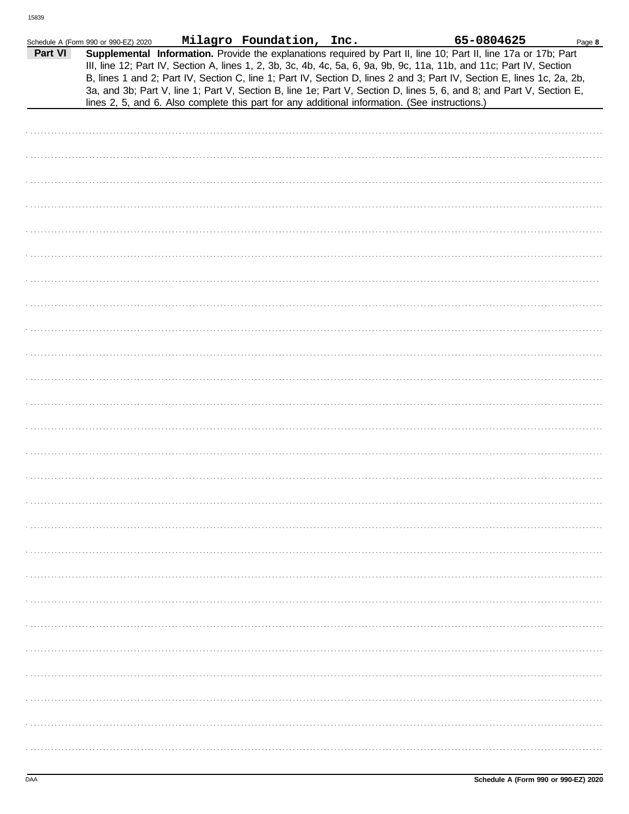|         | Schedule A (Form 990 or 990-EZ) 2020 | Milagro Foundation, Inc. | 65-0804625                                                                                                                                                                                                                                                                                                                                                                                                                                                                                                                                                                                  | Page 8 |
|---------|--------------------------------------|--------------------------|---------------------------------------------------------------------------------------------------------------------------------------------------------------------------------------------------------------------------------------------------------------------------------------------------------------------------------------------------------------------------------------------------------------------------------------------------------------------------------------------------------------------------------------------------------------------------------------------|--------|
| Part VI |                                      |                          | Supplemental Information. Provide the explanations required by Part II, line 10; Part II, line 17a or 17b; Part<br>III, line 12; Part IV, Section A, lines 1, 2, 3b, 3c, 4b, 4c, 5a, 6, 9a, 9b, 9c, 11a, 11b, and 11c; Part IV, Section<br>B, lines 1 and 2; Part IV, Section C, line 1; Part IV, Section D, lines 2 and 3; Part IV, Section E, lines 1c, 2a, 2b,<br>3a, and 3b; Part V, line 1; Part V, Section B, line 1e; Part V, Section D, lines 5, 6, and 8; and Part V, Section E,<br>lines 2, 5, and 6. Also complete this part for any additional information. (See instructions.) |        |
|         |                                      |                          |                                                                                                                                                                                                                                                                                                                                                                                                                                                                                                                                                                                             |        |
|         |                                      |                          |                                                                                                                                                                                                                                                                                                                                                                                                                                                                                                                                                                                             |        |
|         |                                      |                          |                                                                                                                                                                                                                                                                                                                                                                                                                                                                                                                                                                                             |        |
|         |                                      |                          |                                                                                                                                                                                                                                                                                                                                                                                                                                                                                                                                                                                             |        |
|         |                                      |                          |                                                                                                                                                                                                                                                                                                                                                                                                                                                                                                                                                                                             |        |
|         |                                      |                          |                                                                                                                                                                                                                                                                                                                                                                                                                                                                                                                                                                                             |        |
|         |                                      |                          |                                                                                                                                                                                                                                                                                                                                                                                                                                                                                                                                                                                             |        |
|         |                                      |                          |                                                                                                                                                                                                                                                                                                                                                                                                                                                                                                                                                                                             |        |
|         |                                      |                          |                                                                                                                                                                                                                                                                                                                                                                                                                                                                                                                                                                                             |        |
|         |                                      |                          |                                                                                                                                                                                                                                                                                                                                                                                                                                                                                                                                                                                             |        |
|         |                                      |                          |                                                                                                                                                                                                                                                                                                                                                                                                                                                                                                                                                                                             |        |
|         |                                      |                          |                                                                                                                                                                                                                                                                                                                                                                                                                                                                                                                                                                                             |        |
|         |                                      |                          |                                                                                                                                                                                                                                                                                                                                                                                                                                                                                                                                                                                             |        |
|         |                                      |                          |                                                                                                                                                                                                                                                                                                                                                                                                                                                                                                                                                                                             |        |
|         |                                      |                          |                                                                                                                                                                                                                                                                                                                                                                                                                                                                                                                                                                                             |        |
|         |                                      |                          |                                                                                                                                                                                                                                                                                                                                                                                                                                                                                                                                                                                             |        |
|         |                                      |                          |                                                                                                                                                                                                                                                                                                                                                                                                                                                                                                                                                                                             |        |
|         |                                      |                          |                                                                                                                                                                                                                                                                                                                                                                                                                                                                                                                                                                                             |        |
|         |                                      |                          |                                                                                                                                                                                                                                                                                                                                                                                                                                                                                                                                                                                             |        |
|         |                                      |                          |                                                                                                                                                                                                                                                                                                                                                                                                                                                                                                                                                                                             |        |
|         |                                      |                          |                                                                                                                                                                                                                                                                                                                                                                                                                                                                                                                                                                                             |        |
|         |                                      |                          |                                                                                                                                                                                                                                                                                                                                                                                                                                                                                                                                                                                             |        |
|         |                                      |                          |                                                                                                                                                                                                                                                                                                                                                                                                                                                                                                                                                                                             |        |
|         |                                      |                          |                                                                                                                                                                                                                                                                                                                                                                                                                                                                                                                                                                                             |        |
|         |                                      |                          |                                                                                                                                                                                                                                                                                                                                                                                                                                                                                                                                                                                             |        |
|         |                                      |                          |                                                                                                                                                                                                                                                                                                                                                                                                                                                                                                                                                                                             |        |
|         |                                      |                          |                                                                                                                                                                                                                                                                                                                                                                                                                                                                                                                                                                                             |        |
|         |                                      |                          |                                                                                                                                                                                                                                                                                                                                                                                                                                                                                                                                                                                             |        |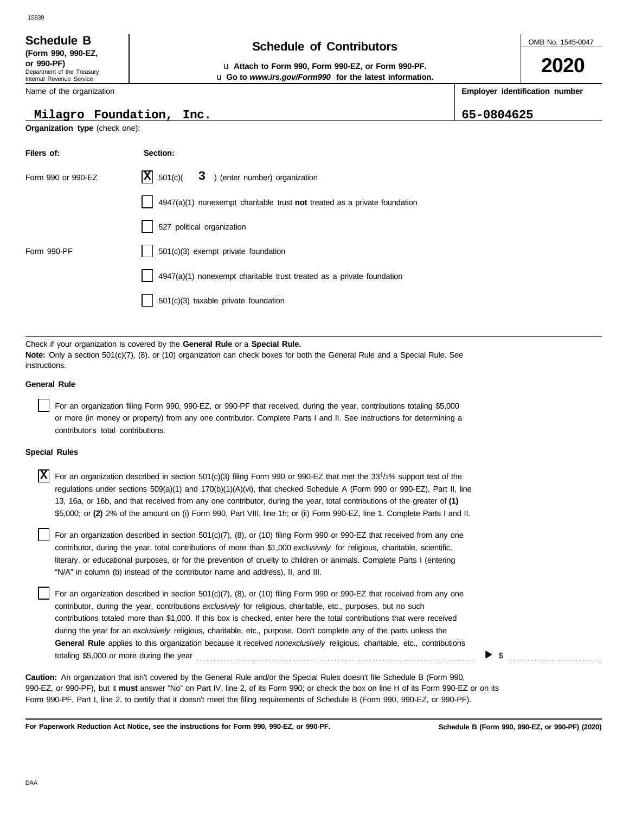### 15839

Department of the Treasury Internal Revenue Service **(Form 990, 990-EZ,**

Name of the organization

#### **Milagro Foundation, Inc. 65-0804625**

**Organization type** (check one):

**Filers of: Section:**

| Schedule B               | <b>Schedule of Contributors</b> |
|--------------------------|---------------------------------|
| $T_{\rm arm}$ 000 000.57 |                                 |

**or 990-PF)** u **Attach to Form 990, Form 990-EZ, or Form 990-PF.** u **Go to** *www.irs.gov/Form990* **for the latest information.** OMB No. 1545-0047

**2020**

**Employer identification number**

| Form 990 or 990-EZ                 | X<br>3 ) (enter number) organization<br>501(c)                                                                                                                                                                                                                                                                                                                                                                                                                                                                                                                                                                                                                        |
|------------------------------------|-----------------------------------------------------------------------------------------------------------------------------------------------------------------------------------------------------------------------------------------------------------------------------------------------------------------------------------------------------------------------------------------------------------------------------------------------------------------------------------------------------------------------------------------------------------------------------------------------------------------------------------------------------------------------|
|                                    | $4947(a)(1)$ nonexempt charitable trust not treated as a private foundation                                                                                                                                                                                                                                                                                                                                                                                                                                                                                                                                                                                           |
|                                    | 527 political organization                                                                                                                                                                                                                                                                                                                                                                                                                                                                                                                                                                                                                                            |
| Form 990-PF                        | $501(c)(3)$ exempt private foundation                                                                                                                                                                                                                                                                                                                                                                                                                                                                                                                                                                                                                                 |
|                                    | 4947(a)(1) nonexempt charitable trust treated as a private foundation                                                                                                                                                                                                                                                                                                                                                                                                                                                                                                                                                                                                 |
|                                    | $501(c)(3)$ taxable private foundation                                                                                                                                                                                                                                                                                                                                                                                                                                                                                                                                                                                                                                |
|                                    |                                                                                                                                                                                                                                                                                                                                                                                                                                                                                                                                                                                                                                                                       |
| instructions.                      | Check if your organization is covered by the General Rule or a Special Rule.<br><b>Note:</b> Only a section 501(c)(7), (8), or (10) organization can check boxes for both the General Rule and a Special Rule. See                                                                                                                                                                                                                                                                                                                                                                                                                                                    |
| <b>General Rule</b>                |                                                                                                                                                                                                                                                                                                                                                                                                                                                                                                                                                                                                                                                                       |
| contributor's total contributions. | For an organization filing Form 990, 990-EZ, or 990-PF that received, during the year, contributions totaling \$5,000<br>or more (in money or property) from any one contributor. Complete Parts I and II. See instructions for determining a                                                                                                                                                                                                                                                                                                                                                                                                                         |
| <b>Special Rules</b>               |                                                                                                                                                                                                                                                                                                                                                                                                                                                                                                                                                                                                                                                                       |
| X                                  | For an organization described in section $501(c)(3)$ filing Form 990 or 990-EZ that met the 33 <sup>1</sup> /3% support test of the<br>regulations under sections $509(a)(1)$ and $170(b)(1)(A)(vi)$ , that checked Schedule A (Form 990 or 990-EZ), Part II, line<br>13, 16a, or 16b, and that received from any one contributor, during the year, total contributions of the greater of (1)<br>\$5,000; or (2) 2% of the amount on (i) Form 990, Part VIII, line 1h; or (ii) Form 990-EZ, line 1. Complete Parts I and II.                                                                                                                                          |
|                                    | For an organization described in section 501(c)(7), (8), or (10) filing Form 990 or 990-EZ that received from any one<br>contributor, during the year, total contributions of more than \$1,000 exclusively for religious, charitable, scientific,<br>literary, or educational purposes, or for the prevention of cruelty to children or animals. Complete Parts I (entering<br>"N/A" in column (b) instead of the contributor name and address), II, and III.                                                                                                                                                                                                        |
|                                    | For an organization described in section 501(c)(7), (8), or (10) filing Form 990 or 990-EZ that received from any one<br>contributor, during the year, contributions exclusively for religious, charitable, etc., purposes, but no such<br>contributions totaled more than \$1,000. If this box is checked, enter here the total contributions that were received<br>during the year for an exclusively religious, charitable, etc., purpose. Don't complete any of the parts unless the<br>General Rule applies to this organization because it received nonexclusively religious, charitable, etc., contributions<br>\$<br>totaling \$5,000 or more during the year |
|                                    | Caution: An organization that isn't covered by the General Rule and/or the Special Rules doesn't file Schedule B (Form 990,<br>990-EZ, or 990-PF), but it must answer "No" on Part IV, line 2, of its Form 990; or check the box on line H of its Form 990-EZ or on its                                                                                                                                                                                                                                                                                                                                                                                               |

**For Paperwork Reduction Act Notice, see the instructions for Form 990, 990-EZ, or 990-PF.**

Form 990-PF, Part I, line 2, to certify that it doesn't meet the filing requirements of Schedule B (Form 990, 990-EZ, or 990-PF).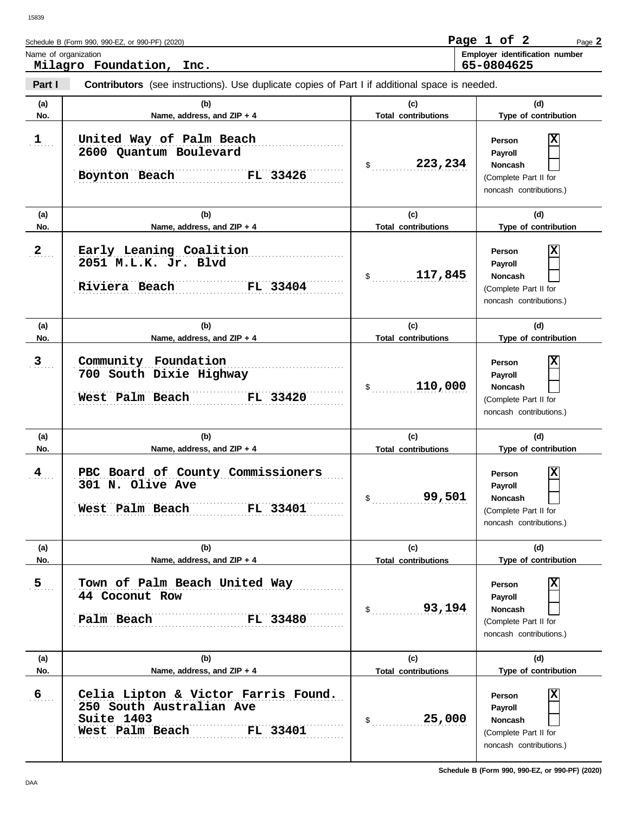| Schedule B (Form 990, 990-EZ, or 990-PF) (2020)  | Page 1 of 2 |            | Page $2$                              |
|--------------------------------------------------|-------------|------------|---------------------------------------|
| Name of organization<br>Milagro Foundation, Inc. |             | 65-0804625 | <b>Employer identification number</b> |

| Part I         | <b>Contributors</b> (see instructions). Use duplicate copies of Part I if additional space is needed.        |                                   |                                                                                              |
|----------------|--------------------------------------------------------------------------------------------------------------|-----------------------------------|----------------------------------------------------------------------------------------------|
| (a)            | (b)                                                                                                          | (c)                               | (d)                                                                                          |
| No.            | Name, address, and ZIP + 4                                                                                   | <b>Total contributions</b>        | Type of contribution                                                                         |
| 1              | United Way of Palm Beach<br>2600 Quantum Boulevard<br>Boynton Beach<br>FL 33426                              | 223,234<br>$\mathsf{\$}$          | X<br>Person<br>Payroll<br><b>Noncash</b><br>(Complete Part II for<br>noncash contributions.) |
| (a)            | (b)                                                                                                          | (c)                               | (d)                                                                                          |
| No.            | Name, address, and ZIP + 4                                                                                   | <b>Total contributions</b>        | Type of contribution                                                                         |
| $2_{\ldots}$   | Early Leaning Coalition<br>2051 M.L.K. Jr. Blvd<br>Riviera Beach<br>FL 33404                                 | 117,845<br>\$                     | X<br>Person<br>Payroll<br><b>Noncash</b><br>(Complete Part II for<br>noncash contributions.) |
| (a)            | (b)                                                                                                          | (c)                               | (d)                                                                                          |
| No.            | Name, address, and ZIP + 4                                                                                   | <b>Total contributions</b>        | Type of contribution                                                                         |
| 3              | Community Foundation<br>700 South Dixie Highway<br>West Palm Beach<br>FL 33420                               | 110,000<br>$\frac{1}{2}$          | X<br>Person<br>Payroll<br><b>Noncash</b><br>(Complete Part II for<br>noncash contributions.) |
| (a)            | (b)                                                                                                          | (c)                               | (d)                                                                                          |
| No.            | Name, address, and ZIP + 4                                                                                   | <b>Total contributions</b>        | Type of contribution                                                                         |
| $\frac{4}{1}$  | PBC Board of County Commissioners<br>301 N. Olive Ave<br>West Palm Beach<br><b>FL 33401</b>                  | 99,501<br>$\mathsf{S}$            | X<br>Person<br>Payroll<br><b>Noncash</b><br>(Complete Part II for<br>noncash contributions.) |
| (a)<br>No.     | (b)<br>Name, address, and ZIP + 4                                                                            | (c)<br><b>Total contributions</b> | (d)<br>Type of contribution                                                                  |
| 5 <sub>1</sub> | Town of Palm Beach United Way<br>44 Coconut Row<br>Palm Beach<br>FL 33480                                    | 93,194<br>$\frac{1}{2}$           | X<br>Person<br>Payroll<br><b>Noncash</b><br>(Complete Part II for<br>noncash contributions.) |
| (a)<br>No.     | (b)<br>Name, address, and ZIP + 4                                                                            | (c)<br><b>Total contributions</b> | (d)<br>Type of contribution                                                                  |
| 6              | Celia Lipton & Victor Farris Found.<br>250 South Australian Ave<br>Suite 1403<br>West Palm Beach<br>FL 33401 | 25,000<br>\$                      | Χ<br>Person<br>Payroll<br>Noncash<br>(Complete Part II for<br>noncash contributions.)        |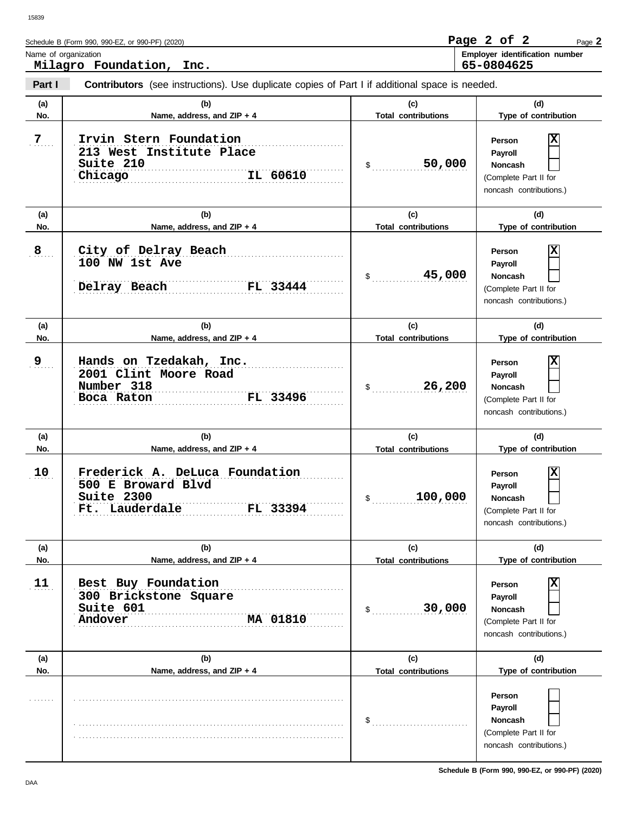| Schedule B (Form 990, 990-EZ, or 990-PF) (2020) | Page 2 of 2 |  | Page 2                                |
|-------------------------------------------------|-------------|--|---------------------------------------|
| Name of organization                            |             |  | <b>Employer identification number</b> |
| Milagro Foundation,<br>Inc.                     | 65-0804625  |  |                                       |

| Part I     | <b>Contributors</b> (see instructions). Use duplicate copies of Part I if additional space is needed.                          |                                                        |                                                                                                               |
|------------|--------------------------------------------------------------------------------------------------------------------------------|--------------------------------------------------------|---------------------------------------------------------------------------------------------------------------|
| (a)<br>No. | (b)<br>Name, address, and ZIP + 4                                                                                              | (c)<br><b>Total contributions</b>                      | (d)<br>Type of contribution                                                                                   |
| 7          | Irvin Stern Foundation<br>213 West Institute Place<br>Suite 210<br>IL 60610<br>Chicago                                         | 50,000<br>$\frac{1}{2}$                                | X<br>Person<br>Payroll<br>Noncash<br>(Complete Part II for<br>noncash contributions.)                         |
| (a)<br>No. | (b)<br>Name, address, and ZIP + 4                                                                                              | (c)<br><b>Total contributions</b>                      | (d)<br>Type of contribution                                                                                   |
| 8          | City of Delray Beach<br>100 NW 1st Ave<br>Delray Beach<br>FL 33444                                                             | 45,000<br>$\mathfrak s$                                | X<br>Person<br>Payroll<br>Noncash<br>(Complete Part II for<br>noncash contributions.)                         |
| (a)<br>No. | (b)<br>Name, address, and ZIP + 4                                                                                              | (c)<br><b>Total contributions</b>                      | (d)<br>Type of contribution                                                                                   |
| 9          | Hands on Tzedakah, Inc.<br>2001 Clint Moore Road<br>Number 318<br>FL 33496<br>Boca Raton                                       | 26,200<br>$\mathfrak{S}$                               | X<br>Person<br>Payroll<br>Noncash<br>(Complete Part II for<br>noncash contributions.)                         |
| (a)<br>No. | (b)                                                                                                                            | (c)                                                    | (d)                                                                                                           |
| 10         | Name, address, and ZIP + 4<br>Frederick A. DeLuca Foundation<br>500 E Broward Blvd<br>Suite 2300<br>Ft. Lauderdale<br>FL 33394 | <b>Total contributions</b><br>100,000<br>$\frac{1}{2}$ | Type of contribution<br>X<br>Person<br>Payroll<br>Noncash<br>(Complete Part II for<br>noncash contributions.) |
| (a)<br>No. | (b)<br>Name, address, and ZIP + 4                                                                                              | (c)<br><b>Total contributions</b>                      | (d)<br>Type of contribution                                                                                   |
| 11         | Best Buy Foundation<br>300 Brickstone Square<br>Suite 601<br>MA 01810<br>Andover                                               | 30,000<br>\$                                           | X<br>Person<br>Payroll<br><b>Noncash</b><br>(Complete Part II for<br>noncash contributions.)                  |
| (a)<br>No. | (b)<br>Name, address, and ZIP + 4                                                                                              | (c)<br><b>Total contributions</b>                      | (d)<br>Type of contribution                                                                                   |
|            |                                                                                                                                | \$                                                     | Person<br>Payroll<br><b>Noncash</b><br>(Complete Part II for<br>noncash contributions.)                       |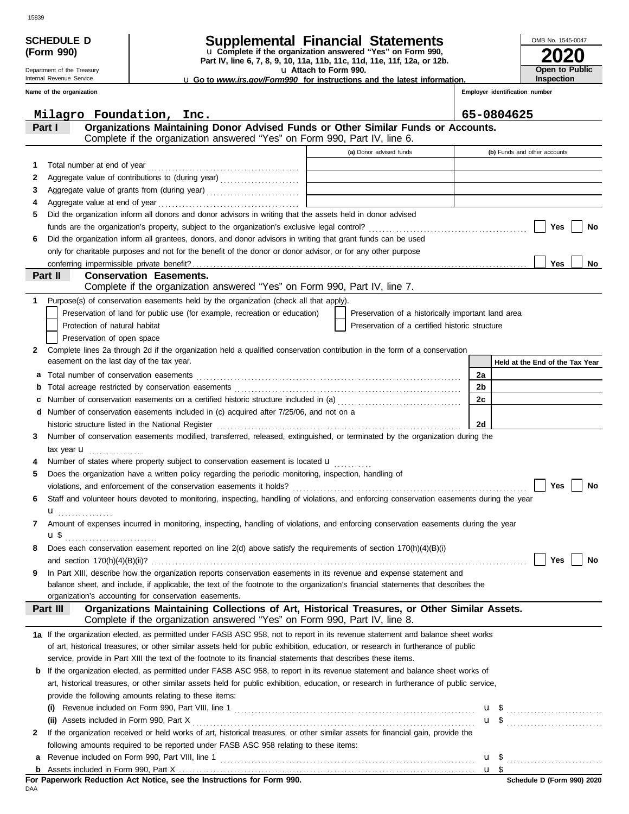|    | (Form 990)                                             | u Complete if the organization answered "Yes" on Form 990,<br>Part IV, line 6, 7, 8, 9, 10, 11a, 11b, 11c, 11d, 11e, 11f, 12a, or 12b.    |                                                    |    |                                            |
|----|--------------------------------------------------------|-------------------------------------------------------------------------------------------------------------------------------------------|----------------------------------------------------|----|--------------------------------------------|
|    | Department of the Treasury<br>Internal Revenue Service | u Attach to Form 990.                                                                                                                     |                                                    |    | <b>Open to Public</b><br><b>Inspection</b> |
|    | Name of the organization                               | <b>u</b> Go to <i>www.irs.gov/Form990</i> for instructions and the latest information.                                                    |                                                    |    | Employer identification number             |
|    |                                                        |                                                                                                                                           |                                                    |    |                                            |
|    | Milagro Foundation, Inc.                               |                                                                                                                                           |                                                    |    | 65-0804625                                 |
|    | Part I                                                 | Organizations Maintaining Donor Advised Funds or Other Similar Funds or Accounts.                                                         |                                                    |    |                                            |
|    |                                                        | Complete if the organization answered "Yes" on Form 990, Part IV, line 6.                                                                 |                                                    |    |                                            |
|    |                                                        |                                                                                                                                           | (a) Donor advised funds                            |    | (b) Funds and other accounts               |
| 1. |                                                        |                                                                                                                                           |                                                    |    |                                            |
| 2  |                                                        | Aggregate value of contributions to (during year)                                                                                         |                                                    |    |                                            |
| З  |                                                        |                                                                                                                                           |                                                    |    |                                            |
| 4  |                                                        |                                                                                                                                           |                                                    |    |                                            |
| 5  |                                                        | Did the organization inform all donors and donor advisors in writing that the assets held in donor advised                                |                                                    |    |                                            |
|    |                                                        |                                                                                                                                           |                                                    |    | Yes<br>No                                  |
| 6  |                                                        | Did the organization inform all grantees, donors, and donor advisors in writing that grant funds can be used                              |                                                    |    |                                            |
|    |                                                        | only for charitable purposes and not for the benefit of the donor or donor advisor, or for any other purpose                              |                                                    |    | <b>Yes</b><br>No                           |
|    | conferring impermissible private benefit?<br>Part II   | <b>Conservation Easements.</b>                                                                                                            |                                                    |    |                                            |
|    |                                                        | Complete if the organization answered "Yes" on Form 990, Part IV, line 7.                                                                 |                                                    |    |                                            |
| 1. |                                                        | Purpose(s) of conservation easements held by the organization (check all that apply).                                                     |                                                    |    |                                            |
|    |                                                        | Preservation of land for public use (for example, recreation or education)                                                                | Preservation of a historically important land area |    |                                            |
|    | Protection of natural habitat                          |                                                                                                                                           | Preservation of a certified historic structure     |    |                                            |
|    | Preservation of open space                             |                                                                                                                                           |                                                    |    |                                            |
| 2  |                                                        | Complete lines 2a through 2d if the organization held a qualified conservation contribution in the form of a conservation                 |                                                    |    |                                            |
|    | easement on the last day of the tax year.              |                                                                                                                                           |                                                    |    | Held at the End of the Tax Year            |
| а  |                                                        |                                                                                                                                           |                                                    | 2a |                                            |
| b  |                                                        |                                                                                                                                           |                                                    | 2b |                                            |
|    |                                                        | Number of conservation easements on a certified historic structure included in (a) [[[[[ [ [ ]]]                                          |                                                    | 2c |                                            |
| d  |                                                        | Number of conservation easements included in (c) acquired after 7/25/06, and not on a                                                     |                                                    |    |                                            |
|    | historic structure listed in the National Register     |                                                                                                                                           |                                                    | 2d |                                            |
| 3  |                                                        | Number of conservation easements modified, transferred, released, extinguished, or terminated by the organization during the              |                                                    |    |                                            |
|    | tax year $\mathbf u$                                   |                                                                                                                                           |                                                    |    |                                            |
|    |                                                        | Number of states where property subject to conservation easement is located <b>u</b>                                                      |                                                    |    |                                            |
| 5  |                                                        | Does the organization have a written policy regarding the periodic monitoring, inspection, handling of                                    |                                                    |    |                                            |
|    |                                                        |                                                                                                                                           |                                                    |    | Yes<br>No                                  |
| 6  |                                                        | Staff and volunteer hours devoted to monitoring, inspecting, handling of violations, and enforcing conservation easements during the year |                                                    |    |                                            |
|    | u<br>.                                                 |                                                                                                                                           |                                                    |    |                                            |
| 7  |                                                        | Amount of expenses incurred in monitoring, inspecting, handling of violations, and enforcing conservation easements during the year       |                                                    |    |                                            |
| 8  | <b>u</b> \$                                            | Does each conservation easement reported on line 2(d) above satisfy the requirements of section 170(h)(4)(B)(i)                           |                                                    |    |                                            |
|    |                                                        |                                                                                                                                           |                                                    |    | <b>No</b><br>Yes                           |
| 9  |                                                        | In Part XIII, describe how the organization reports conservation easements in its revenue and expense statement and                       |                                                    |    |                                            |
|    |                                                        | balance sheet, and include, if applicable, the text of the footnote to the organization's financial statements that describes the         |                                                    |    |                                            |
|    |                                                        | organization's accounting for conservation easements.                                                                                     |                                                    |    |                                            |
|    | Part III                                               | Organizations Maintaining Collections of Art, Historical Treasures, or Other Similar Assets.                                              |                                                    |    |                                            |
|    |                                                        | Complete if the organization answered "Yes" on Form 990, Part IV, line 8.                                                                 |                                                    |    |                                            |
|    |                                                        | 1a If the organization elected, as permitted under FASB ASC 958, not to report in its revenue statement and balance sheet works           |                                                    |    |                                            |
|    |                                                        | of art, historical treasures, or other similar assets held for public exhibition, education, or research in furtherance of public         |                                                    |    |                                            |
|    |                                                        | service, provide in Part XIII the text of the footnote to its financial statements that describes these items.                            |                                                    |    |                                            |
|    |                                                        | <b>b</b> If the organization elected, as permitted under FASB ASC 958, to report in its revenue statement and balance sheet works of      |                                                    |    |                                            |
|    |                                                        | art, historical treasures, or other similar assets held for public exhibition, education, or research in furtherance of public service,   |                                                    |    |                                            |
|    |                                                        | provide the following amounts relating to these items:                                                                                    |                                                    |    |                                            |
|    | (i)                                                    |                                                                                                                                           |                                                    |    |                                            |
|    |                                                        |                                                                                                                                           |                                                    |    |                                            |
| 2  |                                                        | If the organization received or held works of art, historical treasures, or other similar assets for financial gain, provide the          |                                                    |    |                                            |
|    |                                                        | following amounts required to be reported under FASB ASC 958 relating to these items:                                                     |                                                    |    |                                            |
| a  |                                                        |                                                                                                                                           |                                                    |    | $\mathbf{u}$ \$                            |

|--|

|     |  |  | For Paperwork Reduction Act Notice, see the Instructions for Form 990. |  |  |  |  |  |  |
|-----|--|--|------------------------------------------------------------------------|--|--|--|--|--|--|
| DAA |  |  |                                                                        |  |  |  |  |  |  |

<u>u \$</u>

OMB No. 1545-0047

#### SCHEDULE D **Supplemental Financial Statements**<br>
(Form 990) **Complete if the organization answered "Yes"** on Form 990, **(Form 990)**

| Let Complete if the organization answered "res" or        |  |  |
|-----------------------------------------------------------|--|--|
| Part IV, line 6, 7, 8, 9, 10, 11a, 11b, 11c, 11d, 11e, 11 |  |  |
|                                                           |  |  |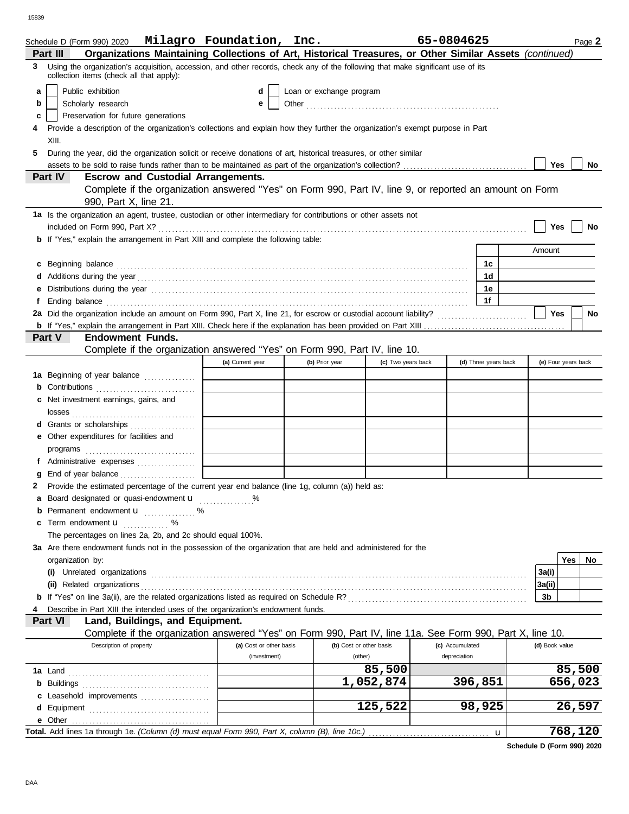15839

|   | Schedule D (Form 990) 2020 Milagro Foundation, Inc.                                                                                                                                                                                  |                         |                          |                         | 65-0804625           | Page 2              |
|---|--------------------------------------------------------------------------------------------------------------------------------------------------------------------------------------------------------------------------------------|-------------------------|--------------------------|-------------------------|----------------------|---------------------|
|   | Organizations Maintaining Collections of Art, Historical Treasures, or Other Similar Assets (continued)<br>Part III                                                                                                                  |                         |                          |                         |                      |                     |
| 3 | Using the organization's acquisition, accession, and other records, check any of the following that make significant use of its<br>collection items (check all that apply):                                                          |                         |                          |                         |                      |                     |
| a | Public exhibition                                                                                                                                                                                                                    | d                       | Loan or exchange program |                         |                      |                     |
| b | Scholarly research                                                                                                                                                                                                                   | е                       |                          |                         |                      |                     |
| c | Preservation for future generations                                                                                                                                                                                                  |                         |                          |                         |                      |                     |
|   | Provide a description of the organization's collections and explain how they further the organization's exempt purpose in Part                                                                                                       |                         |                          |                         |                      |                     |
|   | XIII.                                                                                                                                                                                                                                |                         |                          |                         |                      |                     |
| 5 | During the year, did the organization solicit or receive donations of art, historical treasures, or other similar                                                                                                                    |                         |                          |                         |                      |                     |
|   |                                                                                                                                                                                                                                      |                         |                          |                         |                      | Yes<br>No           |
|   | <b>Escrow and Custodial Arrangements.</b><br>Part IV                                                                                                                                                                                 |                         |                          |                         |                      |                     |
|   | Complete if the organization answered "Yes" on Form 990, Part IV, line 9, or reported an amount on Form<br>990, Part X, line 21.                                                                                                     |                         |                          |                         |                      |                     |
|   | 1a Is the organization an agent, trustee, custodian or other intermediary for contributions or other assets not                                                                                                                      |                         |                          |                         |                      | Yes<br>No           |
|   | <b>b</b> If "Yes," explain the arrangement in Part XIII and complete the following table:                                                                                                                                            |                         |                          |                         |                      |                     |
|   |                                                                                                                                                                                                                                      |                         |                          |                         |                      | Amount              |
|   | c Beginning balance <b>contract the contract of the contract of the contract of the contract of the contract of the contract of the contract of the contract of the contract of the contract of the contract of the contract of </b> |                         |                          |                         | 1c                   |                     |
|   |                                                                                                                                                                                                                                      |                         |                          |                         | 1d                   |                     |
| е |                                                                                                                                                                                                                                      |                         |                          |                         | 1е                   |                     |
| f | Ending balance <b>construction and the construction of the construction</b> of the construction of the construction of the construction of the construction of the construction of the construction of the construction of the cons  |                         |                          |                         | 1f                   |                     |
|   |                                                                                                                                                                                                                                      |                         |                          |                         |                      | Yes<br>No           |
|   |                                                                                                                                                                                                                                      |                         |                          |                         |                      |                     |
|   | <b>Endowment Funds.</b><br><b>Part V</b>                                                                                                                                                                                             |                         |                          |                         |                      |                     |
|   | Complete if the organization answered "Yes" on Form 990, Part IV, line 10.                                                                                                                                                           |                         |                          |                         |                      |                     |
|   |                                                                                                                                                                                                                                      | (a) Current year        | (b) Prior year           | (c) Two years back      | (d) Three years back | (e) Four years back |
|   | 1a Beginning of year balance                                                                                                                                                                                                         |                         |                          |                         |                      |                     |
|   | <b>b</b> Contributions <b>contributions</b>                                                                                                                                                                                          |                         |                          |                         |                      |                     |
|   | c Net investment earnings, gains, and                                                                                                                                                                                                |                         |                          |                         |                      |                     |
|   |                                                                                                                                                                                                                                      |                         |                          |                         |                      |                     |
|   | d Grants or scholarships                                                                                                                                                                                                             |                         |                          |                         |                      |                     |
|   | e Other expenditures for facilities and                                                                                                                                                                                              |                         |                          |                         |                      |                     |
|   |                                                                                                                                                                                                                                      |                         |                          |                         |                      |                     |
|   | f Administrative expenses                                                                                                                                                                                                            |                         |                          |                         |                      |                     |
| g |                                                                                                                                                                                                                                      |                         |                          |                         |                      |                     |
| 2 | Provide the estimated percentage of the current year end balance (line 1g, column (a)) held as:                                                                                                                                      |                         |                          |                         |                      |                     |
|   | a Board designated or quasi-endowment <b>u</b>                                                                                                                                                                                       | %                       |                          |                         |                      |                     |
| b | Permanent endowment <b>u</b> %                                                                                                                                                                                                       |                         |                          |                         |                      |                     |
| c | Term endowment <b>u</b><br>.                                                                                                                                                                                                         |                         |                          |                         |                      |                     |
|   | The percentages on lines 2a, 2b, and 2c should equal 100%.                                                                                                                                                                           |                         |                          |                         |                      |                     |
|   | 3a Are there endowment funds not in the possession of the organization that are held and administered for the                                                                                                                        |                         |                          |                         |                      |                     |
|   | organization by:                                                                                                                                                                                                                     |                         |                          |                         |                      | Yes<br>No           |
|   | Unrelated organizations <b>constructs</b> and construct of the construction of the construction of the construction of                                                                                                               |                         |                          |                         |                      | 3a(i)               |
|   |                                                                                                                                                                                                                                      |                         |                          |                         |                      | 3a(ii)              |
|   |                                                                                                                                                                                                                                      |                         |                          |                         |                      | 3b                  |
|   | Describe in Part XIII the intended uses of the organization's endowment funds.                                                                                                                                                       |                         |                          |                         |                      |                     |
|   | Land, Buildings, and Equipment.<br><b>Part VI</b>                                                                                                                                                                                    |                         |                          |                         |                      |                     |
|   | Complete if the organization answered "Yes" on Form 990, Part IV, line 11a. See Form 990, Part X, line 10.                                                                                                                           |                         |                          |                         |                      |                     |
|   | Description of property                                                                                                                                                                                                              | (a) Cost or other basis |                          | (b) Cost or other basis | (c) Accumulated      | (d) Book value      |
|   |                                                                                                                                                                                                                                      | (investment)            |                          | (other)                 | depreciation         |                     |
|   |                                                                                                                                                                                                                                      |                         |                          | 85,500                  |                      | 85,500              |
|   |                                                                                                                                                                                                                                      |                         |                          | 1,052,874               | 396,851              | 656,023             |
|   | c Leasehold improvements                                                                                                                                                                                                             |                         |                          |                         |                      |                     |
|   |                                                                                                                                                                                                                                      |                         |                          | 125,522                 | 98,925               | 26,597              |
|   | e Other<br>Total. Add lines 1a through 1e. (Column (d) must equal Form 990, Part X, column (B), line 10c.)                                                                                                                           |                         |                          |                         |                      | 768,120             |
|   |                                                                                                                                                                                                                                      |                         |                          |                         | $\mathbf u$          |                     |

**Schedule D (Form 990) 2020**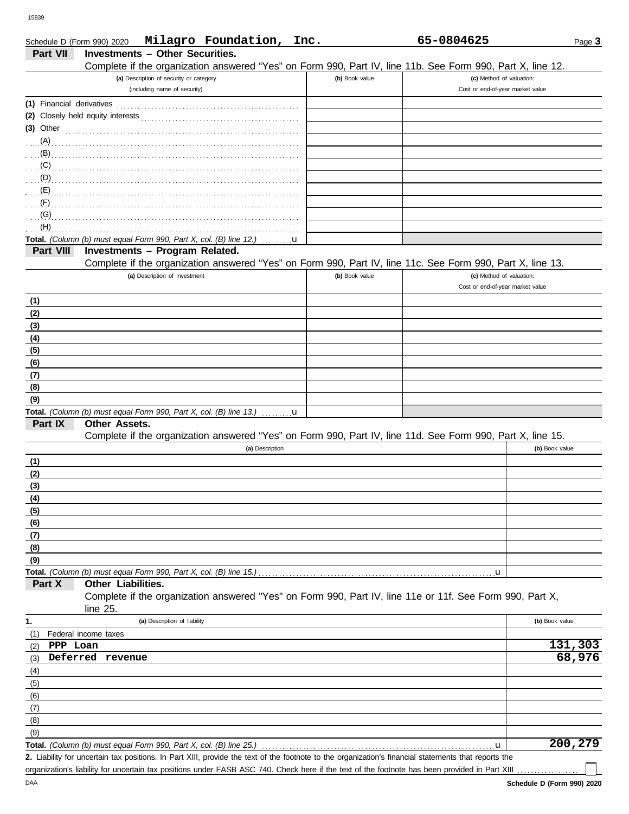| Schedule D (Form 990) 2020 |                                                                    |                              | Milagro Foundation,                                                                                                                                  | Inc. |                | 65-0804625 |                                  |                | Page 3  |
|----------------------------|--------------------------------------------------------------------|------------------------------|------------------------------------------------------------------------------------------------------------------------------------------------------|------|----------------|------------|----------------------------------|----------------|---------|
| Part VII                   | <b>Investments - Other Securities.</b>                             |                              |                                                                                                                                                      |      |                |            |                                  |                |         |
|                            |                                                                    |                              | Complete if the organization answered "Yes" on Form 990, Part IV, line 11b. See Form 990, Part X, line 12.                                           |      |                |            |                                  |                |         |
|                            | (a) Description of security or category                            |                              |                                                                                                                                                      |      | (b) Book value |            | (c) Method of valuation:         |                |         |
|                            | (including name of security)                                       |                              |                                                                                                                                                      |      |                |            | Cost or end-of-year market value |                |         |
| (1) Financial derivatives  |                                                                    |                              |                                                                                                                                                      |      |                |            |                                  |                |         |
|                            |                                                                    |                              |                                                                                                                                                      |      |                |            |                                  |                |         |
| $(3)$ Other                |                                                                    |                              |                                                                                                                                                      |      |                |            |                                  |                |         |
| (A)                        |                                                                    |                              |                                                                                                                                                      |      |                |            |                                  |                |         |
| (B)                        |                                                                    |                              |                                                                                                                                                      |      |                |            |                                  |                |         |
| (C)                        |                                                                    |                              |                                                                                                                                                      |      |                |            |                                  |                |         |
|                            |                                                                    |                              |                                                                                                                                                      |      |                |            |                                  |                |         |
|                            |                                                                    |                              |                                                                                                                                                      |      |                |            |                                  |                |         |
| (F)<br>(G)                 |                                                                    |                              |                                                                                                                                                      |      |                |            |                                  |                |         |
| (H)                        |                                                                    |                              |                                                                                                                                                      |      |                |            |                                  |                |         |
|                            | Total. (Column (b) must equal Form 990, Part X, col. (B) line 12.) |                              |                                                                                                                                                      |      |                |            |                                  |                |         |
| Part VIII                  | Investments - Program Related.                                     |                              |                                                                                                                                                      | u    |                |            |                                  |                |         |
|                            |                                                                    |                              | Complete if the organization answered "Yes" on Form 990, Part IV, line 11c. See Form 990, Part X, line 13.                                           |      |                |            |                                  |                |         |
|                            | (a) Description of investment                                      |                              |                                                                                                                                                      |      | (b) Book value |            | (c) Method of valuation:         |                |         |
|                            |                                                                    |                              |                                                                                                                                                      |      |                |            | Cost or end-of-year market value |                |         |
| (1)                        |                                                                    |                              |                                                                                                                                                      |      |                |            |                                  |                |         |
| (2)                        |                                                                    |                              |                                                                                                                                                      |      |                |            |                                  |                |         |
| (3)                        |                                                                    |                              |                                                                                                                                                      |      |                |            |                                  |                |         |
| (4)                        |                                                                    |                              |                                                                                                                                                      |      |                |            |                                  |                |         |
| (5)                        |                                                                    |                              |                                                                                                                                                      |      |                |            |                                  |                |         |
| (6)                        |                                                                    |                              |                                                                                                                                                      |      |                |            |                                  |                |         |
| (7)                        |                                                                    |                              |                                                                                                                                                      |      |                |            |                                  |                |         |
| (8)                        |                                                                    |                              |                                                                                                                                                      |      |                |            |                                  |                |         |
| (9)                        |                                                                    |                              |                                                                                                                                                      |      |                |            |                                  |                |         |
|                            |                                                                    |                              | Total. (Column (b) must equal Form 990, Part X, col. (B) line 13.) $\dots \dots u$                                                                   |      |                |            |                                  |                |         |
| Part IX                    | Other Assets.                                                      |                              |                                                                                                                                                      |      |                |            |                                  |                |         |
|                            |                                                                    |                              | Complete if the organization answered "Yes" on Form 990, Part IV, line 11d. See Form 990, Part X, line 15.                                           |      |                |            |                                  |                |         |
|                            |                                                                    |                              | (a) Description                                                                                                                                      |      |                |            |                                  | (b) Book value |         |
| (1)                        |                                                                    |                              |                                                                                                                                                      |      |                |            |                                  |                |         |
| (2)                        |                                                                    |                              |                                                                                                                                                      |      |                |            |                                  |                |         |
| (3)                        |                                                                    |                              |                                                                                                                                                      |      |                |            |                                  |                |         |
| (4)                        |                                                                    |                              |                                                                                                                                                      |      |                |            |                                  |                |         |
| (5)                        |                                                                    |                              |                                                                                                                                                      |      |                |            |                                  |                |         |
| (6)                        |                                                                    |                              |                                                                                                                                                      |      |                |            |                                  |                |         |
| (7)                        |                                                                    |                              |                                                                                                                                                      |      |                |            |                                  |                |         |
| (8)                        |                                                                    |                              |                                                                                                                                                      |      |                |            |                                  |                |         |
| (9)                        |                                                                    |                              |                                                                                                                                                      |      |                |            |                                  |                |         |
|                            | Total. (Column (b) must equal Form 990, Part X, col. (B) line 15.) |                              |                                                                                                                                                      |      |                |            | u                                |                |         |
| Part X                     | Other Liabilities.                                                 |                              |                                                                                                                                                      |      |                |            |                                  |                |         |
|                            |                                                                    |                              | Complete if the organization answered "Yes" on Form 990, Part IV, line 11e or 11f. See Form 990, Part X,                                             |      |                |            |                                  |                |         |
|                            | line 25.                                                           |                              |                                                                                                                                                      |      |                |            |                                  |                |         |
| 1.                         |                                                                    | (a) Description of liability |                                                                                                                                                      |      |                |            |                                  | (b) Book value |         |
| (1)                        | Federal income taxes                                               |                              |                                                                                                                                                      |      |                |            |                                  |                |         |
| PPP Loan<br>(2)            |                                                                    |                              |                                                                                                                                                      |      |                |            |                                  |                | 131,303 |
| (3)                        | Deferred revenue                                                   |                              |                                                                                                                                                      |      |                |            |                                  |                | 68,976  |
| (4)                        |                                                                    |                              |                                                                                                                                                      |      |                |            |                                  |                |         |
| (5)                        |                                                                    |                              |                                                                                                                                                      |      |                |            |                                  |                |         |
| (6)                        |                                                                    |                              |                                                                                                                                                      |      |                |            |                                  |                |         |
| (7)                        |                                                                    |                              |                                                                                                                                                      |      |                |            |                                  |                |         |
| (8)                        |                                                                    |                              |                                                                                                                                                      |      |                |            |                                  |                |         |
| (9)                        |                                                                    |                              |                                                                                                                                                      |      |                |            |                                  |                |         |
|                            | Total. (Column (b) must equal Form 990, Part X, col. (B) line 25.) |                              |                                                                                                                                                      |      |                |            | u                                |                | 200,279 |
|                            |                                                                    |                              | 2. Liability for uncertain tax positions. In Part XIII, provide the text of the footnote to the organization's financial statements that reports the |      |                |            |                                  |                |         |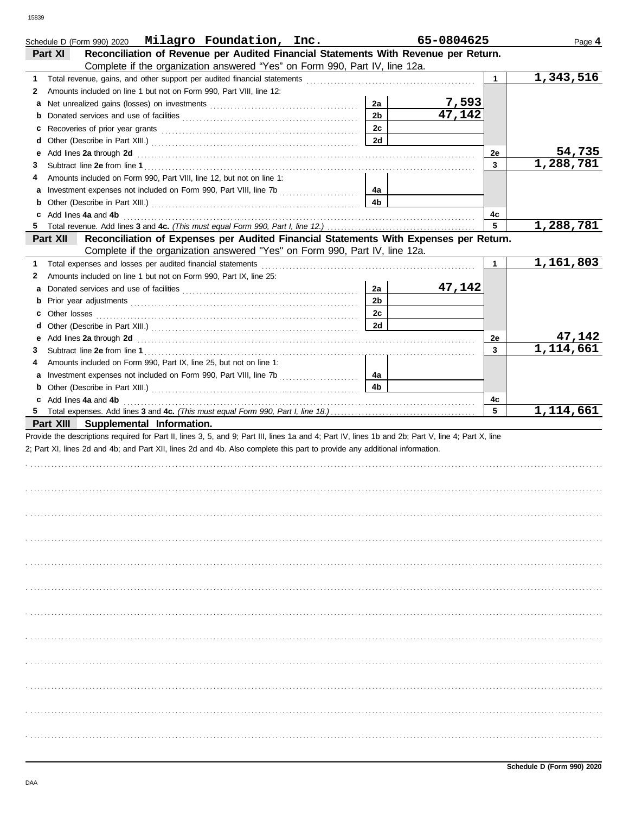|        | Schedule D (Form 990) 2020 $\blacksquare$ Milagro Foundation, Inc.                                                                                                                                                                                                               |                      | 65-0804625             |              | Page 4                 |
|--------|----------------------------------------------------------------------------------------------------------------------------------------------------------------------------------------------------------------------------------------------------------------------------------|----------------------|------------------------|--------------|------------------------|
|        | Reconciliation of Revenue per Audited Financial Statements With Revenue per Return.<br>Part XI                                                                                                                                                                                   |                      |                        |              |                        |
|        | Complete if the organization answered "Yes" on Form 990, Part IV, line 12a.                                                                                                                                                                                                      |                      |                        |              |                        |
| 1.     |                                                                                                                                                                                                                                                                                  |                      |                        | $\mathbf{1}$ | 1,343,516              |
| 2      | Amounts included on line 1 but not on Form 990, Part VIII, line 12:                                                                                                                                                                                                              |                      |                        |              |                        |
| а      |                                                                                                                                                                                                                                                                                  | 2a                   | $\frac{7,593}{47,142}$ |              |                        |
| b      |                                                                                                                                                                                                                                                                                  | 2 <sub>b</sub>       |                        |              |                        |
| с      |                                                                                                                                                                                                                                                                                  | 2c                   |                        |              |                        |
| d      |                                                                                                                                                                                                                                                                                  | 2d                   |                        |              |                        |
| е      | Add lines 2a through 2d <b>Martin Community 20</b> and 20 and 20 and 20 and 20 and 20 and 20 and 20 and 20 and 20 and 20 and 20 and 20 and 20 and 20 and 20 and 20 and 20 and 20 and 20 and 20 and 20 and 20 and 20 and 20 and 20 a                                              |                      |                        | 2e           | 54,735                 |
| 3      |                                                                                                                                                                                                                                                                                  |                      |                        | 3            | $\overline{1,288,781}$ |
| 4      | Amounts included on Form 990, Part VIII, line 12, but not on line 1:                                                                                                                                                                                                             |                      |                        |              |                        |
| а      |                                                                                                                                                                                                                                                                                  | 4a                   |                        |              |                        |
| b      |                                                                                                                                                                                                                                                                                  | 4 <sub>b</sub>       |                        |              |                        |
|        | Add lines 4a and 4b                                                                                                                                                                                                                                                              |                      |                        | 4c           |                        |
| 5      |                                                                                                                                                                                                                                                                                  |                      |                        | 5            | 1,288,781              |
|        | Part XII<br>Reconciliation of Expenses per Audited Financial Statements With Expenses per Return.                                                                                                                                                                                |                      |                        |              |                        |
|        | Complete if the organization answered "Yes" on Form 990, Part IV, line 12a.                                                                                                                                                                                                      |                      |                        |              |                        |
| 1.     | Total expenses and losses per audited financial statements                                                                                                                                                                                                                       |                      |                        | $\mathbf{1}$ | 1,161,803              |
| 2      | Amounts included on line 1 but not on Form 990, Part IX, line 25:                                                                                                                                                                                                                |                      |                        |              |                        |
| a      |                                                                                                                                                                                                                                                                                  | 2a                   | 47,142                 |              |                        |
| b      |                                                                                                                                                                                                                                                                                  | 2 <sub>b</sub>       |                        |              |                        |
| с      |                                                                                                                                                                                                                                                                                  | 2c                   |                        |              |                        |
| d      |                                                                                                                                                                                                                                                                                  | 2d                   |                        |              |                        |
| е      | Add lines 2a through 2d [11] Add [12] Add lines 2a through 2d [12] Add lines 2a through 2d [12] Add lines 2a through 2d                                                                                                                                                          |                      |                        | 2е           | 47,142<br>1,114,661    |
| 3      |                                                                                                                                                                                                                                                                                  |                      |                        | 3            |                        |
| 4      | Amounts included on Form 990, Part IX, line 25, but not on line 1:                                                                                                                                                                                                               |                      |                        |              |                        |
| а      |                                                                                                                                                                                                                                                                                  | 4a<br>4 <sub>b</sub> |                        |              |                        |
| b      |                                                                                                                                                                                                                                                                                  |                      |                        |              |                        |
| c<br>5 | Add lines 4a and 4b                                                                                                                                                                                                                                                              |                      |                        | 4c<br>5      | 1,114,661              |
|        | Part XIII Supplemental Information.                                                                                                                                                                                                                                              |                      |                        |              |                        |
|        | Provide the descriptions required for Part II, lines 3, 5, and 9; Part III, lines 1a and 4; Part IV, lines 1b and 2b; Part V, line 4; Part X, line<br>2; Part XI, lines 2d and 4b; and Part XII, lines 2d and 4b. Also complete this part to provide any additional information. |                      |                        |              |                        |
|        |                                                                                                                                                                                                                                                                                  |                      |                        |              |                        |
|        |                                                                                                                                                                                                                                                                                  |                      |                        |              |                        |
|        |                                                                                                                                                                                                                                                                                  |                      |                        |              |                        |
|        |                                                                                                                                                                                                                                                                                  |                      |                        |              |                        |
|        |                                                                                                                                                                                                                                                                                  |                      |                        |              |                        |
|        |                                                                                                                                                                                                                                                                                  |                      |                        |              |                        |
|        |                                                                                                                                                                                                                                                                                  |                      |                        |              |                        |
|        |                                                                                                                                                                                                                                                                                  |                      |                        |              |                        |
|        |                                                                                                                                                                                                                                                                                  |                      |                        |              |                        |
|        |                                                                                                                                                                                                                                                                                  |                      |                        |              |                        |
|        |                                                                                                                                                                                                                                                                                  |                      |                        |              |                        |
|        |                                                                                                                                                                                                                                                                                  |                      |                        |              |                        |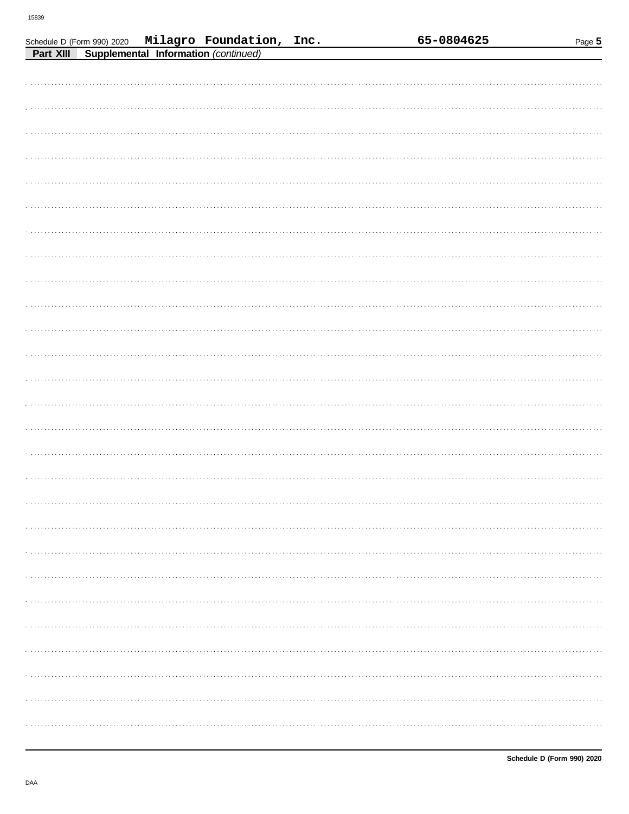| Part XIII | Supplemental Information (continued) | Schedule D (Form 990) 2020 Milagro Foundation, Inc. |  | 65-0804625 | Page $5$ |
|-----------|--------------------------------------|-----------------------------------------------------|--|------------|----------|
|           |                                      |                                                     |  |            |          |
|           |                                      |                                                     |  |            |          |
|           |                                      |                                                     |  |            |          |
|           |                                      |                                                     |  |            |          |
|           |                                      |                                                     |  |            |          |
|           |                                      |                                                     |  |            |          |
|           |                                      |                                                     |  |            |          |
|           |                                      |                                                     |  |            |          |
|           |                                      |                                                     |  |            |          |
|           |                                      |                                                     |  |            |          |
|           |                                      |                                                     |  |            |          |
|           |                                      |                                                     |  |            |          |
|           |                                      |                                                     |  |            |          |
|           |                                      |                                                     |  |            |          |
|           |                                      |                                                     |  |            |          |
|           |                                      |                                                     |  |            |          |
|           |                                      |                                                     |  |            |          |
|           |                                      |                                                     |  |            |          |
|           |                                      |                                                     |  |            |          |
|           |                                      |                                                     |  |            |          |
|           |                                      |                                                     |  |            |          |
|           |                                      |                                                     |  |            |          |
|           |                                      |                                                     |  |            |          |
|           |                                      |                                                     |  |            |          |
|           |                                      |                                                     |  |            |          |
|           |                                      |                                                     |  |            |          |
|           |                                      |                                                     |  |            |          |
|           |                                      |                                                     |  |            |          |
|           |                                      |                                                     |  |            |          |
|           |                                      |                                                     |  |            |          |
|           |                                      |                                                     |  |            |          |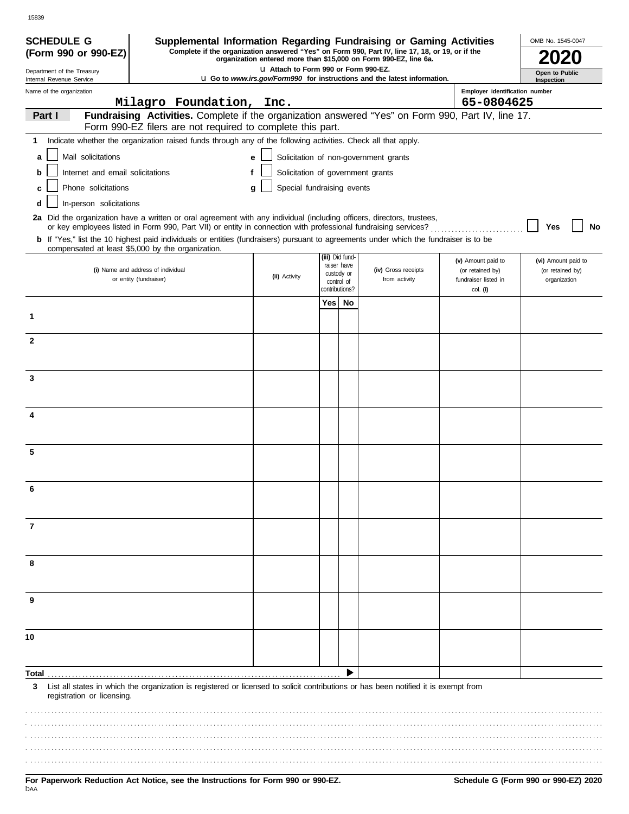| <b>SCHEDULE G</b>                                      | Supplemental Information Regarding Fundraising or Gaming Activities                                                                                              |                                       |                |                           |                                                                                                                                                                     |                                  | OMB No. 1545-0047            |
|--------------------------------------------------------|------------------------------------------------------------------------------------------------------------------------------------------------------------------|---------------------------------------|----------------|---------------------------|---------------------------------------------------------------------------------------------------------------------------------------------------------------------|----------------------------------|------------------------------|
| (Form 990 or 990-EZ)                                   |                                                                                                                                                                  |                                       |                |                           | Complete if the organization answered "Yes" on Form 990, Part IV, line 17, 18, or 19, or if the<br>organization entered more than \$15,000 on Form 990-EZ, line 6a. |                                  |                              |
| Department of the Treasury<br>Internal Revenue Service |                                                                                                                                                                  | LI Attach to Form 990 or Form 990-EZ. |                |                           | <b>u</b> Go to www.irs.gov/Form990 for instructions and the latest information.                                                                                     |                                  | Open to Public<br>Inspection |
| Name of the organization                               |                                                                                                                                                                  |                                       |                |                           |                                                                                                                                                                     | Employer identification number   |                              |
|                                                        | Milagro Foundation, Inc.                                                                                                                                         |                                       |                |                           |                                                                                                                                                                     | 65-0804625                       |                              |
| Part I                                                 | Fundraising Activities. Complete if the organization answered "Yes" on Form 990, Part IV, line 17.<br>Form 990-EZ filers are not required to complete this part. |                                       |                |                           |                                                                                                                                                                     |                                  |                              |
| 1                                                      | Indicate whether the organization raised funds through any of the following activities. Check all that apply.                                                    |                                       |                |                           |                                                                                                                                                                     |                                  |                              |
| Mail solicitations<br>a                                |                                                                                                                                                                  | e                                     |                |                           | Solicitation of non-government grants                                                                                                                               |                                  |                              |
| Internet and email solicitations<br>b                  | f                                                                                                                                                                | Solicitation of government grants     |                |                           |                                                                                                                                                                     |                                  |                              |
| Phone solicitations<br>C                               |                                                                                                                                                                  | Special fundraising events<br>a       |                |                           |                                                                                                                                                                     |                                  |                              |
| In-person solicitations<br>d                           |                                                                                                                                                                  |                                       |                |                           |                                                                                                                                                                     |                                  |                              |
|                                                        | 2a Did the organization have a written or oral agreement with any individual (including officers, directors, trustees,                                           |                                       |                |                           |                                                                                                                                                                     |                                  |                              |
|                                                        | or key employees listed in Form 990, Part VII) or entity in connection with professional fundraising services?                                                   |                                       |                |                           |                                                                                                                                                                     |                                  | No<br>Yes                    |
|                                                        | <b>b</b> If "Yes," list the 10 highest paid individuals or entities (fundraisers) pursuant to agreements under which the fundraiser is to be                     |                                       |                |                           |                                                                                                                                                                     |                                  |                              |
|                                                        | compensated at least \$5,000 by the organization.                                                                                                                |                                       |                | (iii) Did fund-           |                                                                                                                                                                     | (v) Amount paid to               | (vi) Amount paid to          |
|                                                        | (i) Name and address of individual                                                                                                                               | (ii) Activity                         |                | raiser have<br>custody or | (iv) Gross receipts                                                                                                                                                 | (or retained by)                 | (or retained by)             |
|                                                        | or entity (fundraiser)                                                                                                                                           |                                       | contributions? | control of                | from activity                                                                                                                                                       | fundraiser listed in<br>col. (i) | organization                 |
|                                                        |                                                                                                                                                                  |                                       | Yes            | No                        |                                                                                                                                                                     |                                  |                              |
| 1                                                      |                                                                                                                                                                  |                                       |                |                           |                                                                                                                                                                     |                                  |                              |
|                                                        |                                                                                                                                                                  |                                       |                |                           |                                                                                                                                                                     |                                  |                              |
| $\mathbf{2}$                                           |                                                                                                                                                                  |                                       |                |                           |                                                                                                                                                                     |                                  |                              |
|                                                        |                                                                                                                                                                  |                                       |                |                           |                                                                                                                                                                     |                                  |                              |
| 3                                                      |                                                                                                                                                                  |                                       |                |                           |                                                                                                                                                                     |                                  |                              |
|                                                        |                                                                                                                                                                  |                                       |                |                           |                                                                                                                                                                     |                                  |                              |
|                                                        |                                                                                                                                                                  |                                       |                |                           |                                                                                                                                                                     |                                  |                              |
| 4                                                      |                                                                                                                                                                  |                                       |                |                           |                                                                                                                                                                     |                                  |                              |
|                                                        |                                                                                                                                                                  |                                       |                |                           |                                                                                                                                                                     |                                  |                              |
| 5                                                      |                                                                                                                                                                  |                                       |                |                           |                                                                                                                                                                     |                                  |                              |
|                                                        |                                                                                                                                                                  |                                       |                |                           |                                                                                                                                                                     |                                  |                              |
|                                                        |                                                                                                                                                                  |                                       |                |                           |                                                                                                                                                                     |                                  |                              |
|                                                        |                                                                                                                                                                  |                                       |                |                           |                                                                                                                                                                     |                                  |                              |
|                                                        |                                                                                                                                                                  |                                       |                |                           |                                                                                                                                                                     |                                  |                              |
| $\overline{7}$                                         |                                                                                                                                                                  |                                       |                |                           |                                                                                                                                                                     |                                  |                              |
|                                                        |                                                                                                                                                                  |                                       |                |                           |                                                                                                                                                                     |                                  |                              |
|                                                        |                                                                                                                                                                  |                                       |                |                           |                                                                                                                                                                     |                                  |                              |
| 8                                                      |                                                                                                                                                                  |                                       |                |                           |                                                                                                                                                                     |                                  |                              |
|                                                        |                                                                                                                                                                  |                                       |                |                           |                                                                                                                                                                     |                                  |                              |
| 9                                                      |                                                                                                                                                                  |                                       |                |                           |                                                                                                                                                                     |                                  |                              |
|                                                        |                                                                                                                                                                  |                                       |                |                           |                                                                                                                                                                     |                                  |                              |
|                                                        |                                                                                                                                                                  |                                       |                |                           |                                                                                                                                                                     |                                  |                              |
| 10                                                     |                                                                                                                                                                  |                                       |                |                           |                                                                                                                                                                     |                                  |                              |
|                                                        |                                                                                                                                                                  |                                       |                |                           |                                                                                                                                                                     |                                  |                              |
| Total                                                  |                                                                                                                                                                  |                                       |                |                           |                                                                                                                                                                     |                                  |                              |
| 3                                                      | List all states in which the organization is registered or licensed to solicit contributions or has been notified it is exempt from                              |                                       |                |                           |                                                                                                                                                                     |                                  |                              |
| registration or licensing.                             |                                                                                                                                                                  |                                       |                |                           |                                                                                                                                                                     |                                  |                              |
|                                                        |                                                                                                                                                                  |                                       |                |                           |                                                                                                                                                                     |                                  |                              |
|                                                        |                                                                                                                                                                  |                                       |                |                           |                                                                                                                                                                     |                                  |                              |
|                                                        |                                                                                                                                                                  |                                       |                |                           |                                                                                                                                                                     |                                  |                              |
|                                                        |                                                                                                                                                                  |                                       |                |                           |                                                                                                                                                                     |                                  |                              |
|                                                        |                                                                                                                                                                  |                                       |                |                           |                                                                                                                                                                     |                                  |                              |

15839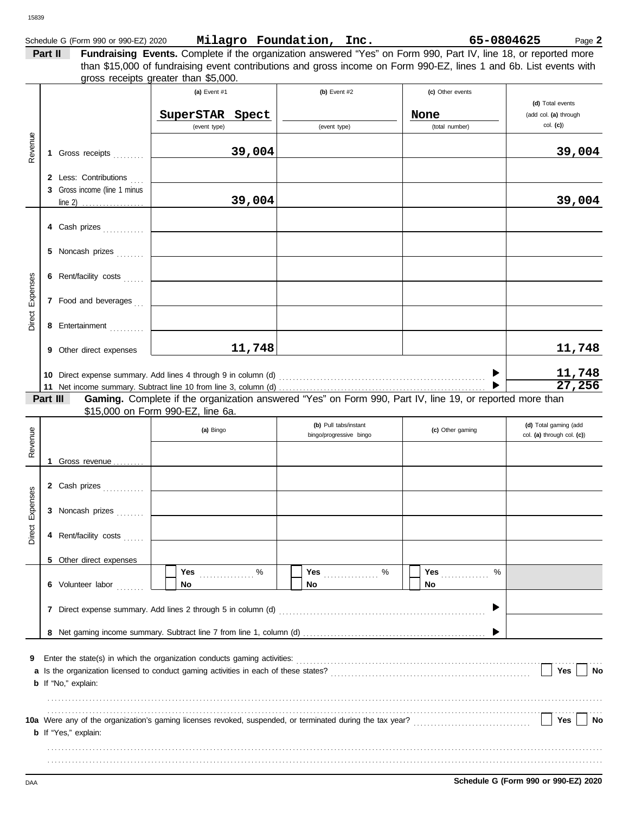### Schedule G (Form 990 or 990-EZ) 2020 Page **2 Milagro Foundation, Inc. 65-0804625**

**Part II Fundraising Events.** Complete if the organization answered "Yes" on Form 990, Part IV, line 18, or reported more gross receipts greater than \$5,000. than \$15,000 of fundraising event contributions and gross income on Form 990-EZ, lines 1 and 6b. List events with

| Revenue         |          | 1 Gross receipts<br>2 Less: Contributions<br>3 Gross income (line 1 minus                                                                                                                      | (a) Event #1<br>SuperSTAR<br>(event type)                                                                                                     | Spect<br>39,004  | (b) Event #2<br>(event type)                     | (c) Other events<br>None<br>(total number) |   | (d) Total events<br>(add col. (a) through<br>$col.$ (c)) | 39,004           |
|-----------------|----------|------------------------------------------------------------------------------------------------------------------------------------------------------------------------------------------------|-----------------------------------------------------------------------------------------------------------------------------------------------|------------------|--------------------------------------------------|--------------------------------------------|---|----------------------------------------------------------|------------------|
| Direct Expenses |          | $line 2)$<br>4 Cash prizes<br>5 Noncash prizes<br>6 Rent/facility costs<br>7 Food and beverages<br>8 Entertainment<br>9 Other direct expenses                                                  |                                                                                                                                               | 39,004<br>11,748 |                                                  |                                            |   |                                                          | 39,004<br>11,748 |
|                 | Part III |                                                                                                                                                                                                | Gaming. Complete if the organization answered "Yes" on Form 990, Part IV, line 19, or reported more than<br>\$15,000 on Form 990-EZ, line 6a. |                  |                                                  |                                            |   |                                                          | 11,748<br>27,256 |
| Revenue         |          | 1 Gross revenue                                                                                                                                                                                | (a) Bingo                                                                                                                                     |                  | (b) Pull tabs/instant<br>bingo/progressive bingo | (c) Other gaming                           |   | (d) Total gaming (add<br>col. (a) through col. (c))      |                  |
| Direct Expenses |          | 2 Cash prizes<br>3 Noncash prizes<br>4 Rent/facility costs<br>5 Other direct expenses                                                                                                          |                                                                                                                                               |                  |                                                  |                                            |   |                                                          |                  |
|                 |          | 6 Volunteer labor                                                                                                                                                                              | Yes $\ldots \ldots \ldots$ %<br>No                                                                                                            |                  | No.                                              | Yes $\frac{1}{2}$<br>No.                   | % |                                                          |                  |
| 9               |          | Enter the state(s) in which the organization conducts gaming activities: [11] content content the state(s) in which the organization conducts gaming activities:<br><b>b</b> If "No," explain: |                                                                                                                                               |                  |                                                  |                                            |   |                                                          | Yes<br>No        |
|                 |          | <b>b</b> If "Yes," explain:                                                                                                                                                                    |                                                                                                                                               |                  |                                                  |                                            |   |                                                          | Yes<br>No        |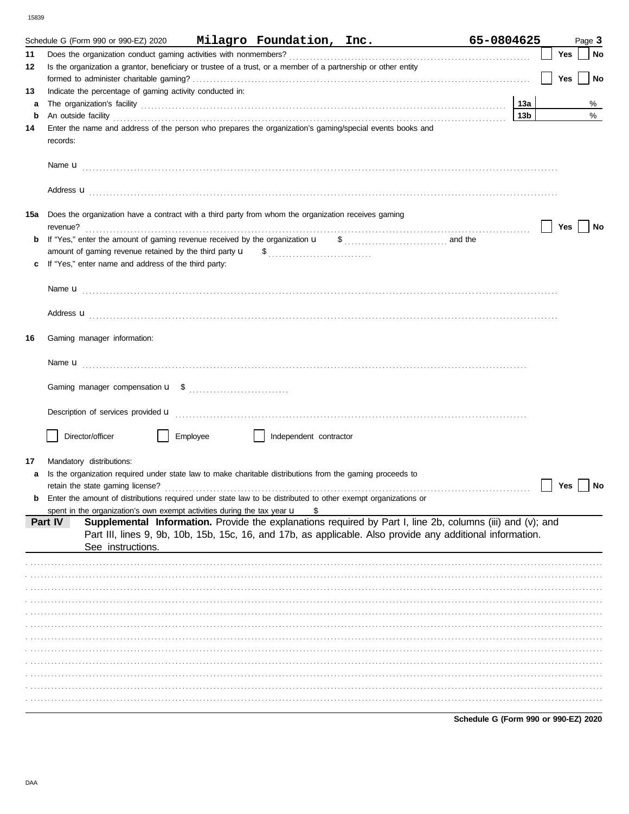|         | Schedule G (Form 990 or 990-EZ) 2020                                                                                                                                                                                                                                                                                                             |                        | Milagro Foundation, Inc. | 65-0804625             |     | Page 3 |
|---------|--------------------------------------------------------------------------------------------------------------------------------------------------------------------------------------------------------------------------------------------------------------------------------------------------------------------------------------------------|------------------------|--------------------------|------------------------|-----|--------|
| 11      |                                                                                                                                                                                                                                                                                                                                                  |                        |                          |                        | Yes | No     |
| 12      | Is the organization a grantor, beneficiary or trustee of a trust, or a member of a partnership or other entity                                                                                                                                                                                                                                   |                        |                          |                        |     |        |
|         |                                                                                                                                                                                                                                                                                                                                                  |                        |                          |                        | Yes | No     |
| 13      | Indicate the percentage of gaming activity conducted in:                                                                                                                                                                                                                                                                                         |                        |                          |                        |     |        |
| a       |                                                                                                                                                                                                                                                                                                                                                  |                        |                          | 13а<br>13 <sub>b</sub> |     | %<br>% |
| b<br>14 | An outside facility <b>contained a set of the contract of the contract of the contract of the contract of the contract of the contract of the contract of the contract of the contract of the contract of the contract of the co</b><br>Enter the name and address of the person who prepares the organization's gaming/special events books and |                        |                          |                        |     |        |
|         | records:                                                                                                                                                                                                                                                                                                                                         |                        |                          |                        |     |        |
|         |                                                                                                                                                                                                                                                                                                                                                  |                        |                          |                        |     |        |
|         | Address <b>u</b>                                                                                                                                                                                                                                                                                                                                 |                        |                          |                        |     |        |
| 15a     | Does the organization have a contract with a third party from whom the organization receives gaming<br>revenue?                                                                                                                                                                                                                                  |                        |                          |                        | Yes | No     |
| b       | If "Yes," enter the amount of gaming revenue received by the organization u                                                                                                                                                                                                                                                                      |                        | $\frac{1}{2}$ and the    |                        |     |        |
|         |                                                                                                                                                                                                                                                                                                                                                  |                        |                          |                        |     |        |
| c       | If "Yes," enter name and address of the third party:                                                                                                                                                                                                                                                                                             |                        |                          |                        |     |        |
|         |                                                                                                                                                                                                                                                                                                                                                  |                        |                          |                        |     |        |
|         |                                                                                                                                                                                                                                                                                                                                                  |                        |                          |                        |     |        |
|         | Address <b>u</b>                                                                                                                                                                                                                                                                                                                                 |                        |                          |                        |     |        |
| 16      | Gaming manager information:                                                                                                                                                                                                                                                                                                                      |                        |                          |                        |     |        |
|         |                                                                                                                                                                                                                                                                                                                                                  |                        |                          |                        |     |        |
|         |                                                                                                                                                                                                                                                                                                                                                  |                        |                          |                        |     |        |
|         |                                                                                                                                                                                                                                                                                                                                                  |                        |                          |                        |     |        |
|         |                                                                                                                                                                                                                                                                                                                                                  |                        |                          |                        |     |        |
|         | Description of services provided <b>u</b> electron contract the contract of the service of the services and contract the services provided <b>u</b>                                                                                                                                                                                              |                        |                          |                        |     |        |
|         | Director/officer<br>Employee                                                                                                                                                                                                                                                                                                                     | Independent contractor |                          |                        |     |        |
| 17      | Mandatory distributions:                                                                                                                                                                                                                                                                                                                         |                        |                          |                        |     |        |
| a       | Is the organization required under state law to make charitable distributions from the gaming proceeds to                                                                                                                                                                                                                                        |                        |                          |                        |     |        |
|         | retain the state gaming license?                                                                                                                                                                                                                                                                                                                 |                        |                          |                        | Yes | No     |
| b       | Enter the amount of distributions required under state law to be distributed to other exempt organizations or                                                                                                                                                                                                                                    |                        |                          |                        |     |        |
|         | spent in the organization's own exempt activities during the tax year $\mathbf u$                                                                                                                                                                                                                                                                |                        |                          |                        |     |        |
|         | Supplemental Information. Provide the explanations required by Part I, line 2b, columns (iii) and (v); and<br>Part IV<br>Part III, lines 9, 9b, 10b, 15b, 15c, 16, and 17b, as applicable. Also provide any additional information.<br>See instructions.                                                                                         |                        |                          |                        |     |        |
|         |                                                                                                                                                                                                                                                                                                                                                  |                        |                          |                        |     |        |
|         |                                                                                                                                                                                                                                                                                                                                                  |                        |                          |                        |     |        |
|         |                                                                                                                                                                                                                                                                                                                                                  |                        |                          |                        |     |        |
|         |                                                                                                                                                                                                                                                                                                                                                  |                        |                          |                        |     |        |
|         |                                                                                                                                                                                                                                                                                                                                                  |                        |                          |                        |     |        |
|         |                                                                                                                                                                                                                                                                                                                                                  |                        |                          |                        |     |        |
|         |                                                                                                                                                                                                                                                                                                                                                  |                        |                          |                        |     |        |
|         |                                                                                                                                                                                                                                                                                                                                                  |                        |                          |                        |     |        |
|         |                                                                                                                                                                                                                                                                                                                                                  |                        |                          |                        |     |        |
|         |                                                                                                                                                                                                                                                                                                                                                  |                        |                          |                        |     |        |
|         |                                                                                                                                                                                                                                                                                                                                                  |                        |                          |                        |     |        |
|         |                                                                                                                                                                                                                                                                                                                                                  |                        |                          |                        |     |        |

Schedule G (Form 990 or 990-EZ) 2020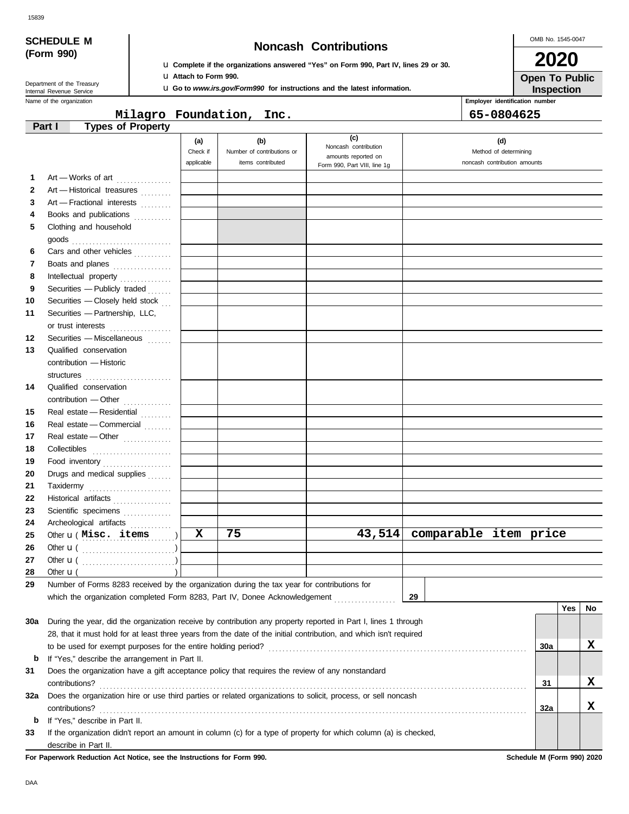| <b>SCHEDULE M</b> |  |
|-------------------|--|
| (Form 990)        |  |

## **Noncash Contributions**

OMB No. 1545-0047 **2020**

**Open To Public**

| Department of the Treasury |
|----------------------------|
| Internal Revenue Service   |

u **Complete if the organizations answered "Yes" on Form 990, Part IV, lines 29 or 30.** u **Attach to Form 990.**

u **Go to** *www.irs.gov/Form990* **for instructions and the latest information.**

Name of the organization **Employer identification number Employer identification number Inspection**

**Milagro Foundation, Inc. 65-0804625**

|              | <b>Types of Property</b><br>Part I                                                                                 |            |                            |                                             |                              |            |            |    |
|--------------|--------------------------------------------------------------------------------------------------------------------|------------|----------------------------|---------------------------------------------|------------------------------|------------|------------|----|
|              |                                                                                                                    | (a)        | (b)                        | (c)                                         | (d)                          |            |            |    |
|              |                                                                                                                    | Check if   | Number of contributions or | Noncash contribution<br>amounts reported on | Method of determining        |            |            |    |
|              |                                                                                                                    | applicable | items contributed          | Form 990, Part VIII, line 1g                | noncash contribution amounts |            |            |    |
| 1            | Art - Works of art                                                                                                 |            |                            |                                             |                              |            |            |    |
| $\mathbf{2}$ | Art - Historical treasures                                                                                         |            |                            |                                             |                              |            |            |    |
| 3            | Art - Fractional interests                                                                                         |            |                            |                                             |                              |            |            |    |
| 4            | Books and publications                                                                                             |            |                            |                                             |                              |            |            |    |
| 5            | Clothing and household                                                                                             |            |                            |                                             |                              |            |            |    |
|              | goods $\ldots \ldots \ldots \ldots \ldots \ldots \ldots \ldots$                                                    |            |                            |                                             |                              |            |            |    |
| 6            | Cars and other vehicles                                                                                            |            |                            |                                             |                              |            |            |    |
| 7            | Boats and planes                                                                                                   |            |                            |                                             |                              |            |            |    |
| 8            | Intellectual property                                                                                              |            |                            |                                             |                              |            |            |    |
| 9            | Securities - Publicly traded                                                                                       |            |                            |                                             |                              |            |            |    |
| 10           | Securities - Closely held stock                                                                                    |            |                            |                                             |                              |            |            |    |
| 11           | Securities - Partnership, LLC,                                                                                     |            |                            |                                             |                              |            |            |    |
|              | or trust interests                                                                                                 |            |                            |                                             |                              |            |            |    |
| 12           | Securities - Miscellaneous                                                                                         |            |                            |                                             |                              |            |            |    |
| 13           | Qualified conservation                                                                                             |            |                            |                                             |                              |            |            |    |
|              | contribution - Historic                                                                                            |            |                            |                                             |                              |            |            |    |
|              |                                                                                                                    |            |                            |                                             |                              |            |            |    |
| 14           | Qualified conservation                                                                                             |            |                            |                                             |                              |            |            |    |
|              | contribution - Other                                                                                               |            |                            |                                             |                              |            |            |    |
| 15           | Real estate - Residential                                                                                          |            |                            |                                             |                              |            |            |    |
| 16           | Real estate - Commercial                                                                                           |            |                            |                                             |                              |            |            |    |
| 17           | Real estate - Other                                                                                                |            |                            |                                             |                              |            |            |    |
| 18           |                                                                                                                    |            |                            |                                             |                              |            |            |    |
| 19           | Food inventory                                                                                                     |            |                            |                                             |                              |            |            |    |
| 20           | Drugs and medical supplies                                                                                         |            |                            |                                             |                              |            |            |    |
| 21           |                                                                                                                    |            |                            |                                             |                              |            |            |    |
| 22           | Historical artifacts                                                                                               |            |                            |                                             |                              |            |            |    |
| 23           | Scientific specimens                                                                                               |            |                            |                                             |                              |            |            |    |
| 24           | Archeological artifacts                                                                                            |            |                            |                                             |                              |            |            |    |
| 25           | Other <b>u</b> (Misc. items                                                                                        | X          | 75                         | 43,514                                      | comparable item price        |            |            |    |
| 26           |                                                                                                                    |            |                            |                                             |                              |            |            |    |
| 27           |                                                                                                                    |            |                            |                                             |                              |            |            |    |
| 28           | Other $\mathbf{u}$ (                                                                                               |            |                            |                                             |                              |            |            |    |
|              | Number of Forms 8283 received by the organization during the tax year for contributions for                        |            |                            |                                             |                              |            |            |    |
|              | which the organization completed Form 8283, Part IV, Donee Acknowledgement                                         |            |                            |                                             | 29                           |            |            |    |
|              |                                                                                                                    |            |                            |                                             |                              |            | <b>Yes</b> | No |
|              | 30a During the year, did the organization receive by contribution any property reported in Part I, lines 1 through |            |                            |                                             |                              |            |            |    |
|              | 28, that it must hold for at least three years from the date of the initial contribution, and which isn't required |            |                            |                                             |                              |            |            |    |
|              | to be used for exempt purposes for the entire holding period?                                                      |            |                            |                                             |                              | 30a        |            | x  |
| b            | If "Yes," describe the arrangement in Part II.                                                                     |            |                            |                                             |                              |            |            |    |
| 31           | Does the organization have a gift acceptance policy that requires the review of any nonstandard                    |            |                            |                                             |                              |            |            |    |
|              | contributions?                                                                                                     |            |                            |                                             |                              | 31         |            | x  |
| 32a          | Does the organization hire or use third parties or related organizations to solicit, process, or sell noncash      |            |                            |                                             |                              |            |            |    |
|              | contributions?                                                                                                     |            |                            |                                             |                              | <b>32a</b> |            | X  |
| b            | If "Yes," describe in Part II.                                                                                     |            |                            |                                             |                              |            |            |    |
| 33           | If the organization didn't report an amount in column (c) for a type of property for which column (a) is checked,  |            |                            |                                             |                              |            |            |    |
|              | describe in Part II.                                                                                               |            |                            |                                             |                              |            |            |    |

**For Paperwork Reduction Act Notice, see the Instructions for Form 990. Schedule M (Form 990) 2020**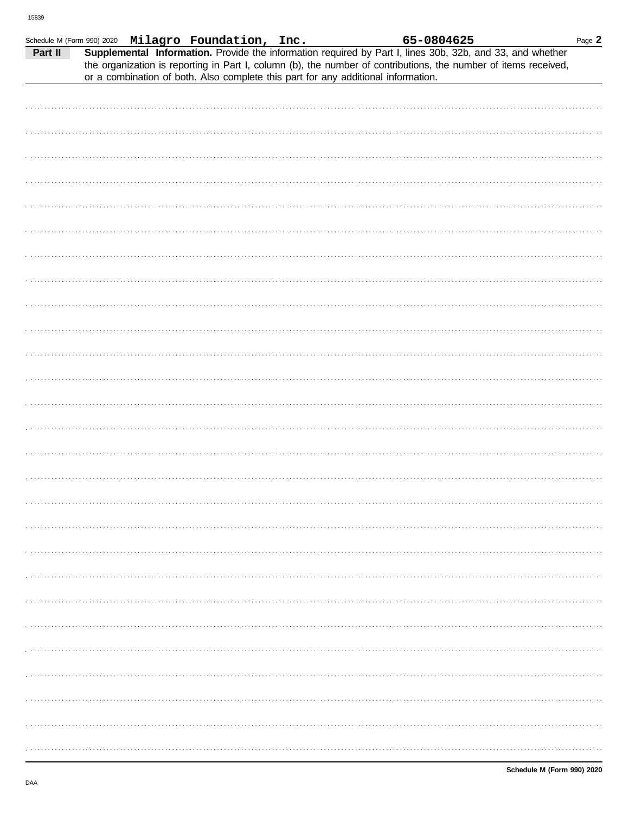|         |  | Schedule M (Form 990) 2020 Milagro Foundation, Inc.                               |  | 65-0804625 |                                                                                                                                                                                                                              | Page 2 |
|---------|--|-----------------------------------------------------------------------------------|--|------------|------------------------------------------------------------------------------------------------------------------------------------------------------------------------------------------------------------------------------|--------|
| Part II |  | or a combination of both. Also complete this part for any additional information. |  |            | Supplemental Information. Provide the information required by Part I, lines 30b, 32b, and 33, and whether<br>the organization is reporting in Part I, column (b), the number of contributions, the number of items received, |        |
|         |  |                                                                                   |  |            |                                                                                                                                                                                                                              |        |
|         |  |                                                                                   |  |            |                                                                                                                                                                                                                              |        |
|         |  |                                                                                   |  |            |                                                                                                                                                                                                                              |        |
|         |  |                                                                                   |  |            |                                                                                                                                                                                                                              |        |
|         |  |                                                                                   |  |            |                                                                                                                                                                                                                              |        |
|         |  |                                                                                   |  |            |                                                                                                                                                                                                                              |        |
|         |  |                                                                                   |  |            |                                                                                                                                                                                                                              |        |
|         |  |                                                                                   |  |            |                                                                                                                                                                                                                              |        |
|         |  |                                                                                   |  |            |                                                                                                                                                                                                                              |        |
|         |  |                                                                                   |  |            |                                                                                                                                                                                                                              |        |
|         |  |                                                                                   |  |            |                                                                                                                                                                                                                              |        |
|         |  |                                                                                   |  |            |                                                                                                                                                                                                                              |        |
|         |  |                                                                                   |  |            |                                                                                                                                                                                                                              |        |
|         |  |                                                                                   |  |            |                                                                                                                                                                                                                              |        |
|         |  |                                                                                   |  |            |                                                                                                                                                                                                                              |        |
|         |  |                                                                                   |  |            |                                                                                                                                                                                                                              |        |
|         |  |                                                                                   |  |            |                                                                                                                                                                                                                              |        |
|         |  |                                                                                   |  |            |                                                                                                                                                                                                                              |        |
|         |  |                                                                                   |  |            |                                                                                                                                                                                                                              |        |
|         |  |                                                                                   |  |            |                                                                                                                                                                                                                              |        |
|         |  |                                                                                   |  |            |                                                                                                                                                                                                                              |        |
|         |  |                                                                                   |  |            |                                                                                                                                                                                                                              |        |
|         |  |                                                                                   |  |            |                                                                                                                                                                                                                              |        |
|         |  |                                                                                   |  |            |                                                                                                                                                                                                                              |        |
|         |  |                                                                                   |  |            |                                                                                                                                                                                                                              |        |
|         |  |                                                                                   |  |            |                                                                                                                                                                                                                              |        |
|         |  |                                                                                   |  |            |                                                                                                                                                                                                                              |        |
|         |  |                                                                                   |  |            |                                                                                                                                                                                                                              |        |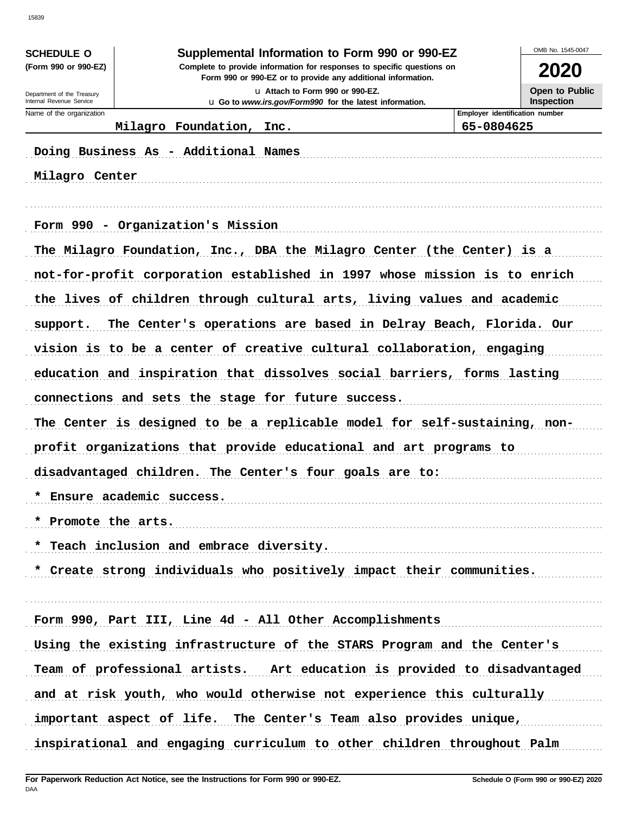| <b>SCHEDULE O</b>                                    |                                                                                                                                        | Supplemental Information to Form 990 or 990-EZ          | OMB No. 1545-0047                                   |  |  |  |  |
|------------------------------------------------------|----------------------------------------------------------------------------------------------------------------------------------------|---------------------------------------------------------|-----------------------------------------------------|--|--|--|--|
| (Form 990 or 990-EZ)                                 | Complete to provide information for responses to specific questions on<br>Form 990 or 990-EZ or to provide any additional information. |                                                         |                                                     |  |  |  |  |
| Department of the Treasury                           | La Attach to Form 990 or 990-EZ.                                                                                                       |                                                         |                                                     |  |  |  |  |
| Internal Revenue Service<br>Name of the organization |                                                                                                                                        | u Go to www.irs.gov/Form990 for the latest information. | <b>Inspection</b><br>Employer identification number |  |  |  |  |
|                                                      | Milagro Foundation, Inc.<br>65-0804625                                                                                                 |                                                         |                                                     |  |  |  |  |
| Milagro Center                                       | Doing Business As - Additional Names                                                                                                   |                                                         |                                                     |  |  |  |  |
|                                                      | Form 990 - Organization's Mission<br>The Milagro Foundation, Inc., DBA the Milagro Center (the Center) is a                            |                                                         |                                                     |  |  |  |  |
|                                                      | not-for-profit corporation established in 1997 whose mission is to enrich                                                              |                                                         |                                                     |  |  |  |  |
|                                                      | the lives of children through cultural arts, living values and academic                                                                |                                                         |                                                     |  |  |  |  |
| support.                                             | The Center's operations are based in Delray Beach, Florida. Our                                                                        |                                                         |                                                     |  |  |  |  |
|                                                      | vision is to be a center of creative cultural collaboration, engaging                                                                  |                                                         |                                                     |  |  |  |  |
|                                                      | education and inspiration that dissolves social barriers, forms lasting                                                                |                                                         |                                                     |  |  |  |  |
|                                                      | connections and sets the stage for future success.                                                                                     |                                                         |                                                     |  |  |  |  |
|                                                      | The Center is designed to be a replicable model for self-sustaining, non-                                                              |                                                         |                                                     |  |  |  |  |
|                                                      | profit organizations that provide educational and art programs to                                                                      |                                                         |                                                     |  |  |  |  |
|                                                      | disadvantaged children. The Center's four goals are to:                                                                                |                                                         |                                                     |  |  |  |  |
|                                                      | * Ensure academic success.                                                                                                             |                                                         |                                                     |  |  |  |  |
| * Promote the arts.                                  |                                                                                                                                        |                                                         |                                                     |  |  |  |  |
|                                                      | * Teach inclusion and embrace diversity.                                                                                               |                                                         |                                                     |  |  |  |  |
|                                                      | * Create strong individuals who positively impact their communities.                                                                   |                                                         |                                                     |  |  |  |  |
|                                                      |                                                                                                                                        |                                                         |                                                     |  |  |  |  |
|                                                      | Form 990, Part III, Line 4d - All Other Accomplishments                                                                                |                                                         |                                                     |  |  |  |  |
|                                                      | Using the existing infrastructure of the STARS Program and the Center's                                                                |                                                         |                                                     |  |  |  |  |
|                                                      | Team of professional artists. Art education is provided to disadvantaged                                                               |                                                         |                                                     |  |  |  |  |
|                                                      | and at risk youth, who would otherwise not experience this culturally                                                                  |                                                         |                                                     |  |  |  |  |
|                                                      | important aspect of life. The Center's Team also provides unique,                                                                      |                                                         |                                                     |  |  |  |  |
|                                                      | inspirational and engaging curriculum to other children throughout Palm                                                                |                                                         |                                                     |  |  |  |  |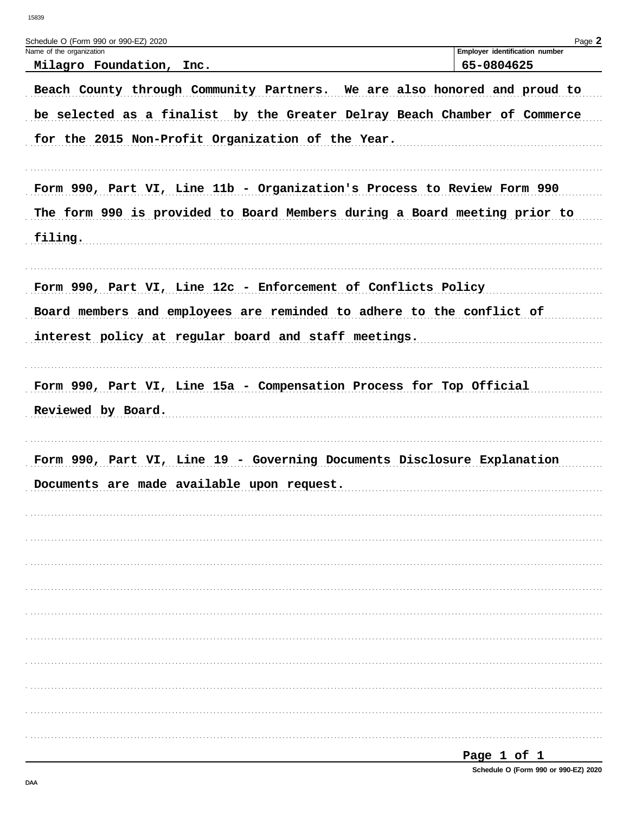| Schedule O (Form 990 or 990-EZ) 2020                                      | Page 2                         |
|---------------------------------------------------------------------------|--------------------------------|
| Name of the organization                                                  | Employer identification number |
| Milagro Foundation, Inc.                                                  | 65-0804625                     |
| Beach County through Community Partners. We are also honored and proud to |                                |
| be selected as a finalist by the Greater Delray Beach Chamber of Commerce |                                |
| for the 2015 Non-Profit Organization of the Year.                         |                                |
|                                                                           |                                |
| Form 990, Part VI, Line 11b - Organization's Process to Review Form 990   |                                |
| The form 990 is provided to Board Members during a Board meeting prior to |                                |
| filing.                                                                   |                                |
|                                                                           |                                |
| Form 990, Part VI, Line 12c - Enforcement of Conflicts Policy             |                                |
| Board members and employees are reminded to adhere to the conflict of     |                                |
| interest policy at regular board and staff meetings.                      |                                |
|                                                                           |                                |
| Form 990, Part VI, Line 15a - Compensation Process for Top Official       |                                |
| Reviewed by Board.                                                        |                                |
|                                                                           |                                |
|                                                                           |                                |
| Form 990, Part VI, Line 19 - Governing Documents Disclosure Explanation   |                                |
| Documents are made available upon request.                                |                                |
|                                                                           |                                |
|                                                                           |                                |
|                                                                           |                                |
|                                                                           |                                |
|                                                                           |                                |
|                                                                           |                                |
|                                                                           |                                |
|                                                                           |                                |
|                                                                           |                                |
|                                                                           |                                |
|                                                                           |                                |
|                                                                           | $P$ age 1 of 1                 |